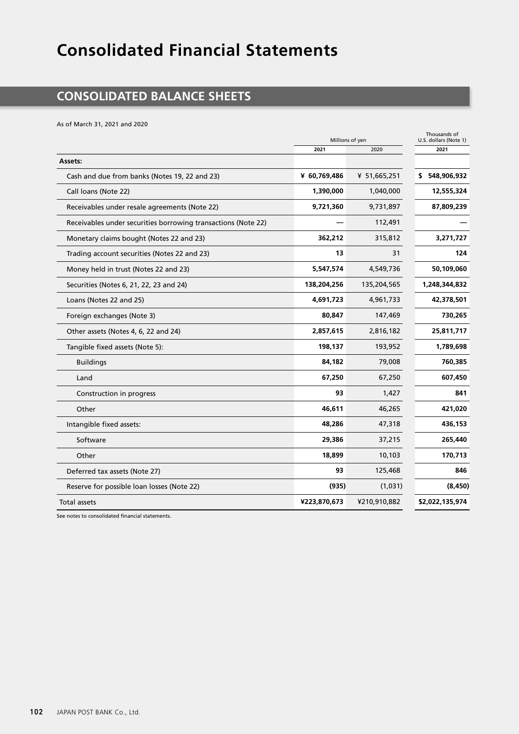# **Consolidated Financial Statements**

### **CONSOLIDATED BALANCE SHEETS**

#### As of March 31, 2021 and 2020

|                                                               | Millions of yen |              | Thousands of<br>U.S. dollars (Note 1) |  |
|---------------------------------------------------------------|-----------------|--------------|---------------------------------------|--|
|                                                               | 2021            | 2020         | 2021                                  |  |
| Assets:                                                       |                 |              |                                       |  |
| Cash and due from banks (Notes 19, 22 and 23)                 | ¥ 60,769,486    | ¥ 51,665,251 | 548,906,932<br>s                      |  |
| Call Ioans (Note 22)                                          | 1,390,000       | 1,040,000    | 12,555,324                            |  |
| Receivables under resale agreements (Note 22)                 | 9,721,360       | 9,731,897    | 87,809,239                            |  |
| Receivables under securities borrowing transactions (Note 22) |                 | 112,491      |                                       |  |
| Monetary claims bought (Notes 22 and 23)                      | 362,212         | 315,812      | 3,271,727                             |  |
| Trading account securities (Notes 22 and 23)                  | 13              | 31           | 124                                   |  |
| Money held in trust (Notes 22 and 23)                         | 5,547,574       | 4,549,736    | 50,109,060                            |  |
| Securities (Notes 6, 21, 22, 23 and 24)                       | 138,204,256     | 135,204,565  | 1,248,344,832                         |  |
| Loans (Notes 22 and 25)                                       | 4,691,723       | 4,961,733    | 42,378,501                            |  |
| Foreign exchanges (Note 3)                                    | 80,847          | 147,469      | 730,265                               |  |
| Other assets (Notes 4, 6, 22 and 24)                          | 2,857,615       | 2,816,182    | 25,811,717                            |  |
| Tangible fixed assets (Note 5):                               | 198,137         | 193,952      | 1,789,698                             |  |
| <b>Buildings</b>                                              | 84,182          | 79,008       | 760,385                               |  |
| Land                                                          | 67,250          | 67,250       | 607,450                               |  |
| Construction in progress                                      | 93              | 1,427        | 841                                   |  |
| Other                                                         | 46.611          | 46.265       | 421,020                               |  |
| Intangible fixed assets:                                      | 48,286          | 47,318       | 436,153                               |  |
| Software                                                      | 29,386          | 37,215       | 265,440                               |  |
| Other                                                         | 18,899          | 10,103       | 170,713                               |  |
| Deferred tax assets (Note 27)                                 | 93              | 125,468      | 846                                   |  |
| Reserve for possible loan losses (Note 22)                    | (935)           | (1,031)      | (8, 450)                              |  |
| Total assets                                                  | ¥223,870,673    | ¥210,910,882 | \$2,022,135,974                       |  |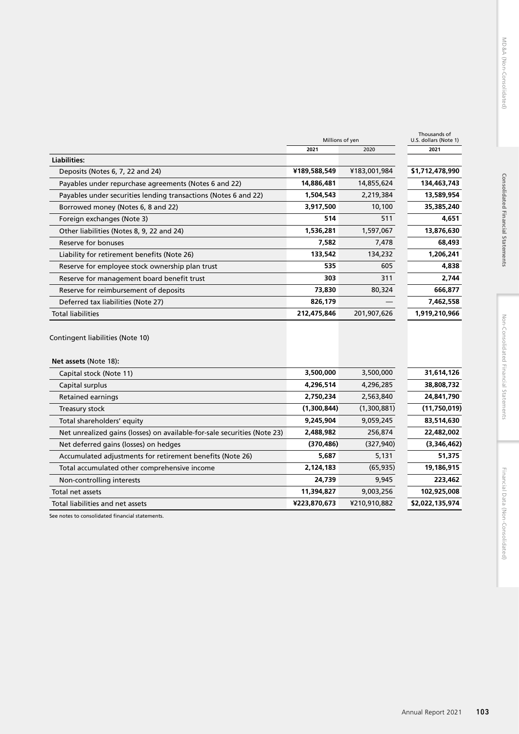|                                                                          | Millions of yen | Thousands of<br>U.S. dollars (Note 1) |                 |
|--------------------------------------------------------------------------|-----------------|---------------------------------------|-----------------|
|                                                                          | 2021            | 2020                                  | 2021            |
| <b>Liabilities:</b>                                                      |                 |                                       |                 |
| Deposits (Notes 6, 7, 22 and 24)                                         | ¥189,588,549    | ¥183,001,984                          | \$1,712,478,990 |
| Payables under repurchase agreements (Notes 6 and 22)                    | 14,886,481      | 14,855,624                            | 134,463,743     |
| Payables under securities lending transactions (Notes 6 and 22)          | 1,504,543       | 2,219,384                             | 13,589,954      |
| Borrowed money (Notes 6, 8 and 22)                                       | 3,917,500       | 10,100                                | 35,385,240      |
| Foreign exchanges (Note 3)                                               | 514             | 511                                   | 4,651           |
| Other liabilities (Notes 8, 9, 22 and 24)                                | 1,536,281       | 1,597,067                             | 13,876,630      |
| Reserve for bonuses                                                      | 7,582           | 7,478                                 | 68,493          |
| Liability for retirement benefits (Note 26)                              | 133,542         | 134,232                               | 1,206,241       |
| Reserve for employee stock ownership plan trust                          | 535             | 605                                   | 4,838           |
| Reserve for management board benefit trust                               | 303             | 311                                   | 2,744           |
| Reserve for reimbursement of deposits                                    | 73,830          | 80,324                                | 666,877         |
| Deferred tax liabilities (Note 27)                                       | 826,179         |                                       | 7,462,558       |
| <b>Total liabilities</b>                                                 | 212,475,846     | 201,907,626                           | 1,919,210,966   |
| Contingent liabilities (Note 10)<br>Net assets (Note 18):                |                 |                                       |                 |
| Capital stock (Note 11)                                                  | 3,500,000       | 3,500,000                             | 31,614,126      |
| Capital surplus                                                          | 4,296,514       | 4,296,285                             | 38,808,732      |
| Retained earnings                                                        | 2,750,234       | 2,563,840                             | 24,841,790      |
| Treasury stock                                                           | (1,300,844)     | (1,300,881)                           | (11,750,019)    |
| Total shareholders' equity                                               | 9,245,904       | 9,059,245                             | 83,514,630      |
| Net unrealized gains (losses) on available-for-sale securities (Note 23) | 2,488,982       | 256,874                               | 22,482,002      |
| Net deferred gains (losses) on hedges                                    | (370, 486)      | (327, 940)                            | (3,346,462)     |
| Accumulated adjustments for retirement benefits (Note 26)                | 5,687           | 5,131                                 | 51,375          |
| Total accumulated other comprehensive income                             | 2,124,183       | (65, 935)                             | 19,186,915      |
| Non-controlling interests                                                | 24,739          | 9,945                                 | 223,462         |
| Total net assets                                                         | 11,394,827      | 9,003,256                             | 102,925,008     |
| Total liabilities and net assets                                         | ¥223,870,673    | ¥210,910,882                          | \$2,022,135,974 |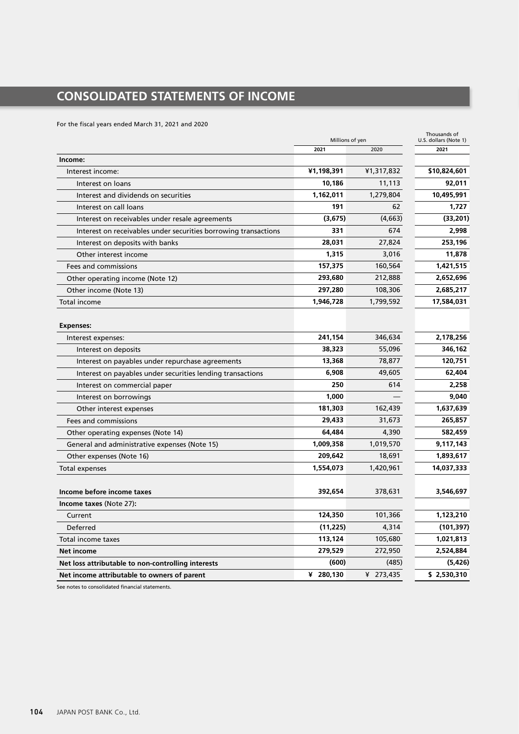# **CONSOLIDATED STATEMENTS OF INCOME**

For the fiscal years ended March 31, 2021 and 2020

|                                                                 | Millions of yen | Thousands of<br>U.S. dollars (Note 1) |              |
|-----------------------------------------------------------------|-----------------|---------------------------------------|--------------|
|                                                                 | 2021            | 2020                                  | 2021         |
| Income:                                                         |                 |                                       |              |
| Interest income:                                                | ¥1,198,391      | ¥1,317,832                            | \$10,824,601 |
| Interest on loans                                               | 10,186          | 11,113                                | 92,011       |
| Interest and dividends on securities                            | 1,162,011       | 1,279,804                             | 10,495,991   |
| Interest on call loans                                          | 191             | 62                                    | 1,727        |
| Interest on receivables under resale agreements                 | (3,675)         | (4,663)                               | (33, 201)    |
| Interest on receivables under securities borrowing transactions | 331             | 674                                   | 2,998        |
| Interest on deposits with banks                                 | 28,031          | 27,824                                | 253,196      |
| Other interest income                                           | 1.315           | 3,016                                 | 11,878       |
| Fees and commissions                                            | 157,375         | 160,564                               | 1,421,515    |
| Other operating income (Note 12)                                | 293,680         | 212,888                               | 2,652,696    |
| Other income (Note 13)                                          | 297,280         | 108,306                               | 2,685,217    |
| Total income                                                    | 1,946,728       | 1,799,592                             | 17,584,031   |
|                                                                 |                 |                                       |              |
| <b>Expenses:</b>                                                |                 |                                       |              |
| Interest expenses:                                              | 241,154         | 346,634                               | 2,178,256    |
| Interest on deposits                                            | 38,323          | 55,096                                | 346,162      |
| Interest on payables under repurchase agreements                | 13,368          | 78,877                                | 120,751      |
| Interest on payables under securities lending transactions      | 6,908           | 49,605                                | 62,404       |
| Interest on commercial paper                                    | 250             | 614                                   | 2,258        |
| Interest on borrowings                                          | 1,000           |                                       | 9,040        |
| Other interest expenses                                         | 181,303         | 162,439                               | 1,637,639    |
| Fees and commissions                                            | 29,433          | 31,673                                | 265,857      |
| Other operating expenses (Note 14)                              | 64,484          | 4,390                                 | 582,459      |
| General and administrative expenses (Note 15)                   | 1,009,358       | 1,019,570                             | 9,117,143    |
| Other expenses (Note 16)                                        | 209,642         | 18,691                                | 1,893,617    |
| Total expenses                                                  | 1,554,073       | 1,420,961                             | 14,037,333   |
|                                                                 |                 |                                       |              |
| Income before income taxes                                      | 392,654         | 378,631                               | 3,546,697    |
| Income taxes (Note 27):                                         |                 |                                       |              |
| Current                                                         | 124,350         | 101,366                               | 1,123,210    |
| Deferred                                                        | (11, 225)       | 4,314                                 | (101, 397)   |
| Total income taxes                                              | 113,124         | 105,680                               | 1,021,813    |
| Net income                                                      | 279,529         | 272,950                               | 2,524,884    |
| Net loss attributable to non-controlling interests              | (600)           | (485)                                 | (5, 426)     |
| Net income attributable to owners of parent                     | ¥ 280,130       | ¥ 273,435                             | \$2,530,310  |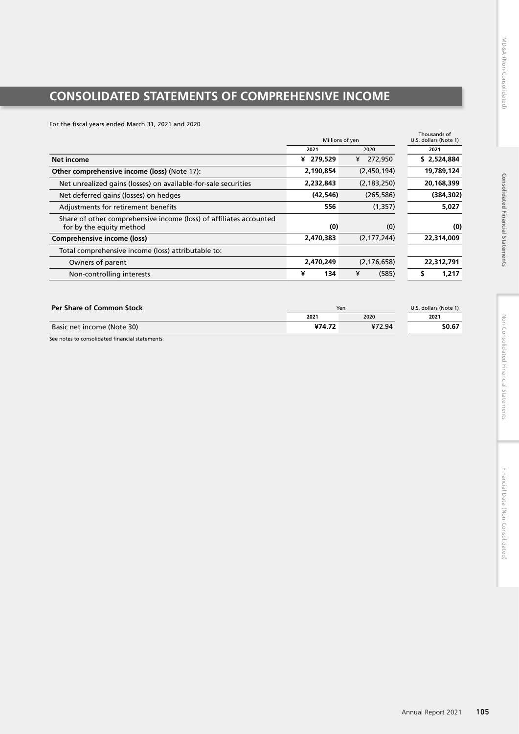### **CONSOLIDATED STATEMENTS OF COMPREHENSIVE INCOME**

For the fiscal years ended March 31, 2021 and 2020

|                                                                                                | Millions of yen | Thousands of<br>U.S. dollars (Note 1) |             |
|------------------------------------------------------------------------------------------------|-----------------|---------------------------------------|-------------|
|                                                                                                | 2021            | 2020                                  | 2021        |
| <b>Net income</b>                                                                              | 279,529<br>¥    | 272,950<br>¥                          | \$2,524,884 |
| Other comprehensive income (loss) (Note 17):                                                   | 2,190,854       | (2,450,194)                           | 19,789,124  |
| Net unrealized gains (losses) on available-for-sale securities                                 | 2,232,843       | (2, 183, 250)                         | 20,168,399  |
| Net deferred gains (losses) on hedges                                                          | (42, 546)       | (265, 586)                            | (384, 302)  |
| Adjustments for retirement benefits                                                            | 556             | (1, 357)                              | 5,027       |
| Share of other comprehensive income (loss) of affiliates accounted<br>for by the equity method | (0)             | (0)                                   | (0)         |
| Comprehensive income (loss)                                                                    | 2,470,383       | (2, 177, 244)                         | 22,314,009  |
| Total comprehensive income (loss) attributable to:                                             |                 |                                       |             |
| Owners of parent                                                                               | 2,470,249       | (2, 176, 658)                         | 22,312,791  |
| Non-controlling interests                                                                      | ¥<br>134        | ¥<br>(585)                            | s<br>1,217  |
|                                                                                                |                 |                                       |             |

| <b>Per Share of Common Stock</b> | Yen    |        | U.S. dollars (Note 1) |
|----------------------------------|--------|--------|-----------------------|
|                                  | 2021   | 2020   | 2021                  |
| Basic net income (Note 30)       | ¥74.72 | ¥72.94 | \$0.67                |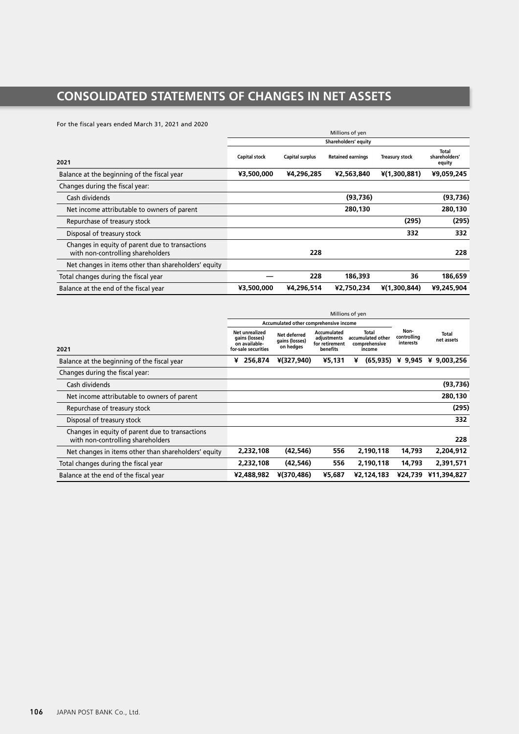# **CONSOLIDATED STATEMENTS OF CHANGES IN NET ASSETS**

For the fiscal years ended March 31, 2021 and 2020

|                                                                                      |                      |                        | Millions of yen          |                       |                                         |  |  |
|--------------------------------------------------------------------------------------|----------------------|------------------------|--------------------------|-----------------------|-----------------------------------------|--|--|
|                                                                                      | Shareholders' equity |                        |                          |                       |                                         |  |  |
| 2021                                                                                 | <b>Capital stock</b> | <b>Capital surplus</b> | <b>Retained earnings</b> | <b>Treasury stock</b> | <b>Total</b><br>shareholders'<br>equity |  |  |
| Balance at the beginning of the fiscal year                                          | ¥3,500,000           | ¥4,296,285             | ¥2,563,840               | $*(1,300,881)$        | ¥9,059,245                              |  |  |
| Changes during the fiscal year:                                                      |                      |                        |                          |                       |                                         |  |  |
| Cash dividends                                                                       |                      |                        | (93, 736)                |                       | (93, 736)                               |  |  |
| Net income attributable to owners of parent                                          |                      |                        | 280,130                  |                       | 280,130                                 |  |  |
| Repurchase of treasury stock                                                         |                      |                        |                          | (295)                 | (295)                                   |  |  |
| Disposal of treasury stock                                                           |                      |                        |                          | 332                   | 332                                     |  |  |
| Changes in equity of parent due to transactions<br>with non-controlling shareholders |                      | 228                    |                          |                       | 228                                     |  |  |
| Net changes in items other than shareholders' equity                                 |                      |                        |                          |                       |                                         |  |  |
| Total changes during the fiscal year                                                 |                      | 228                    | 186.393                  | 36                    | 186,659                                 |  |  |
| Balance at the end of the fiscal year                                                | ¥3,500,000           | ¥4,296,514             | ¥2,750,234               | $*(1,300,844)$        | ¥9.245.904                              |  |  |

|                                                                                      | Millions of yen                                                          |                                             |                                                          |                                                       |                                  |                     |
|--------------------------------------------------------------------------------------|--------------------------------------------------------------------------|---------------------------------------------|----------------------------------------------------------|-------------------------------------------------------|----------------------------------|---------------------|
|                                                                                      |                                                                          | Accumulated other comprehensive income      |                                                          |                                                       |                                  |                     |
| 2021                                                                                 | Net unrealized<br>gains (losses)<br>on available-<br>for-sale securities | Net deferred<br>gains (losses)<br>on hedges | Accumulated<br>adjustments<br>for retirement<br>benefits | Total<br>accumulated other<br>comprehensive<br>income | Non-<br>controlling<br>interests | Total<br>net assets |
| Balance at the beginning of the fiscal year                                          | 256,874<br>¥                                                             | $*(327, 940)$                               | ¥5,131                                                   | (65, 935)<br>¥                                        | ¥ 9,945                          | ¥ 9,003,256         |
| Changes during the fiscal year:                                                      |                                                                          |                                             |                                                          |                                                       |                                  |                     |
| Cash dividends                                                                       |                                                                          |                                             |                                                          |                                                       |                                  | (93, 736)           |
| Net income attributable to owners of parent                                          |                                                                          |                                             |                                                          |                                                       |                                  | 280,130             |
| Repurchase of treasury stock                                                         |                                                                          |                                             |                                                          |                                                       |                                  | (295)               |
| Disposal of treasury stock                                                           |                                                                          |                                             |                                                          |                                                       |                                  | 332                 |
| Changes in equity of parent due to transactions<br>with non-controlling shareholders |                                                                          |                                             |                                                          |                                                       |                                  | 228                 |
| Net changes in items other than shareholders' equity                                 | 2,232,108                                                                | (42, 546)                                   | 556                                                      | 2,190,118                                             | 14,793                           | 2,204,912           |
| Total changes during the fiscal year                                                 | 2,232,108                                                                | (42, 546)                                   | 556                                                      | 2,190,118                                             | 14,793                           | 2,391,571           |
| Balance at the end of the fiscal year                                                | ¥2,488,982                                                               | $*(370, 486)$                               | ¥5,687                                                   | ¥2,124,183                                            | ¥24,739                          | ¥11,394,827         |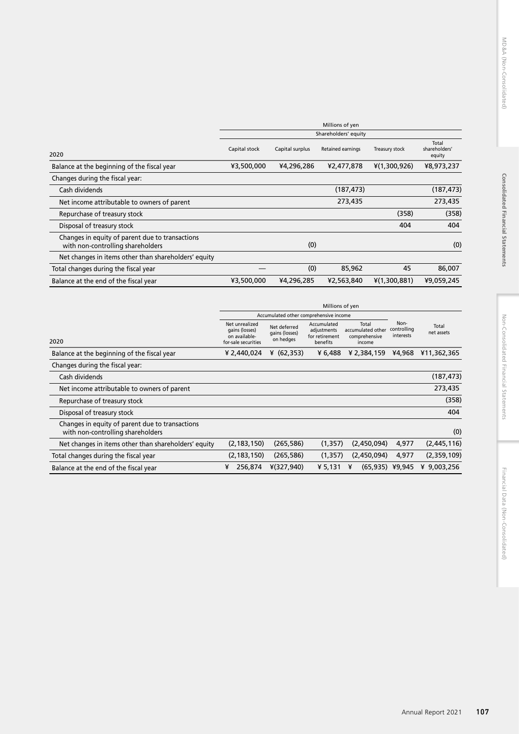| ___ |  |  |
|-----|--|--|
|     |  |  |
|     |  |  |
|     |  |  |

| ١<br>ı      |
|-------------|
| ï<br>-<br>٠ |
|             |

MD&A (Non-Consolidated)

|                                                                                      | Millions of yen |                 |                      |                |                                  |  |  |  |
|--------------------------------------------------------------------------------------|-----------------|-----------------|----------------------|----------------|----------------------------------|--|--|--|
|                                                                                      |                 |                 | Shareholders' equity |                |                                  |  |  |  |
| 2020                                                                                 | Capital stock   | Capital surplus | Retained earnings    | Treasury stock | Total<br>shareholders'<br>equity |  |  |  |
| Balance at the beginning of the fiscal year                                          | ¥3,500,000      | ¥4,296,286      | ¥2,477,878           | $*(1,300,926)$ | ¥8,973,237                       |  |  |  |
| Changes during the fiscal year:                                                      |                 |                 |                      |                |                                  |  |  |  |
| Cash dividends                                                                       |                 |                 | (187, 473)           |                | (187, 473)                       |  |  |  |
| Net income attributable to owners of parent                                          |                 |                 | 273,435              |                | 273,435                          |  |  |  |
| Repurchase of treasury stock                                                         |                 |                 |                      | (358)          | (358)                            |  |  |  |
| Disposal of treasury stock                                                           |                 |                 |                      | 404            | 404                              |  |  |  |
| Changes in equity of parent due to transactions<br>with non-controlling shareholders |                 | (0)             |                      |                | (0)                              |  |  |  |
| Net changes in items other than shareholders' equity                                 |                 |                 |                      |                |                                  |  |  |  |
| Total changes during the fiscal year                                                 |                 | (0)             | 85,962               | 45             | 86,007                           |  |  |  |
| Balance at the end of the fiscal year                                                | ¥3,500,000      | ¥4,296,285      | ¥2,563,840           | ¥(1,300,881)   | ¥9,059,245                       |  |  |  |

|                                                                                      | Millions of yen                                                          |                                             |                                                          |                                                       |                                  |                     |  |
|--------------------------------------------------------------------------------------|--------------------------------------------------------------------------|---------------------------------------------|----------------------------------------------------------|-------------------------------------------------------|----------------------------------|---------------------|--|
|                                                                                      |                                                                          |                                             | Accumulated other comprehensive income                   |                                                       |                                  |                     |  |
| 2020                                                                                 | Net unrealized<br>gains (losses)<br>on available-<br>for-sale securities | Net deferred<br>gains (losses)<br>on hedges | Accumulated<br>adjustments<br>for retirement<br>benefits | Total<br>accumulated other<br>comprehensive<br>income | Non-<br>controlling<br>interests | Total<br>net assets |  |
| Balance at the beginning of the fiscal year                                          | ¥ 2,440,024                                                              | ¥ $(62, 353)$                               | ¥ 6,488                                                  | ¥ 2,384,159                                           | ¥4,968                           | ¥11,362,365         |  |
| Changes during the fiscal year:                                                      |                                                                          |                                             |                                                          |                                                       |                                  |                     |  |
| Cash dividends                                                                       |                                                                          |                                             |                                                          |                                                       |                                  | (187, 473)          |  |
| Net income attributable to owners of parent                                          |                                                                          |                                             |                                                          |                                                       |                                  | 273,435             |  |
| Repurchase of treasury stock                                                         |                                                                          |                                             |                                                          |                                                       |                                  | (358)               |  |
| Disposal of treasury stock                                                           |                                                                          |                                             |                                                          |                                                       |                                  | 404                 |  |
| Changes in equity of parent due to transactions<br>with non-controlling shareholders |                                                                          |                                             |                                                          |                                                       |                                  | (0)                 |  |
| Net changes in items other than shareholders' equity                                 | (2, 183, 150)                                                            | (265, 586)                                  | (1, 357)                                                 | (2,450,094)                                           | 4,977                            | (2, 445, 116)       |  |
| Total changes during the fiscal year                                                 | (2, 183, 150)                                                            | (265, 586)                                  | (1, 357)                                                 | (2,450,094)                                           | 4,977                            | (2,359,109)         |  |
| Balance at the end of the fiscal year                                                | 256,874<br>¥                                                             | ¥(327,940)                                  | ¥ 5,131                                                  | (65, 935)<br>¥                                        | ¥9,945                           | ¥ 9,003,256         |  |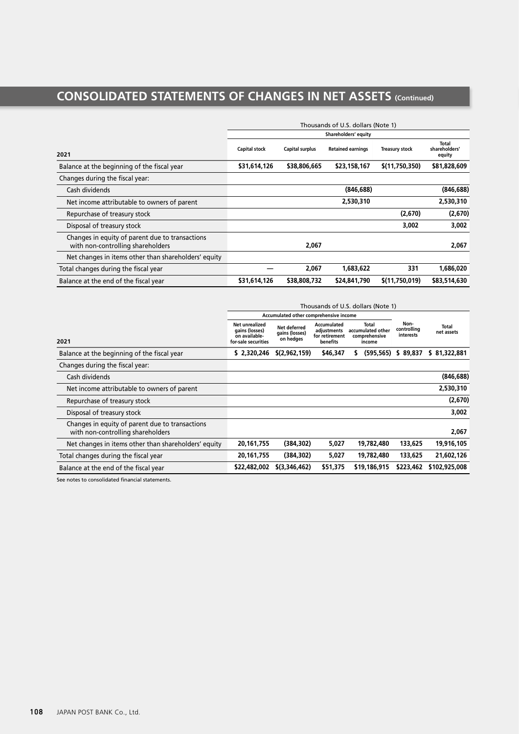# **CONSOLIDATED STATEMENTS OF CHANGES IN NET ASSETS (Continued)**

|                                                                                      | Thousands of U.S. dollars (Note 1) |                        |                          |                       |                                         |  |  |
|--------------------------------------------------------------------------------------|------------------------------------|------------------------|--------------------------|-----------------------|-----------------------------------------|--|--|
|                                                                                      |                                    |                        | Shareholders' equity     |                       |                                         |  |  |
| 2021                                                                                 | <b>Capital stock</b>               | <b>Capital surplus</b> | <b>Retained earnings</b> | <b>Treasury stock</b> | <b>Total</b><br>shareholders'<br>equity |  |  |
| Balance at the beginning of the fiscal year                                          | \$31,614,126                       | \$38,806,665           | \$23,158,167             | \$(11,750,350)        | \$81,828,609                            |  |  |
| Changes during the fiscal year:                                                      |                                    |                        |                          |                       |                                         |  |  |
| Cash dividends                                                                       |                                    |                        | (846, 688)               |                       | (846, 688)                              |  |  |
| Net income attributable to owners of parent                                          |                                    |                        | 2,530,310                |                       | 2,530,310                               |  |  |
| Repurchase of treasury stock                                                         |                                    |                        |                          | (2,670)               | (2,670)                                 |  |  |
| Disposal of treasury stock                                                           |                                    |                        |                          | 3,002                 | 3,002                                   |  |  |
| Changes in equity of parent due to transactions<br>with non-controlling shareholders |                                    | 2,067                  |                          |                       | 2,067                                   |  |  |
| Net changes in items other than shareholders' equity                                 |                                    |                        |                          |                       |                                         |  |  |
| Total changes during the fiscal year                                                 |                                    | 2,067                  | 1,683,622                | 331                   | 1,686,020                               |  |  |
| Balance at the end of the fiscal year                                                | \$31,614,126                       | \$38,808,732           | \$24,841,790             | \$(11,750,019)        | \$83,514,630                            |  |  |

|                                                                                      | Thousands of U.S. dollars (Note 1)                                       |                                                    |                                                          |                                                              |                                  |                     |
|--------------------------------------------------------------------------------------|--------------------------------------------------------------------------|----------------------------------------------------|----------------------------------------------------------|--------------------------------------------------------------|----------------------------------|---------------------|
|                                                                                      |                                                                          | Accumulated other comprehensive income             |                                                          |                                                              |                                  |                     |
| 2021                                                                                 | Net unrealized<br>gains (losses)<br>on available-<br>for-sale securities | <b>Net deferred</b><br>gains (losses)<br>on hedges | Accumulated<br>adjustments<br>for retirement<br>benefits | <b>Total</b><br>accumulated other<br>comprehensive<br>income | Non-<br>controlling<br>interests | Total<br>net assets |
| Balance at the beginning of the fiscal year                                          | \$2,320,246                                                              | \$(2,962,159)                                      | \$46,347                                                 | s                                                            | $(595,565)$ \$ 89,837            | \$81,322,881        |
| Changes during the fiscal year:                                                      |                                                                          |                                                    |                                                          |                                                              |                                  |                     |
| Cash dividends                                                                       |                                                                          |                                                    |                                                          |                                                              |                                  | (846, 688)          |
| Net income attributable to owners of parent                                          |                                                                          |                                                    |                                                          |                                                              |                                  | 2,530,310           |
| Repurchase of treasury stock                                                         |                                                                          |                                                    |                                                          |                                                              |                                  | (2,670)             |
| Disposal of treasury stock                                                           |                                                                          |                                                    |                                                          |                                                              |                                  | 3,002               |
| Changes in equity of parent due to transactions<br>with non-controlling shareholders |                                                                          |                                                    |                                                          |                                                              |                                  | 2.067               |
| Net changes in items other than shareholders' equity                                 | 20,161,755                                                               | (384, 302)                                         | 5,027                                                    | 19,782,480                                                   | 133,625                          | 19,916,105          |
| Total changes during the fiscal year                                                 | 20,161,755                                                               | (384, 302)                                         | 5,027                                                    | 19,782,480                                                   | 133.625                          | 21,602,126          |
| Balance at the end of the fiscal year                                                | \$22,482,002                                                             | $$$ (3,346,462)                                    | \$51,375                                                 | \$19,186,915                                                 | \$223,462                        | \$102,925,008       |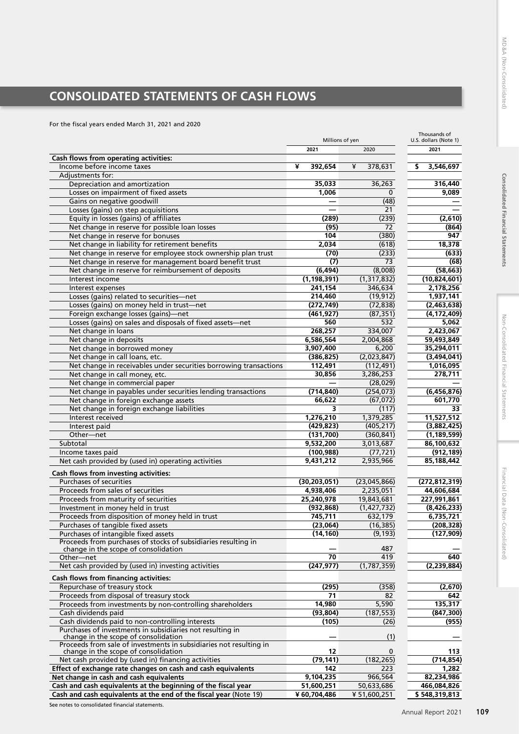# **CONSOLIDATED STATEMENTS OF CASH FLOWS**

For the fiscal years ended March 31, 2021 and 2020

|                                                                                                            | Millions of yen      |                         | Thousands of<br>U.S. dollars (Note 1) |
|------------------------------------------------------------------------------------------------------------|----------------------|-------------------------|---------------------------------------|
|                                                                                                            | 2021                 | 2020                    | 2021                                  |
| Cash flows from operating activities:                                                                      |                      |                         |                                       |
| Income before income taxes                                                                                 | ¥<br>392,654         | ¥<br>378,631            | s<br>3,546,697                        |
| Adjustments for:                                                                                           |                      |                         |                                       |
| Depreciation and amortization<br>Losses on impairment of fixed assets                                      | 35,033<br>1.006      | 36,263<br>$\mathbf{0}$  | 316,440<br>9,089                      |
| Gains on negative goodwill                                                                                 |                      | (48)                    |                                       |
| Losses (gains) on step acquisitions                                                                        |                      | 21                      |                                       |
| Equity in losses (gains) of affiliates                                                                     | (289)                | (239)                   | (2,610)                               |
| Net change in reserve for possible loan losses                                                             | (95)                 | 72                      | (864)                                 |
| Net change in reserve for bonuses                                                                          | 104                  | (380)                   | 947                                   |
| Net change in liability for retirement benefits                                                            | 2,034                | (618)                   | 18,378                                |
| Net change in reserve for employee stock ownership plan trust                                              | (70)                 | (233)                   | (633)                                 |
| Net change in reserve for management board benefit trust                                                   | (7)                  | 73                      | (68)                                  |
| Net change in reserve for reimbursement of deposits                                                        | (6, 494)             | (8,008)                 | (58, 663)                             |
| Interest income                                                                                            | (1, 198, 391)        | (1,317,832)             | (10,824,601)                          |
| Interest expenses<br>Losses (gains) related to securities-net                                              | 241,154<br>214,460   | 346,634<br>(19, 912)    | 2,178,256<br>1,937,141                |
| Losses (gains) on money held in trust-net                                                                  | (272, 749)           | (72, 838)               | (2,463,638)                           |
| Foreign exchange losses (gains)-net                                                                        | (461, 927)           | (87, 351)               | (4, 172, 409)                         |
| Losses (gains) on sales and disposals of fixed assets-net                                                  | 560                  | 532                     | 5,062                                 |
| Net change in loans                                                                                        | 268,257              | 334,007                 | 2,423,067                             |
| Net change in deposits                                                                                     | 6,586,564            | 2,004,868               | 59,493,849                            |
| Net change in borrowed money                                                                               | 3,907,400            | 6,200                   | 35,294,011                            |
| Net change in call loans, etc.                                                                             | (386, 825)           | (2,023,847)             | (3,494,041)                           |
| Net change in receivables under securities borrowing transactions                                          | 112,491              | (112, 491)              | 1,016,095                             |
| Net change in call money, etc.                                                                             | 30,856               | 3,286,253               | 278,711                               |
| Net change in commercial paper                                                                             |                      | (28, 029)               |                                       |
| Net change in payables under securities lending transactions<br>Net change in foreign exchange assets      | (714, 840)<br>66,622 | (254, 073)<br>(67, 072) | (6, 456, 876)<br>601,770              |
| Net change in foreign exchange liabilities                                                                 | 3                    | (117)                   | 33                                    |
| Interest received                                                                                          | 1,276,210            | 1,379,285               | 11,527,512                            |
| Interest paid                                                                                              | (429, 823)           | (405, 217)              | (3,882,425)                           |
| Other-net                                                                                                  | (131,700)            | (360, 841)              | (1, 189, 599)                         |
| Subtotal                                                                                                   | 9,532,200            | 3,013,687               | 86,100,632                            |
| Income taxes paid                                                                                          | (100, 988)           | (77, 721)               | (912, 189)                            |
| Net cash provided by (used in) operating activities                                                        | 9,431,212            | 2,935,966               | 85,188,442                            |
| Cash flows from investing activities:                                                                      |                      |                         |                                       |
| Purchases of securities                                                                                    | (30, 203, 051)       | (23,045,866)            | (272, 812, 319)                       |
| Proceeds from sales of securities                                                                          | 4,938,406            | 2,235,051               | 44,606,684                            |
| Proceeds from maturity of securities                                                                       | 25,240,978           | 19,843,681              | 227,991,861                           |
| Investment in money held in trust                                                                          | (932, 868)           | (1,427,732)             | (8,426,233)                           |
| Proceeds from disposition of money held in trust                                                           | 745,711<br>(23,064)  | 632,179<br>(16, 385)    | 6,735,721<br>(208, 328)               |
| Purchases of tangible fixed assets<br>Purchases of intangible fixed assets                                 | (14, 160)            | (9, 193)                | (127, 909)                            |
| Proceeds from purchases of stocks of subsidiaries resulting in                                             |                      |                         |                                       |
| change in the scope of consolidation                                                                       |                      | 487                     |                                       |
| Other-net                                                                                                  | 70                   | 419                     | 640                                   |
| Net cash provided by (used in) investing activities                                                        | (247, 977)           | (1, 787, 359)           | (2, 239, 884)                         |
| Cash flows from financing activities:                                                                      |                      |                         |                                       |
| Repurchase of treasury stock                                                                               | (295)                | (358)                   | (2,670)                               |
| Proceeds from disposal of treasury stock                                                                   | 71                   | 82                      | 642                                   |
| Proceeds from investments by non-controlling shareholders                                                  | 14,980               | 5,590                   | 135,317                               |
| Cash dividends paid<br>Cash dividends paid to non-controlling interests                                    | (93, 804)<br>(105)   | (187, 553)<br>(26)      | (847, 300)<br>(955)                   |
| Purchases of investments in subsidiaries not resulting in                                                  |                      |                         |                                       |
| change in the scope of consolidation                                                                       |                      | (1)                     |                                       |
| Proceeds from sale of investments in subsidiaries not resulting in<br>change in the scope of consolidation | 12                   | 0                       | 113                                   |
| Net cash provided by (used in) financing activities                                                        | (79, 141)            | (182, 265)              | (714, 854)                            |
| Effect of exchange rate changes on cash and cash equivalents                                               | 142                  | 223                     | 1,282                                 |
| Net change in cash and cash equivalents                                                                    | 9,104,235            | 966,564                 | 82,234,986                            |
| Cash and cash equivalents at the beginning of the fiscal year                                              | 51,600,251           | 50,633,686              | 466,084,826                           |
| Cash and cash equivalents at the end of the fiscal year (Note 19)                                          | ¥ 60,704,486         | ¥ 51,600,251            | \$548,319,813                         |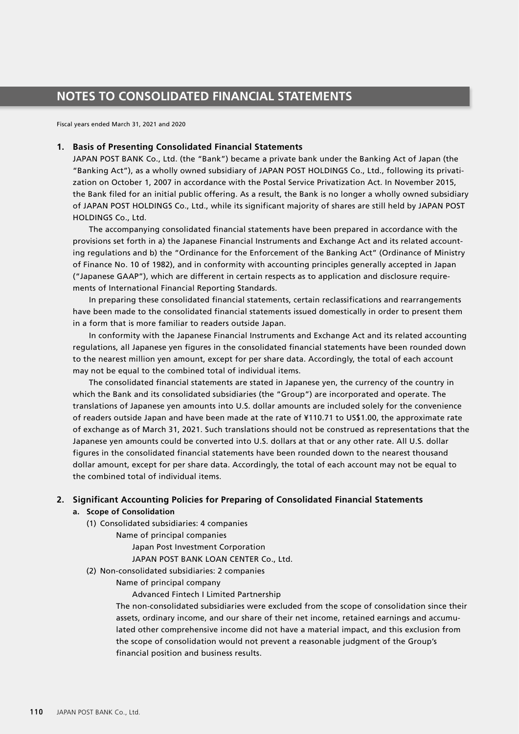#### **NOTES TO CONSOLIDATED FINANCIAL STATEMENTS**

Fiscal years ended March 31, 2021 and 2020

#### **1. Basis of Presenting Consolidated Financial Statements**

JAPAN POST BANK Co., Ltd. (the "Bank") became a private bank under the Banking Act of Japan (the "Banking Act"), as a wholly owned subsidiary of JAPAN POST HOLDINGS Co., Ltd., following its privatization on October 1, 2007 in accordance with the Postal Service Privatization Act. In November 2015, the Bank filed for an initial public offering. As a result, the Bank is no longer a wholly owned subsidiary of JAPAN POST HOLDINGS Co., Ltd., while its significant majority of shares are still held by JAPAN POST HOLDINGS Co., Ltd.

The accompanying consolidated financial statements have been prepared in accordance with the provisions set forth in a) the Japanese Financial Instruments and Exchange Act and its related accounting regulations and b) the "Ordinance for the Enforcement of the Banking Act" (Ordinance of Ministry of Finance No. 10 of 1982), and in conformity with accounting principles generally accepted in Japan ("Japanese GAAP"), which are different in certain respects as to application and disclosure requirements of International Financial Reporting Standards.

In preparing these consolidated financial statements, certain reclassifications and rearrangements have been made to the consolidated financial statements issued domestically in order to present them in a form that is more familiar to readers outside Japan.

In conformity with the Japanese Financial Instruments and Exchange Act and its related accounting regulations, all Japanese yen figures in the consolidated financial statements have been rounded down to the nearest million yen amount, except for per share data. Accordingly, the total of each account may not be equal to the combined total of individual items.

The consolidated financial statements are stated in Japanese yen, the currency of the country in which the Bank and its consolidated subsidiaries (the "Group") are incorporated and operate. The translations of Japanese yen amounts into U.S. dollar amounts are included solely for the convenience of readers outside Japan and have been made at the rate of ¥110.71 to US\$1.00, the approximate rate of exchange as of March 31, 2021. Such translations should not be construed as representations that the Japanese yen amounts could be converted into U.S. dollars at that or any other rate. All U.S. dollar figures in the consolidated financial statements have been rounded down to the nearest thousand dollar amount, except for per share data. Accordingly, the total of each account may not be equal to the combined total of individual items.

#### **2. Significant Accounting Policies for Preparing of Consolidated Financial Statements**

#### **a. Scope of Consolidation**

(1) Consolidated subsidiaries: 4 companies

Name of principal companies

Japan Post Investment Corporation

JAPAN POST BANK LOAN CENTER Co., Ltd.

(2) Non-consolidated subsidiaries: 2 companies

#### Name of principal company

Advanced Fintech I Limited Partnership

 The non-consolidated subsidiaries were excluded from the scope of consolidation since their assets, ordinary income, and our share of their net income, retained earnings and accumulated other comprehensive income did not have a material impact, and this exclusion from the scope of consolidation would not prevent a reasonable judgment of the Group's financial position and business results.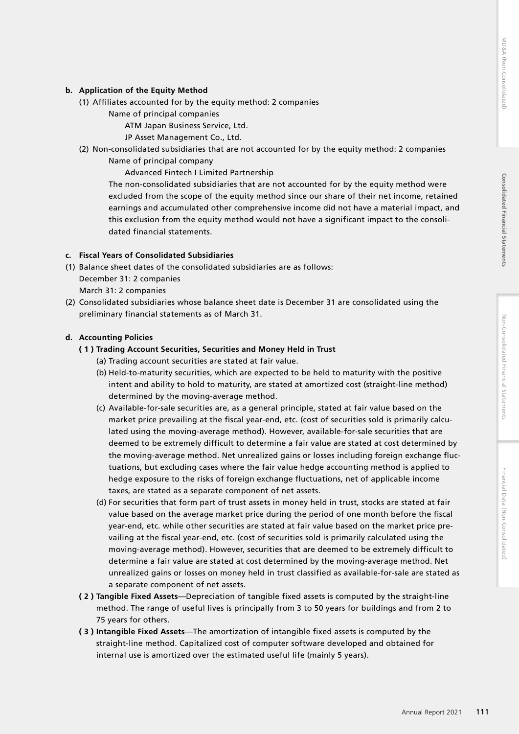# Financial Data (Non-Consolidated)

#### **b. Application of the Equity Method**

- (1) Affiliates accounted for by the equity method: 2 companies
	- Name of principal companies
		- ATM Japan Business Service, Ltd.
		- JP Asset Management Co., Ltd.
- (2) Non-consolidated subsidiaries that are not accounted for by the equity method: 2 companies Name of principal company

Advanced Fintech I Limited Partnership

 The non-consolidated subsidiaries that are not accounted for by the equity method were excluded from the scope of the equity method since our share of their net income, retained earnings and accumulated other comprehensive income did not have a material impact, and this exclusion from the equity method would not have a significant impact to the consolidated financial statements.

#### **c. Fiscal Years of Consolidated Subsidiaries**

- (1) Balance sheet dates of the consolidated subsidiaries are as follows: December 31: 2 companies March 31: 2 companies
- (2) Consolidated subsidiaries whose balance sheet date is December 31 are consolidated using the preliminary financial statements as of March 31.

#### **d. Accounting Policies**

- **( 1 ) Trading Account Securities, Securities and Money Held in Trust**
	- (a) Trading account securities are stated at fair value.
	- (b) Held-to-maturity securities, which are expected to be held to maturity with the positive intent and ability to hold to maturity, are stated at amortized cost (straight-line method) determined by the moving-average method.
	- (c) Available-for-sale securities are, as a general principle, stated at fair value based on the market price prevailing at the fiscal year-end, etc. (cost of securities sold is primarily calculated using the moving-average method). However, available-for-sale securities that are deemed to be extremely difficult to determine a fair value are stated at cost determined by the moving-average method. Net unrealized gains or losses including foreign exchange fluctuations, but excluding cases where the fair value hedge accounting method is applied to hedge exposure to the risks of foreign exchange fluctuations, net of applicable income taxes, are stated as a separate component of net assets.
	- (d) For securities that form part of trust assets in money held in trust, stocks are stated at fair value based on the average market price during the period of one month before the fiscal year-end, etc. while other securities are stated at fair value based on the market price prevailing at the fiscal year-end, etc. (cost of securities sold is primarily calculated using the moving-average method). However, securities that are deemed to be extremely difficult to determine a fair value are stated at cost determined by the moving-average method. Net unrealized gains or losses on money held in trust classified as available-for-sale are stated as a separate component of net assets.
- **( 2 ) Tangible Fixed Assets**—Depreciation of tangible fixed assets is computed by the straight-line method. The range of useful lives is principally from 3 to 50 years for buildings and from 2 to 75 years for others.
- **( 3 ) Intangible Fixed Assets**—The amortization of intangible fixed assets is computed by the straight-line method. Capitalized cost of computer software developed and obtained for internal use is amortized over the estimated useful life (mainly 5 years).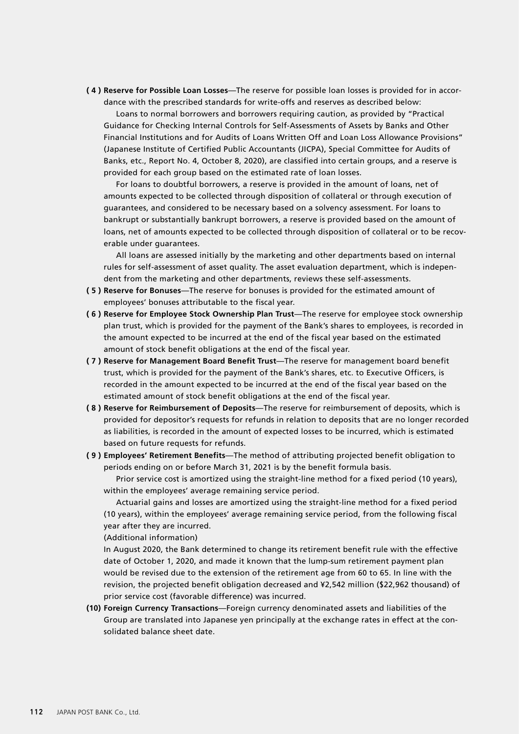**( 4 ) Reserve for Possible Loan Losses**—The reserve for possible loan losses is provided for in accordance with the prescribed standards for write-offs and reserves as described below:

 Loans to normal borrowers and borrowers requiring caution, as provided by "Practical Guidance for Checking Internal Controls for Self-Assessments of Assets by Banks and Other Financial Institutions and for Audits of Loans Written Off and Loan Loss Allowance Provisions" (Japanese Institute of Certified Public Accountants (JICPA), Special Committee for Audits of Banks, etc., Report No. 4, October 8, 2020), are classified into certain groups, and a reserve is provided for each group based on the estimated rate of loan losses.

 For loans to doubtful borrowers, a reserve is provided in the amount of loans, net of amounts expected to be collected through disposition of collateral or through execution of guarantees, and considered to be necessary based on a solvency assessment. For loans to bankrupt or substantially bankrupt borrowers, a reserve is provided based on the amount of loans, net of amounts expected to be collected through disposition of collateral or to be recoverable under guarantees.

 All loans are assessed initially by the marketing and other departments based on internal rules for self-assessment of asset quality. The asset evaluation department, which is independent from the marketing and other departments, reviews these self-assessments.

- **( 5 ) Reserve for Bonuses**—The reserve for bonuses is provided for the estimated amount of employees' bonuses attributable to the fiscal year.
- **( 6 ) Reserve for Employee Stock Ownership Plan Trust**—The reserve for employee stock ownership plan trust, which is provided for the payment of the Bank's shares to employees, is recorded in the amount expected to be incurred at the end of the fiscal year based on the estimated amount of stock benefit obligations at the end of the fiscal year.
- **( 7 ) Reserve for Management Board Benefit Trust**—The reserve for management board benefit trust, which is provided for the payment of the Bank's shares, etc. to Executive Officers, is recorded in the amount expected to be incurred at the end of the fiscal year based on the estimated amount of stock benefit obligations at the end of the fiscal year.
- **( 8 ) Reserve for Reimbursement of Deposits**—The reserve for reimbursement of deposits, which is provided for depositor's requests for refunds in relation to deposits that are no longer recorded as liabilities, is recorded in the amount of expected losses to be incurred, which is estimated based on future requests for refunds.
- **( 9 ) Employees' Retirement Benefits**—The method of attributing projected benefit obligation to periods ending on or before March 31, 2021 is by the benefit formula basis. Prior service cost is amortized using the straight-line method for a fixed period (10 years),

within the employees' average remaining service period.

 Actuarial gains and losses are amortized using the straight-line method for a fixed period (10 years), within the employees' average remaining service period, from the following fiscal year after they are incurred.

(Additional information)

 In August 2020, the Bank determined to change its retirement benefit rule with the effective date of October 1, 2020, and made it known that the lump-sum retirement payment plan would be revised due to the extension of the retirement age from 60 to 65. In line with the revision, the projected benefit obligation decreased and ¥2,542 million (\$22,962 thousand) of prior service cost (favorable difference) was incurred.

**(10) Foreign Currency Transactions**—Foreign currency denominated assets and liabilities of the Group are translated into Japanese yen principally at the exchange rates in effect at the consolidated balance sheet date.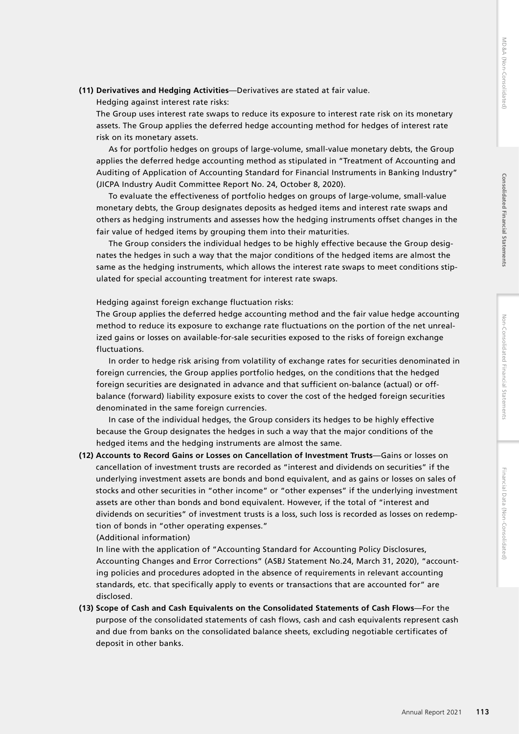#### **(11) Derivatives and Hedging Activities**—Derivatives are stated at fair value.

Hedging against interest rate risks:

 The Group uses interest rate swaps to reduce its exposure to interest rate risk on its monetary assets. The Group applies the deferred hedge accounting method for hedges of interest rate risk on its monetary assets.

 As for portfolio hedges on groups of large-volume, small-value monetary debts, the Group applies the deferred hedge accounting method as stipulated in "Treatment of Accounting and Auditing of Application of Accounting Standard for Financial Instruments in Banking Industry" (JICPA Industry Audit Committee Report No. 24, October 8, 2020).

 To evaluate the effectiveness of portfolio hedges on groups of large-volume, small-value monetary debts, the Group designates deposits as hedged items and interest rate swaps and others as hedging instruments and assesses how the hedging instruments offset changes in the fair value of hedged items by grouping them into their maturities.

 The Group considers the individual hedges to be highly effective because the Group designates the hedges in such a way that the major conditions of the hedged items are almost the same as the hedging instruments, which allows the interest rate swaps to meet conditions stipulated for special accounting treatment for interest rate swaps.

Hedging against foreign exchange fluctuation risks:

 The Group applies the deferred hedge accounting method and the fair value hedge accounting method to reduce its exposure to exchange rate fluctuations on the portion of the net unrealized gains or losses on available-for-sale securities exposed to the risks of foreign exchange fluctuations.

 In order to hedge risk arising from volatility of exchange rates for securities denominated in foreign currencies, the Group applies portfolio hedges, on the conditions that the hedged foreign securities are designated in advance and that sufficient on-balance (actual) or offbalance (forward) liability exposure exists to cover the cost of the hedged foreign securities denominated in the same foreign currencies.

 In case of the individual hedges, the Group considers its hedges to be highly effective because the Group designates the hedges in such a way that the major conditions of the hedged items and the hedging instruments are almost the same.

**(12) Accounts to Record Gains or Losses on Cancellation of Investment Trusts**—Gains or losses on cancellation of investment trusts are recorded as "interest and dividends on securities" if the underlying investment assets are bonds and bond equivalent, and as gains or losses on sales of stocks and other securities in "other income" or "other expenses" if the underlying investment assets are other than bonds and bond equivalent. However, if the total of "interest and dividends on securities" of investment trusts is a loss, such loss is recorded as losses on redemption of bonds in "other operating expenses."

(Additional information)

 In line with the application of "Accounting Standard for Accounting Policy Disclosures, Accounting Changes and Error Corrections" (ASBJ Statement No.24, March 31, 2020), "accounting policies and procedures adopted in the absence of requirements in relevant accounting standards, etc. that specifically apply to events or transactions that are accounted for" are disclosed.

**(13) Scope of Cash and Cash Equivalents on the Consolidated Statements of Cash Flows**—For the purpose of the consolidated statements of cash flows, cash and cash equivalents represent cash and due from banks on the consolidated balance sheets, excluding negotiable certificates of deposit in other banks.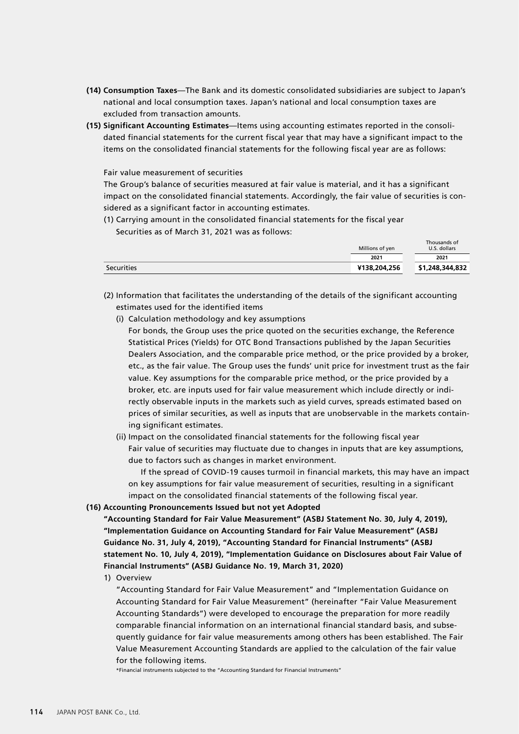- **(14) Consumption Taxes**—The Bank and its domestic consolidated subsidiaries are subject to Japan's national and local consumption taxes. Japan's national and local consumption taxes are excluded from transaction amounts.
- **(15) Significant Accounting Estimates**—Items using accounting estimates reported in the consolidated financial statements for the current fiscal year that may have a significant impact to the items on the consolidated financial statements for the following fiscal year are as follows:

#### Fair value measurement of securities

 The Group's balance of securities measured at fair value is material, and it has a significant impact on the consolidated financial statements. Accordingly, the fair value of securities is considered as a significant factor in accounting estimates.

 (1) Carrying amount in the consolidated financial statements for the fiscal year Securities as of March 31, 2021 was as follows:

| <b>Securities</b> | ¥138,204,256    | \$1,248,344,832              |
|-------------------|-----------------|------------------------------|
|                   | 2021            | 2021                         |
|                   | Millions of yen | Thousands of<br>U.S. dollars |

- (2) Information that facilitates the understanding of the details of the significant accounting estimates used for the identified items
	- (i) Calculation methodology and key assumptions

 For bonds, the Group uses the price quoted on the securities exchange, the Reference Statistical Prices (Yields) for OTC Bond Transactions published by the Japan Securities Dealers Association, and the comparable price method, or the price provided by a broker, etc., as the fair value. The Group uses the funds' unit price for investment trust as the fair value. Key assumptions for the comparable price method, or the price provided by a broker, etc. are inputs used for fair value measurement which include directly or indirectly observable inputs in the markets such as yield curves, spreads estimated based on prices of similar securities, as well as inputs that are unobservable in the markets containing significant estimates.

 (ii) Impact on the consolidated financial statements for the following fiscal year Fair value of securities may fluctuate due to changes in inputs that are key assumptions, due to factors such as changes in market environment.

 If the spread of COVID-19 causes turmoil in financial markets, this may have an impact on key assumptions for fair value measurement of securities, resulting in a significant impact on the consolidated financial statements of the following fiscal year.

**(16) Accounting Pronouncements Issued but not yet Adopted**

 **"Accounting Standard for Fair Value Measurement" (ASBJ Statement No. 30, July 4, 2019), "Implementation Guidance on Accounting Standard for Fair Value Measurement" (ASBJ Guidance No. 31, July 4, 2019), "Accounting Standard for Financial Instruments" (ASBJ statement No. 10, July 4, 2019), "Implementation Guidance on Disclosures about Fair Value of Financial Instruments" (ASBJ Guidance No. 19, March 31, 2020)**

1) Overview

 "Accounting Standard for Fair Value Measurement" and "Implementation Guidance on Accounting Standard for Fair Value Measurement" (hereinafter "Fair Value Measurement Accounting Standards") were developed to encourage the preparation for more readily comparable financial information on an international financial standard basis, and subsequently guidance for fair value measurements among others has been established. The Fair Value Measurement Accounting Standards are applied to the calculation of the fair value for the following items.

\*Financial instruments subjected to the "Accounting Standard for Financial Instruments"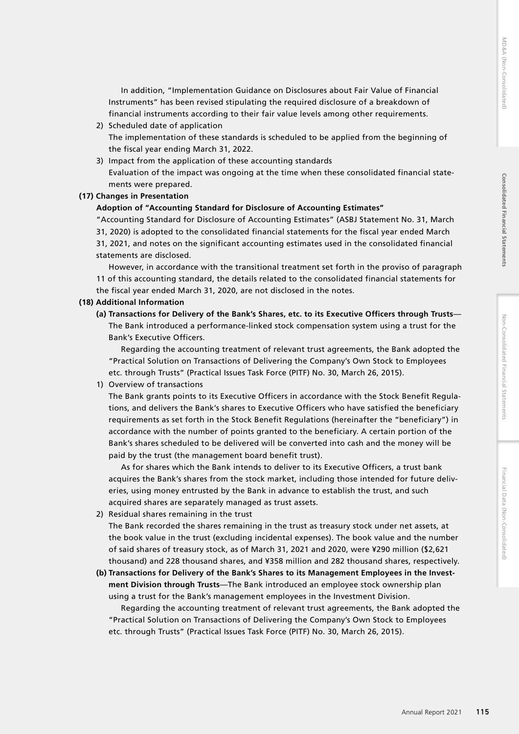Financial Data (Non-Consolidated)

 In addition, "Implementation Guidance on Disclosures about Fair Value of Financial Instruments" has been revised stipulating the required disclosure of a breakdown of financial instruments according to their fair value levels among other requirements.

- 2) Scheduled date of application The implementation of these standards is scheduled to be applied from the beginning of the fiscal year ending March 31, 2022.
- 3) Impact from the application of these accounting standards Evaluation of the impact was ongoing at the time when these consolidated financial statements were prepared.

#### **(17) Changes in Presentation**

#### **Adoption of "Accounting Standard for Disclosure of Accounting Estimates"**

 "Accounting Standard for Disclosure of Accounting Estimates" (ASBJ Statement No. 31, March 31, 2020) is adopted to the consolidated financial statements for the fiscal year ended March 31, 2021, and notes on the significant accounting estimates used in the consolidated financial statements are disclosed.

 However, in accordance with the transitional treatment set forth in the proviso of paragraph 11 of this accounting standard, the details related to the consolidated financial statements for the fiscal year ended March 31, 2020, are not disclosed in the notes.

#### **(18) Additional Information**

 **(a) Transactions for Delivery of the Bank's Shares, etc. to its Executive Officers through Trusts**— The Bank introduced a performance-linked stock compensation system using a trust for the Bank's Executive Officers.

 Regarding the accounting treatment of relevant trust agreements, the Bank adopted the "Practical Solution on Transactions of Delivering the Company's Own Stock to Employees etc. through Trusts" (Practical Issues Task Force (PITF) No. 30, March 26, 2015).

1) Overview of transactions

 The Bank grants points to its Executive Officers in accordance with the Stock Benefit Regulations, and delivers the Bank's shares to Executive Officers who have satisfied the beneficiary requirements as set forth in the Stock Benefit Regulations (hereinafter the "beneficiary") in accordance with the number of points granted to the beneficiary. A certain portion of the Bank's shares scheduled to be delivered will be converted into cash and the money will be paid by the trust (the management board benefit trust).

 As for shares which the Bank intends to deliver to its Executive Officers, a trust bank acquires the Bank's shares from the stock market, including those intended for future deliveries, using money entrusted by the Bank in advance to establish the trust, and such acquired shares are separately managed as trust assets.

2) Residual shares remaining in the trust

 The Bank recorded the shares remaining in the trust as treasury stock under net assets, at the book value in the trust (excluding incidental expenses). The book value and the number of said shares of treasury stock, as of March 31, 2021 and 2020, were ¥290 million (\$2,621 thousand) and 228 thousand shares, and ¥358 million and 282 thousand shares, respectively.

 **(b) Transactions for Delivery of the Bank's Shares to its Management Employees in the Investment Division through Trusts**—The Bank introduced an employee stock ownership plan using a trust for the Bank's management employees in the Investment Division.

 Regarding the accounting treatment of relevant trust agreements, the Bank adopted the "Practical Solution on Transactions of Delivering the Company's Own Stock to Employees etc. through Trusts" (Practical Issues Task Force (PITF) No. 30, March 26, 2015).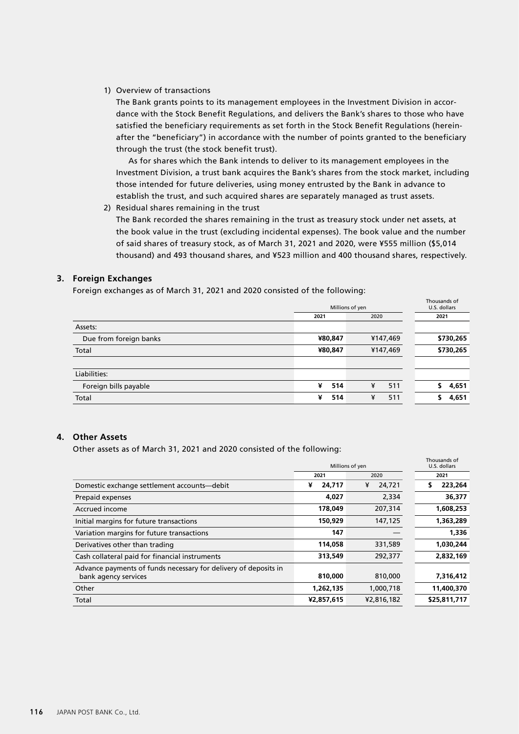#### 1) Overview of transactions

 The Bank grants points to its management employees in the Investment Division in accordance with the Stock Benefit Regulations, and delivers the Bank's shares to those who have satisfied the beneficiary requirements as set forth in the Stock Benefit Regulations (hereinafter the "beneficiary") in accordance with the number of points granted to the beneficiary through the trust (the stock benefit trust).

 As for shares which the Bank intends to deliver to its management employees in the Investment Division, a trust bank acquires the Bank's shares from the stock market, including those intended for future deliveries, using money entrusted by the Bank in advance to establish the trust, and such acquired shares are separately managed as trust assets.

2) Residual shares remaining in the trust

 The Bank recorded the shares remaining in the trust as treasury stock under net assets, at the book value in the trust (excluding incidental expenses). The book value and the number of said shares of treasury stock, as of March 31, 2021 and 2020, were ¥555 million (\$5,014 thousand) and 493 thousand shares, and ¥523 million and 400 thousand shares, respectively.

#### **3. Foreign Exchanges**

Foreign exchanges as of March 31, 2021 and 2020 consisted of the following:

|                        | Millions of yen | Thousands of<br>U.S. dollars |           |
|------------------------|-----------------|------------------------------|-----------|
|                        | 2021            | 2020                         | 2021      |
| Assets:                |                 |                              |           |
| Due from foreign banks | ¥80,847         | ¥147,469                     | \$730,265 |
| Total                  | ¥80,847         | ¥147,469                     | \$730,265 |
|                        |                 |                              |           |
| Liabilities:           |                 |                              |           |
| Foreign bills payable  | ¥<br>514        | ¥<br>511                     | 4,651     |
| Total                  | ¥<br>514        | ¥<br>511                     | 4,651     |

#### **4. Other Assets**

Other assets as of March 31, 2021 and 2020 consisted of the following:

|                                                                                         | Millions of yen | Thousands of<br>U.S. dollars |              |
|-----------------------------------------------------------------------------------------|-----------------|------------------------------|--------------|
|                                                                                         | 2021            | 2020                         | 2021         |
| Domestic exchange settlement accounts-debit                                             | 24,717<br>¥     | ¥<br>24,721                  | 223,264      |
| Prepaid expenses                                                                        | 4,027           | 2,334                        | 36,377       |
| Accrued income                                                                          | 178,049         | 207,314                      | 1,608,253    |
| Initial margins for future transactions                                                 | 150,929         | 147,125                      | 1,363,289    |
| Variation margins for future transactions                                               | 147             |                              | 1,336        |
| Derivatives other than trading                                                          | 114,058         | 331,589                      | 1,030,244    |
| Cash collateral paid for financial instruments                                          | 313,549         | 292,377                      | 2,832,169    |
| Advance payments of funds necessary for delivery of deposits in<br>bank agency services | 810,000         | 810,000                      | 7,316,412    |
| Other                                                                                   | 1,262,135       | 1,000,718                    | 11,400,370   |
| Total                                                                                   | ¥2,857,615      | ¥2,816,182                   | \$25,811,717 |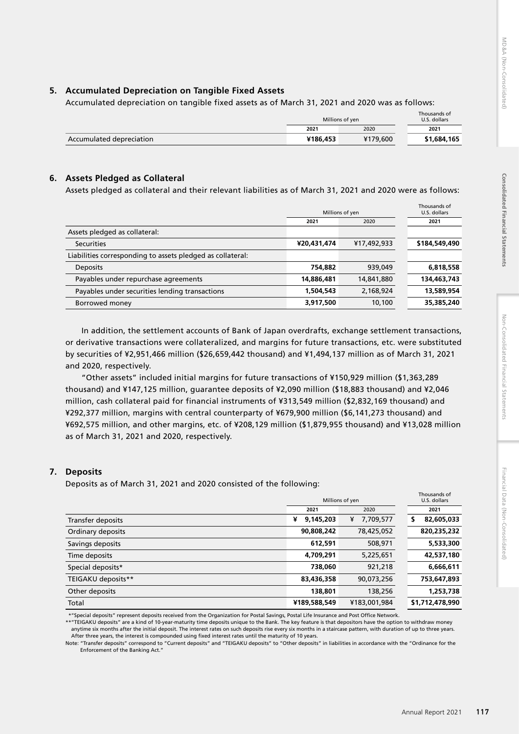#### **5. Accumulated Depreciation on Tangible Fixed Assets**

Accumulated depreciation on tangible fixed assets as of March 31, 2021 and 2020 was as follows:

|                          | Millions of yen | Thousands of<br>U.S. dollars |             |
|--------------------------|-----------------|------------------------------|-------------|
|                          | 2021            | 2020                         | 2021        |
| Accumulated depreciation | ¥186,453        | ¥179,600                     | \$1,684,165 |

#### **6. Assets Pledged as Collateral**

Assets pledged as collateral and their relevant liabilities as of March 31, 2021 and 2020 were as follows:

|                                                            | Millions of yen | Thousands of<br>U.S. dollars |               |
|------------------------------------------------------------|-----------------|------------------------------|---------------|
|                                                            | 2020<br>2021    |                              | 2021          |
| Assets pledged as collateral:                              |                 |                              |               |
| <b>Securities</b>                                          | ¥20,431,474     | ¥17,492,933                  | \$184,549,490 |
| Liabilities corresponding to assets pledged as collateral: |                 |                              |               |
| <b>Deposits</b>                                            | 754.882         | 939,049                      | 6,818,558     |
| Payables under repurchase agreements                       | 14,886,481      | 14,841,880                   | 134,463,743   |
| Payables under securities lending transactions             | 1,504,543       | 2,168,924                    | 13,589,954    |
| Borrowed money                                             | 3,917,500       | 10,100                       | 35,385,240    |

In addition, the settlement accounts of Bank of Japan overdrafts, exchange settlement transactions, or derivative transactions were collateralized, and margins for future transactions, etc. were substituted by securities of ¥2,951,466 million (\$26,659,442 thousand) and ¥1,494,137 million as of March 31, 2021 and 2020, respectively.

"Other assets" included initial margins for future transactions of ¥150,929 million (\$1,363,289 thousand) and ¥147,125 million, guarantee deposits of ¥2,090 million (\$18,883 thousand) and ¥2,046 million, cash collateral paid for financial instruments of ¥313,549 million (\$2,832,169 thousand) and ¥292,377 million, margins with central counterparty of ¥679,900 million (\$6,141,273 thousand) and ¥692,575 million, and other margins, etc. of ¥208,129 million (\$1,879,955 thousand) and ¥13,028 million as of March 31, 2021 and 2020, respectively.

#### **7. Deposits**

Deposits as of March 31, 2021 and 2020 consisted of the following:

|                    | Millions of yen | Thousands of<br>U.S. dollars |                  |
|--------------------|-----------------|------------------------------|------------------|
|                    | 2021            | 2020                         | 2021             |
| Transfer deposits  | 9,145,203<br>¥  | ¥<br>7,709,577               | \$<br>82,605,033 |
| Ordinary deposits  | 90,808,242      | 78,425,052                   | 820,235,232      |
| Savings deposits   | 612,591         | 508,971                      | 5,533,300        |
| Time deposits      | 4,709,291       | 5,225,651                    | 42,537,180       |
| Special deposits*  | 738,060         | 921,218                      | 6,666,611        |
| TEIGAKU deposits** | 83,436,358      | 90,073,256                   | 753,647,893      |
| Other deposits     | 138,801         | 138,256                      | 1,253,738        |
| Total              | ¥189,588,549    | ¥183,001,984                 | \$1,712,478,990  |

\*"Special deposits" represent deposits received from the Organization for Postal Savings, Postal Life Insurance and Post Office Network.

\*\*"TEIGAKU deposits" are a kind of 10-year-maturity time deposits unique to the Bank. The key feature is that depositors have the option to withdraw money anytime six months after the initial deposit. The interest rates on such deposits rise every six months in a staircase pattern, with duration of up to three years. After three years, the interest is compounded using fixed interest rates until the maturity of 10 years.

Note: "Transfer deposits" correspond to "Current deposits" and "TEIGAKU deposits" to "Other deposits" in liabilities in accordance with the "Ordinance for the Enforcement of the Banking Act."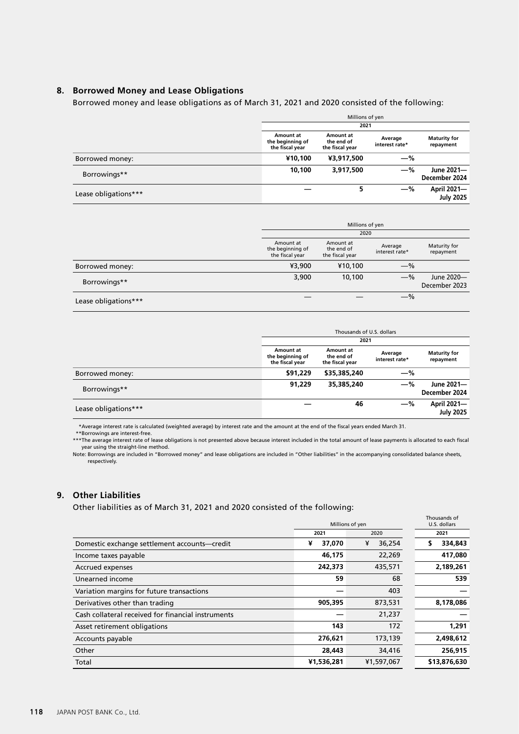#### **8. Borrowed Money and Lease Obligations**

Borrowed money and lease obligations as of March 31, 2021 and 2020 consisted of the following:

|                      | Millions of yen                                         |                                            |                           |                                  |  |
|----------------------|---------------------------------------------------------|--------------------------------------------|---------------------------|----------------------------------|--|
|                      |                                                         | 2021                                       |                           |                                  |  |
|                      | <b>Amount at</b><br>the beginning of<br>the fiscal year | Amount at<br>the end of<br>the fiscal year | Average<br>interest rate* | <b>Maturity for</b><br>repayment |  |
| Borrowed money:      | ¥10,100                                                 | ¥3,917,500                                 | -%                        |                                  |  |
| Borrowings**         | 10,100                                                  | 3,917,500                                  | $-%$                      | June 2021-<br>December 2024      |  |
| Lease obligations*** |                                                         | 5                                          | $-%$                      | April 2021-<br><b>July 2025</b>  |  |

|                      |                                                  | Millions of yen           |                           |                             |  |  |  |
|----------------------|--------------------------------------------------|---------------------------|---------------------------|-----------------------------|--|--|--|
|                      |                                                  | 2020                      |                           |                             |  |  |  |
|                      | Amount at<br>the beginning of<br>the fiscal year | Average<br>interest rate* | Maturity for<br>repayment |                             |  |  |  |
| Borrowed money:      | ¥3,900                                           | ¥10,100                   | $-$ %                     |                             |  |  |  |
| Borrowings**         | 3,900                                            | 10,100                    | $-$ %                     | June 2020-<br>December 2023 |  |  |  |
| Lease obligations*** |                                                  |                           | $-$ %                     |                             |  |  |  |

|                      | Thousands of U.S. dollars                        |                                            |                           |                                  |  |  |
|----------------------|--------------------------------------------------|--------------------------------------------|---------------------------|----------------------------------|--|--|
|                      |                                                  | 2021                                       |                           |                                  |  |  |
|                      | Amount at<br>the beginning of<br>the fiscal year | Amount at<br>the end of<br>the fiscal year | Average<br>interest rate* | <b>Maturity for</b><br>repayment |  |  |
| Borrowed money:      | \$91,229                                         | \$35,385,240                               | $-%$                      |                                  |  |  |
| Borrowings**         | 91.229                                           | 35,385,240                                 | $-%$                      | June 2021-<br>December 2024      |  |  |
| Lease obligations*** |                                                  | 46                                         | $-%$                      | April 2021-<br><b>July 2025</b>  |  |  |

\*Average interest rate is calculated (weighted average) by interest rate and the amount at the end of the fiscal years ended March 31.

\*\*Borrowings are interest-free.

\*\*\*The average interest rate of lease obligations is not presented above because interest included in the total amount of lease payments is allocated to each fiscal year using the straight-line method.

Note: Borrowings are included in "Borrowed money" and lease obligations are included in "Other liabilities" in the accompanying consolidated balance sheets, respectively.

#### **9. Other Liabilities**

Other liabilities as of March 31, 2021 and 2020 consisted of the following:

|                                                    | Millions of yen | Thousands of<br>U.S. dollars |               |
|----------------------------------------------------|-----------------|------------------------------|---------------|
|                                                    | 2021            | 2020                         | 2021          |
| Domestic exchange settlement accounts-credit       | ¥<br>37,070     | ¥<br>36,254                  | \$<br>334,843 |
| Income taxes payable                               | 46,175          | 22,269                       | 417,080       |
| <b>Accrued expenses</b>                            | 242.373         | 435,571                      | 2,189,261     |
| Unearned income                                    | 59              | 68                           | 539           |
| Variation margins for future transactions          |                 | 403                          |               |
| Derivatives other than trading                     | 905,395         | 873,531                      | 8,178,086     |
| Cash collateral received for financial instruments |                 | 21,237                       |               |
| Asset retirement obligations                       | 143             | 172                          | 1,291         |
| Accounts payable                                   | 276,621         | 173,139                      | 2,498,612     |
| Other                                              | 28,443          | 34,416                       | 256,915       |
| Total                                              | ¥1,536,281      | ¥1,597,067                   | \$13,876,630  |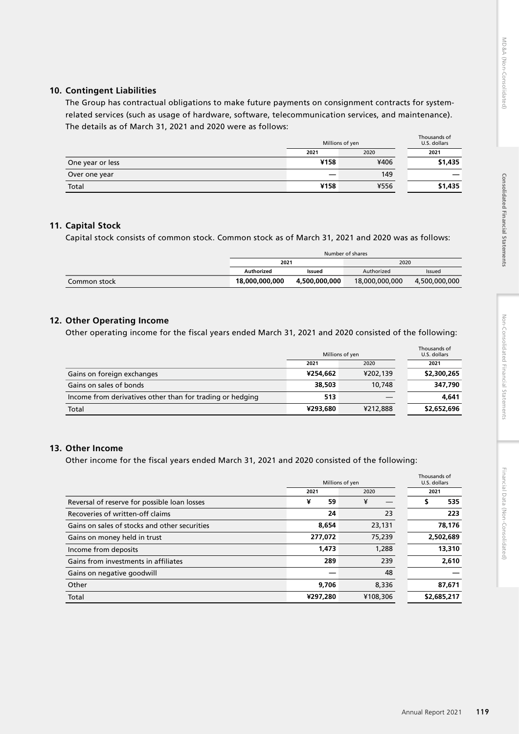#### **10. Contingent Liabilities**

The Group has contractual obligations to make future payments on consignment contracts for systemrelated services (such as usage of hardware, software, telecommunication services, and maintenance). The details as of March 31, 2021 and 2020 were as follows:

|                  | Millions of yen | Thousands of<br>U.S. dollars |         |
|------------------|-----------------|------------------------------|---------|
|                  | 2021            | 2020                         | 2021    |
| One year or less | ¥158            | ¥406                         | \$1,435 |
| Over one year    |                 | 149                          |         |
| Total            | ¥158            | ¥556                         | \$1,435 |

#### **11. Capital Stock**

Capital stock consists of common stock. Common stock as of March 31, 2021 and 2020 was as follows:

|              | Number of shares     |               |                |               |  |
|--------------|----------------------|---------------|----------------|---------------|--|
|              | 2020<br>2021         |               |                |               |  |
|              | Authorized<br>Issued |               | Authorized     | Issued        |  |
| Common stock | 18,000,000,000       | 4,500,000,000 | 18,000,000,000 | 4,500,000,000 |  |

#### **12. Other Operating Income**

Other operating income for the fiscal years ended March 31, 2021 and 2020 consisted of the following:

|                                                           |          | Millions of yen | Thousands of<br>U.S. dollars |
|-----------------------------------------------------------|----------|-----------------|------------------------------|
|                                                           | 2021     | 2020            | 2021                         |
| Gains on foreign exchanges                                | ¥254,662 | ¥202,139        | \$2,300,265                  |
| Gains on sales of bonds                                   | 38,503   | 10,748          | 347,790                      |
| Income from derivatives other than for trading or hedging | 513      |                 | 4,641                        |
| Total                                                     | ¥293,680 | ¥212,888        | \$2,652,696                  |

#### **13. Other Income**

Other income for the fiscal years ended March 31, 2021 and 2020 consisted of the following:

|                                               | Millions of yen | Thousands of<br>U.S. dollars |             |
|-----------------------------------------------|-----------------|------------------------------|-------------|
|                                               | 2021            | 2020                         | 2021        |
| Reversal of reserve for possible loan losses  | ¥<br>59         | ¥                            | 535<br>S    |
| Recoveries of written-off claims              | 24              | 23                           | 223         |
| Gains on sales of stocks and other securities | 8,654           | 23,131                       | 78,176      |
| Gains on money held in trust                  | 277,072         | 75,239                       | 2,502,689   |
| Income from deposits                          | 1.473           | 1,288                        | 13,310      |
| Gains from investments in affiliates          | 289             | 239                          | 2,610       |
| Gains on negative goodwill                    |                 | 48                           |             |
| Other                                         | 9.706           | 8,336                        | 87,671      |
| Total                                         | ¥297.280        | ¥108,306                     | \$2,685,217 |
|                                               |                 |                              |             |

Annual Report 2021 119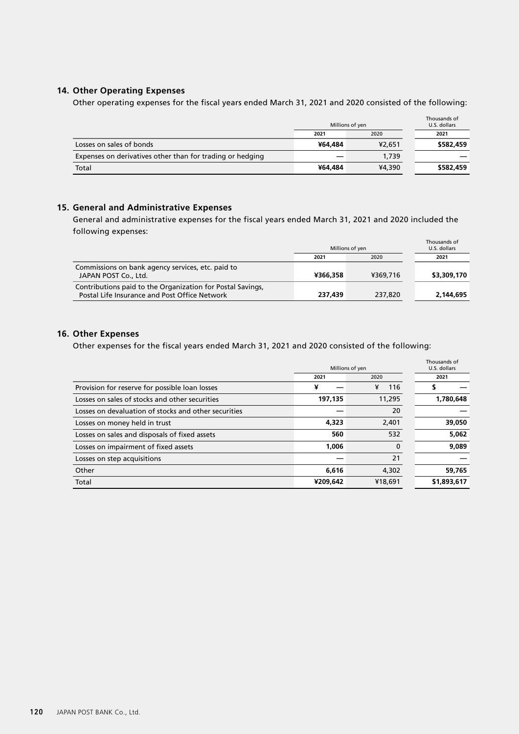#### **14. Other Operating Expenses**

Other operating expenses for the fiscal years ended March 31, 2021 and 2020 consisted of the following:

|                                                           | Millions of yen | Thousands of<br>U.S. dollars |           |
|-----------------------------------------------------------|-----------------|------------------------------|-----------|
|                                                           | 2021            | 2020                         | 2021      |
| Losses on sales of bonds                                  | ¥64.484         | ¥2,651                       | \$582,459 |
| Expenses on derivatives other than for trading or hedging | _               | 1,739                        |           |
| Total                                                     | ¥64.484         | ¥4,390                       | \$582,459 |

#### **15. General and Administrative Expenses**

General and administrative expenses for the fiscal years ended March 31, 2021 and 2020 included the following expenses:

|                                                                                                             | Millions of yen | Thousands of<br>U.S. dollars |             |
|-------------------------------------------------------------------------------------------------------------|-----------------|------------------------------|-------------|
|                                                                                                             | 2021            | 2020                         | 2021        |
| Commissions on bank agency services, etc. paid to<br>JAPAN POST Co., Ltd.                                   | ¥366,358        | ¥369,716                     | \$3,309,170 |
| Contributions paid to the Organization for Postal Savings,<br>Postal Life Insurance and Post Office Network | 237,439         | 237,820                      | 2,144,695   |

#### **16. Other Expenses**

Other expenses for the fiscal years ended March 31, 2021 and 2020 consisted of the following:

|                                                      | Millions of yen | Thousands of<br>U.S. dollars |             |
|------------------------------------------------------|-----------------|------------------------------|-------------|
|                                                      | 2021            | 2020                         | 2021        |
| Provision for reserve for possible loan losses       | ¥               | ¥<br>116                     | \$          |
| Losses on sales of stocks and other securities       | 197,135         | 11,295                       | 1,780,648   |
| Losses on devaluation of stocks and other securities |                 | 20                           |             |
| Losses on money held in trust                        | 4,323           | 2,401                        | 39,050      |
| Losses on sales and disposals of fixed assets        | 560             | 532                          | 5,062       |
| Losses on impairment of fixed assets                 | 1.006           | 0                            | 9.089       |
| Losses on step acquisitions                          |                 | 21                           |             |
| Other                                                | 6.616           | 4,302                        | 59,765      |
| Total                                                | ¥209,642        | ¥18,691                      | \$1,893,617 |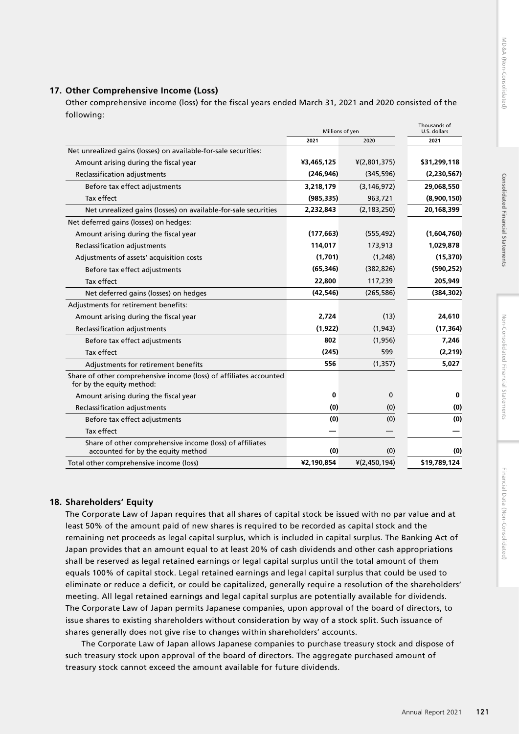#### **17. Other Comprehensive Income (Loss)**

Other comprehensive income (loss) for the fiscal years ended March 31, 2021 and 2020 consisted of the following:

| 2021<br>2021<br>2020<br>Net unrealized gains (losses) on available-for-sale securities:<br>\$31,299,118<br>¥3,465,125<br>¥(2,801,375)<br>Amount arising during the fiscal year<br>(246, 946)<br>(345, 596)<br>Reclassification adjustments<br>Before tax effect adjustments<br>29,068,550<br>3,218,179<br>(3, 146, 972)<br>Tax effect<br>963,721<br>(985, 335)<br>(2, 183, 250)<br>20,168,399<br>Net unrealized gains (losses) on available-for-sale securities<br>2,232,843<br>Net deferred gains (losses) on hedges:<br>(177, 663)<br>(555, 492)<br>Amount arising during the fiscal year<br>114,017<br>173,913<br>1,029,878<br>Reclassification adjustments<br>(1,701)<br>Adjustments of assets' acquisition costs<br>(1,248)<br>(65, 346)<br>(382, 826)<br>Before tax effect adjustments<br>205,949<br>22,800<br>117,239<br>Tax effect<br>(42, 546)<br>Net deferred gains (losses) on hedges<br>(265, 586)<br>Adjustments for retirement benefits:<br>(13)<br>2,724<br>24,610<br>Amount arising during the fiscal year<br>(1, 922)<br>(1, 943)<br>Reclassification adjustments<br>802<br>7.246<br>(1,956)<br>Before tax effect adjustments<br>(245)<br>599<br>Tax effect<br>(1, 357)<br>5,027<br>556<br>Adjustments for retirement benefits<br>Share of other comprehensive income (loss) of affiliates accounted<br>for by the equity method:<br>$\mathbf 0$<br>0<br>0<br>Amount arising during the fiscal year<br>(0)<br>Reclassification adjustments<br>(0)<br>(0)<br>(0)<br>Before tax effect adjustments<br>Tax effect<br>Share of other comprehensive income (loss) of affiliates<br>(0)<br>accounted for by the equity method<br>(0)<br>(0)<br>4(2, 450, 194)<br>\$19,789,124<br>¥2,190,854<br>Total other comprehensive income (loss) |  | Millions of yen | Thousands of<br>U.S. dollars |
|---------------------------------------------------------------------------------------------------------------------------------------------------------------------------------------------------------------------------------------------------------------------------------------------------------------------------------------------------------------------------------------------------------------------------------------------------------------------------------------------------------------------------------------------------------------------------------------------------------------------------------------------------------------------------------------------------------------------------------------------------------------------------------------------------------------------------------------------------------------------------------------------------------------------------------------------------------------------------------------------------------------------------------------------------------------------------------------------------------------------------------------------------------------------------------------------------------------------------------------------------------------------------------------------------------------------------------------------------------------------------------------------------------------------------------------------------------------------------------------------------------------------------------------------------------------------------------------------------------------------------------------------------------------------------------------------------------------------------------------------------|--|-----------------|------------------------------|
|                                                                                                                                                                                                                                                                                                                                                                                                                                                                                                                                                                                                                                                                                                                                                                                                                                                                                                                                                                                                                                                                                                                                                                                                                                                                                                                                                                                                                                                                                                                                                                                                                                                                                                                                                   |  |                 |                              |
|                                                                                                                                                                                                                                                                                                                                                                                                                                                                                                                                                                                                                                                                                                                                                                                                                                                                                                                                                                                                                                                                                                                                                                                                                                                                                                                                                                                                                                                                                                                                                                                                                                                                                                                                                   |  |                 |                              |
|                                                                                                                                                                                                                                                                                                                                                                                                                                                                                                                                                                                                                                                                                                                                                                                                                                                                                                                                                                                                                                                                                                                                                                                                                                                                                                                                                                                                                                                                                                                                                                                                                                                                                                                                                   |  |                 |                              |
|                                                                                                                                                                                                                                                                                                                                                                                                                                                                                                                                                                                                                                                                                                                                                                                                                                                                                                                                                                                                                                                                                                                                                                                                                                                                                                                                                                                                                                                                                                                                                                                                                                                                                                                                                   |  |                 | (2, 230, 567)                |
|                                                                                                                                                                                                                                                                                                                                                                                                                                                                                                                                                                                                                                                                                                                                                                                                                                                                                                                                                                                                                                                                                                                                                                                                                                                                                                                                                                                                                                                                                                                                                                                                                                                                                                                                                   |  |                 |                              |
|                                                                                                                                                                                                                                                                                                                                                                                                                                                                                                                                                                                                                                                                                                                                                                                                                                                                                                                                                                                                                                                                                                                                                                                                                                                                                                                                                                                                                                                                                                                                                                                                                                                                                                                                                   |  |                 | (8,900,150)                  |
|                                                                                                                                                                                                                                                                                                                                                                                                                                                                                                                                                                                                                                                                                                                                                                                                                                                                                                                                                                                                                                                                                                                                                                                                                                                                                                                                                                                                                                                                                                                                                                                                                                                                                                                                                   |  |                 |                              |
|                                                                                                                                                                                                                                                                                                                                                                                                                                                                                                                                                                                                                                                                                                                                                                                                                                                                                                                                                                                                                                                                                                                                                                                                                                                                                                                                                                                                                                                                                                                                                                                                                                                                                                                                                   |  |                 |                              |
|                                                                                                                                                                                                                                                                                                                                                                                                                                                                                                                                                                                                                                                                                                                                                                                                                                                                                                                                                                                                                                                                                                                                                                                                                                                                                                                                                                                                                                                                                                                                                                                                                                                                                                                                                   |  |                 | (1,604,760)                  |
|                                                                                                                                                                                                                                                                                                                                                                                                                                                                                                                                                                                                                                                                                                                                                                                                                                                                                                                                                                                                                                                                                                                                                                                                                                                                                                                                                                                                                                                                                                                                                                                                                                                                                                                                                   |  |                 |                              |
|                                                                                                                                                                                                                                                                                                                                                                                                                                                                                                                                                                                                                                                                                                                                                                                                                                                                                                                                                                                                                                                                                                                                                                                                                                                                                                                                                                                                                                                                                                                                                                                                                                                                                                                                                   |  |                 | (15, 370)                    |
|                                                                                                                                                                                                                                                                                                                                                                                                                                                                                                                                                                                                                                                                                                                                                                                                                                                                                                                                                                                                                                                                                                                                                                                                                                                                                                                                                                                                                                                                                                                                                                                                                                                                                                                                                   |  |                 | (590, 252)                   |
|                                                                                                                                                                                                                                                                                                                                                                                                                                                                                                                                                                                                                                                                                                                                                                                                                                                                                                                                                                                                                                                                                                                                                                                                                                                                                                                                                                                                                                                                                                                                                                                                                                                                                                                                                   |  |                 |                              |
|                                                                                                                                                                                                                                                                                                                                                                                                                                                                                                                                                                                                                                                                                                                                                                                                                                                                                                                                                                                                                                                                                                                                                                                                                                                                                                                                                                                                                                                                                                                                                                                                                                                                                                                                                   |  |                 | (384, 302)                   |
|                                                                                                                                                                                                                                                                                                                                                                                                                                                                                                                                                                                                                                                                                                                                                                                                                                                                                                                                                                                                                                                                                                                                                                                                                                                                                                                                                                                                                                                                                                                                                                                                                                                                                                                                                   |  |                 |                              |
|                                                                                                                                                                                                                                                                                                                                                                                                                                                                                                                                                                                                                                                                                                                                                                                                                                                                                                                                                                                                                                                                                                                                                                                                                                                                                                                                                                                                                                                                                                                                                                                                                                                                                                                                                   |  |                 |                              |
|                                                                                                                                                                                                                                                                                                                                                                                                                                                                                                                                                                                                                                                                                                                                                                                                                                                                                                                                                                                                                                                                                                                                                                                                                                                                                                                                                                                                                                                                                                                                                                                                                                                                                                                                                   |  |                 | (17, 364)                    |
|                                                                                                                                                                                                                                                                                                                                                                                                                                                                                                                                                                                                                                                                                                                                                                                                                                                                                                                                                                                                                                                                                                                                                                                                                                                                                                                                                                                                                                                                                                                                                                                                                                                                                                                                                   |  |                 |                              |
|                                                                                                                                                                                                                                                                                                                                                                                                                                                                                                                                                                                                                                                                                                                                                                                                                                                                                                                                                                                                                                                                                                                                                                                                                                                                                                                                                                                                                                                                                                                                                                                                                                                                                                                                                   |  |                 | (2, 219)                     |
|                                                                                                                                                                                                                                                                                                                                                                                                                                                                                                                                                                                                                                                                                                                                                                                                                                                                                                                                                                                                                                                                                                                                                                                                                                                                                                                                                                                                                                                                                                                                                                                                                                                                                                                                                   |  |                 |                              |
|                                                                                                                                                                                                                                                                                                                                                                                                                                                                                                                                                                                                                                                                                                                                                                                                                                                                                                                                                                                                                                                                                                                                                                                                                                                                                                                                                                                                                                                                                                                                                                                                                                                                                                                                                   |  |                 |                              |
|                                                                                                                                                                                                                                                                                                                                                                                                                                                                                                                                                                                                                                                                                                                                                                                                                                                                                                                                                                                                                                                                                                                                                                                                                                                                                                                                                                                                                                                                                                                                                                                                                                                                                                                                                   |  |                 |                              |
|                                                                                                                                                                                                                                                                                                                                                                                                                                                                                                                                                                                                                                                                                                                                                                                                                                                                                                                                                                                                                                                                                                                                                                                                                                                                                                                                                                                                                                                                                                                                                                                                                                                                                                                                                   |  |                 | (0)                          |
|                                                                                                                                                                                                                                                                                                                                                                                                                                                                                                                                                                                                                                                                                                                                                                                                                                                                                                                                                                                                                                                                                                                                                                                                                                                                                                                                                                                                                                                                                                                                                                                                                                                                                                                                                   |  |                 | (0)                          |
|                                                                                                                                                                                                                                                                                                                                                                                                                                                                                                                                                                                                                                                                                                                                                                                                                                                                                                                                                                                                                                                                                                                                                                                                                                                                                                                                                                                                                                                                                                                                                                                                                                                                                                                                                   |  |                 |                              |
|                                                                                                                                                                                                                                                                                                                                                                                                                                                                                                                                                                                                                                                                                                                                                                                                                                                                                                                                                                                                                                                                                                                                                                                                                                                                                                                                                                                                                                                                                                                                                                                                                                                                                                                                                   |  |                 |                              |
|                                                                                                                                                                                                                                                                                                                                                                                                                                                                                                                                                                                                                                                                                                                                                                                                                                                                                                                                                                                                                                                                                                                                                                                                                                                                                                                                                                                                                                                                                                                                                                                                                                                                                                                                                   |  |                 |                              |

#### **18. Shareholders' Equity**

The Corporate Law of Japan requires that all shares of capital stock be issued with no par value and at least 50% of the amount paid of new shares is required to be recorded as capital stock and the remaining net proceeds as legal capital surplus, which is included in capital surplus. The Banking Act of Japan provides that an amount equal to at least 20% of cash dividends and other cash appropriations shall be reserved as legal retained earnings or legal capital surplus until the total amount of them equals 100% of capital stock. Legal retained earnings and legal capital surplus that could be used to eliminate or reduce a deficit, or could be capitalized, generally require a resolution of the shareholders' meeting. All legal retained earnings and legal capital surplus are potentially available for dividends. The Corporate Law of Japan permits Japanese companies, upon approval of the board of directors, to issue shares to existing shareholders without consideration by way of a stock split. Such issuance of shares generally does not give rise to changes within shareholders' accounts.

The Corporate Law of Japan allows Japanese companies to purchase treasury stock and dispose of such treasury stock upon approval of the board of directors. The aggregate purchased amount of treasury stock cannot exceed the amount available for future dividends.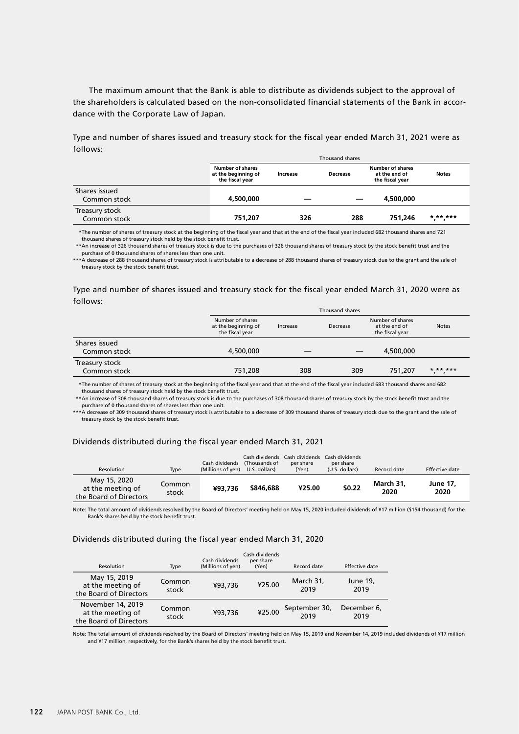The maximum amount that the Bank is able to distribute as dividends subject to the approval of the shareholders is calculated based on the non-consolidated financial statements of the Bank in accordance with the Corporate Law of Japan.

Type and number of shares issued and treasury stock for the fiscal year ended March 31, 2021 were as follows:

|                                | Thousand shares                                                   |          |                 |                                                             |              |  |
|--------------------------------|-------------------------------------------------------------------|----------|-----------------|-------------------------------------------------------------|--------------|--|
|                                | <b>Number of shares</b><br>at the beginning of<br>the fiscal year | Increase | <b>Decrease</b> | <b>Number of shares</b><br>at the end of<br>the fiscal year | <b>Notes</b> |  |
| Shares issued<br>Common stock  | 4,500,000                                                         | _        |                 | 4.500.000                                                   |              |  |
| Treasury stock<br>Common stock | 751.207                                                           | 326      | 288             | 751.246                                                     | * ** ***     |  |

 \*The number of shares of treasury stock at the beginning of the fiscal year and that at the end of the fiscal year included 682 thousand shares and 721 thousand shares of treasury stock held by the stock benefit trust.

\*\*An increase of 326 thousand shares of treasury stock is due to the purchases of 326 thousand shares of treasury stock by the stock benefit trust and the purchase of 0 thousand shares of shares less than one unit.

\*\*\*A decrease of 288 thousand shares of treasury stock is attributable to a decrease of 288 thousand shares of treasury stock due to the grant and the sale of treasury stock by the stock benefit trust.

#### Type and number of shares issued and treasury stock for the fiscal year ended March 31, 2020 were as follows:

|                                |                                                            | Thousand shares |          |                                                      |              |  |  |  |
|--------------------------------|------------------------------------------------------------|-----------------|----------|------------------------------------------------------|--------------|--|--|--|
|                                | Number of shares<br>at the beginning of<br>the fiscal year | Increase        | Decrease | Number of shares<br>at the end of<br>the fiscal year | <b>Notes</b> |  |  |  |
| Shares issued<br>Common stock  | 4,500,000                                                  |                 |          | 4,500,000                                            |              |  |  |  |
| Treasury stock<br>Common stock | 751,208                                                    | 308             | 309      | 751,207                                              | * ** ***     |  |  |  |

 \*The number of shares of treasury stock at the beginning of the fiscal year and that at the end of the fiscal year included 683 thousand shares and 682 thousand shares of treasury stock held by the stock benefit trust.

\*\*An increase of 308 thousand shares of treasury stock is due to the purchases of 308 thousand shares of treasury stock by the stock benefit trust and the purchase of 0 thousand shares of shares less than one unit.

\*\*\*A decrease of 309 thousand shares of treasury stock is attributable to a decrease of 309 thousand shares of treasury stock due to the grant and the sale of treasury stock by the stock benefit trust.

#### Dividends distributed during the fiscal year ended March 31, 2021

| Resolution                                                  | Type            | Cash dividends<br>(Millions of yen) | (Thousands of<br>U.S. dollars) | Cash dividends Cash dividends<br>per share<br>(Yen) | Cash dividends<br>per share<br>(U.S. dollars) | Record date       | Effective date          |
|-------------------------------------------------------------|-----------------|-------------------------------------|--------------------------------|-----------------------------------------------------|-----------------------------------------------|-------------------|-------------------------|
| May 15, 2020<br>at the meeting of<br>the Board of Directors | Common<br>stock | ¥93.736                             | \$846,688                      | ¥25.00                                              | \$0.22                                        | March 31,<br>2020 | <b>June 17,</b><br>2020 |

Note: The total amount of dividends resolved by the Board of Directors' meeting held on May 15, 2020 included dividends of ¥17 million (\$154 thousand) for the Bank's shares held by the stock benefit trust.

#### Dividends distributed during the fiscal year ended March 31, 2020

| Resolution                                                       | Type            | Cash dividends<br>(Millions of yen) | Cash dividends<br>per share<br>(Yen) | Record date           | Effective date      |
|------------------------------------------------------------------|-----------------|-------------------------------------|--------------------------------------|-----------------------|---------------------|
| May 15, 2019<br>at the meeting of<br>the Board of Directors      | Common<br>stock | ¥93,736                             | ¥25.00                               | March 31,<br>2019     | June 19,<br>2019    |
| November 14, 2019<br>at the meeting of<br>the Board of Directors | Common<br>stock | ¥93,736                             | ¥25.00                               | September 30,<br>2019 | December 6,<br>2019 |

Note: The total amount of dividends resolved by the Board of Directors' meeting held on May 15, 2019 and November 14, 2019 included dividends of ¥17 million and ¥17 million, respectively, for the Bank's shares held by the stock benefit trust.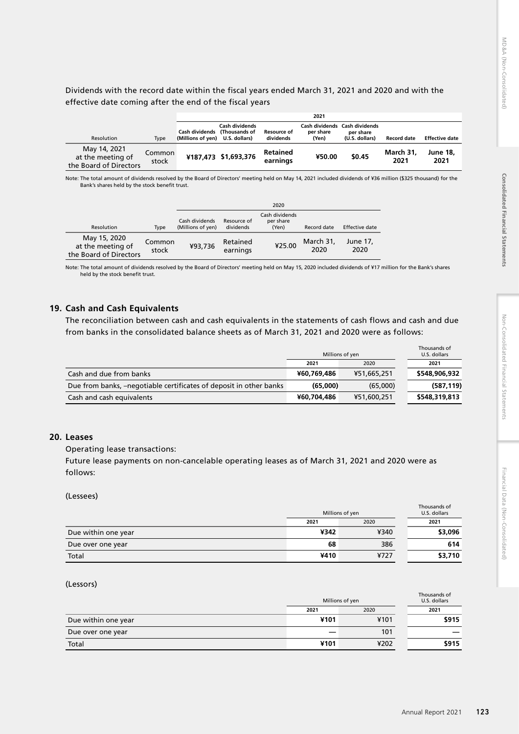Dividends with the record date within the fiscal years ended March 31, 2021 and 2020 and with the effective date coming after the end of the fiscal years

|                                                             |                 |                                                                 |                      |                                 | 2021               |                                                              |                    |                         |
|-------------------------------------------------------------|-----------------|-----------------------------------------------------------------|----------------------|---------------------------------|--------------------|--------------------------------------------------------------|--------------------|-------------------------|
| Resolution                                                  | Type            | Cash dividends (Thousands of<br>(Millions of yen) U.S. dollars) | Cash dividends       | <b>Resource of</b><br>dividends | per share<br>(Yen) | Cash dividends Cash dividends<br>per share<br>(U.S. dollars) | <b>Record date</b> | <b>Effective date</b>   |
| May 14, 2021<br>at the meeting of<br>the Board of Directors | Common<br>stock |                                                                 | ¥187,473 \$1,693,376 | <b>Retained</b><br>earnings     | ¥50.00             | \$0.45                                                       | March 31.<br>2021  | <b>June 18.</b><br>2021 |

Note: The total amount of dividends resolved by the Board of Directors' meeting held on May 14, 2021 included dividends of ¥36 million (\$325 thousand) for the Bank's shares held by the stock benefit trust.

|                                                             |                 | 2020                                |                          |                                      |                   |                       |  |
|-------------------------------------------------------------|-----------------|-------------------------------------|--------------------------|--------------------------------------|-------------------|-----------------------|--|
| Resolution                                                  | Type            | Cash dividends<br>(Millions of yen) | Resource of<br>dividends | Cash dividends<br>per share<br>(Yen) | Record date       | <b>Effective date</b> |  |
| May 15, 2020<br>at the meeting of<br>the Board of Directors | Common<br>stock | ¥93,736                             | Retained<br>earnings     | ¥25.00                               | March 31,<br>2020 | June 17,<br>2020      |  |

Note: The total amount of dividends resolved by the Board of Directors' meeting held on May 15, 2020 included dividends of ¥17 million for the Bank's shares held by the stock benefit trust.

#### **19. Cash and Cash Equivalents**

The reconciliation between cash and cash equivalents in the statements of cash flows and cash and due from banks in the consolidated balance sheets as of March 31, 2021 and 2020 were as follows:

|                                                                           | Millions of yen |             | Thousands of<br>U.S. dollars |
|---------------------------------------------------------------------------|-----------------|-------------|------------------------------|
|                                                                           | 2021            | 2020        | 2021                         |
| Cash and due from banks                                                   | ¥60.769.486     | ¥51,665,251 | \$548,906,932                |
| Due from banks, $-\neq$ negotiable certificates of deposit in other banks | (65.000)        | (65,000)    | (587, 119)                   |
| Cash and cash equivalents                                                 | ¥60.704.486     | ¥51,600,251 | \$548,319,813                |

#### **20. Leases**

Operating lease transactions:

Future lease payments on non-cancelable operating leases as of March 31, 2021 and 2020 were as follows:

#### (Lessees)

|                     | Millions of yen | Thousands of<br>U.S. dollars |         |
|---------------------|-----------------|------------------------------|---------|
|                     | 2021            | 2020                         | 2021    |
| Due within one year | ¥342            | ¥340                         | \$3,096 |
| Due over one year   | 68              | 386                          | 614     |
| Total               | ¥410            | ¥727                         | \$3,710 |

#### (Lessors)

|                     | Millions of yen | Thousands of<br>U.S. dollars |       |
|---------------------|-----------------|------------------------------|-------|
|                     | 2021            | 2020                         | 2021  |
| Due within one year | ¥101            | ¥101                         | \$915 |
| Due over one year   |                 | 101                          |       |
| Total               | ¥101            | ¥202                         | \$915 |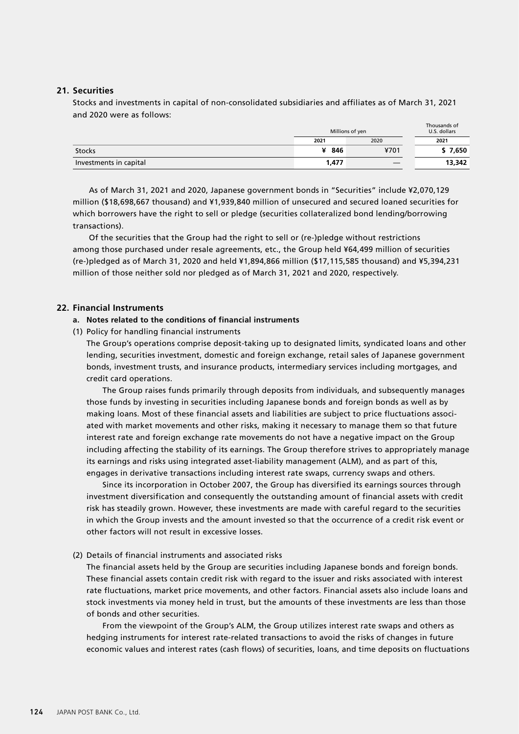#### **21. Securities**

Stocks and investments in capital of non-consolidated subsidiaries and affiliates as of March 31, 2021 and 2020 were as follows:

|                        | Millions of yen | Thousands of<br>U.S. dollars |         |
|------------------------|-----------------|------------------------------|---------|
|                        | 2021            | 2020                         | 2021    |
| <b>Stocks</b>          | ¥ 846           | ¥701                         | \$7,650 |
| Investments in capital | 1.477           |                              | 13,342  |

As of March 31, 2021 and 2020, Japanese government bonds in "Securities" include ¥2,070,129 million (\$18,698,667 thousand) and ¥1,939,840 million of unsecured and secured loaned securities for which borrowers have the right to sell or pledge (securities collateralized bond lending/borrowing transactions).

Of the securities that the Group had the right to sell or (re-)pledge without restrictions among those purchased under resale agreements, etc., the Group held ¥64,499 million of securities (re-)pledged as of March 31, 2020 and held ¥1,894,866 million (\$17,115,585 thousand) and ¥5,394,231 million of those neither sold nor pledged as of March 31, 2021 and 2020, respectively.

#### **22. Financial Instruments**

#### **a. Notes related to the conditions of financial instruments**

(1) Policy for handling financial instruments

The Group's operations comprise deposit-taking up to designated limits, syndicated loans and other lending, securities investment, domestic and foreign exchange, retail sales of Japanese government bonds, investment trusts, and insurance products, intermediary services including mortgages, and credit card operations.

The Group raises funds primarily through deposits from individuals, and subsequently manages those funds by investing in securities including Japanese bonds and foreign bonds as well as by making loans. Most of these financial assets and liabilities are subject to price fluctuations associated with market movements and other risks, making it necessary to manage them so that future interest rate and foreign exchange rate movements do not have a negative impact on the Group including affecting the stability of its earnings. The Group therefore strives to appropriately manage its earnings and risks using integrated asset-liability management (ALM), and as part of this, engages in derivative transactions including interest rate swaps, currency swaps and others.

Since its incorporation in October 2007, the Group has diversified its earnings sources through investment diversification and consequently the outstanding amount of financial assets with credit risk has steadily grown. However, these investments are made with careful regard to the securities in which the Group invests and the amount invested so that the occurrence of a credit risk event or other factors will not result in excessive losses.

#### (2) Details of financial instruments and associated risks

The financial assets held by the Group are securities including Japanese bonds and foreign bonds. These financial assets contain credit risk with regard to the issuer and risks associated with interest rate fluctuations, market price movements, and other factors. Financial assets also include loans and stock investments via money held in trust, but the amounts of these investments are less than those of bonds and other securities.

From the viewpoint of the Group's ALM, the Group utilizes interest rate swaps and others as hedging instruments for interest rate-related transactions to avoid the risks of changes in future economic values and interest rates (cash flows) of securities, loans, and time deposits on fluctuations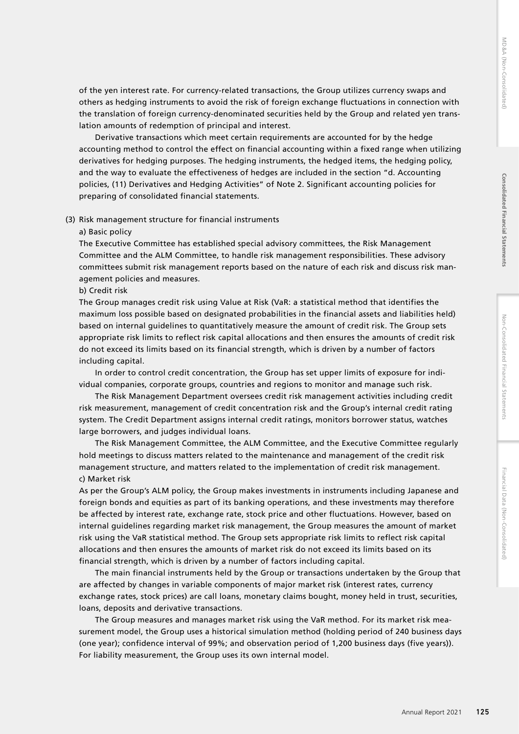of the yen interest rate. For currency-related transactions, the Group utilizes currency swaps and others as hedging instruments to avoid the risk of foreign exchange fluctuations in connection with the translation of foreign currency-denominated securities held by the Group and related yen translation amounts of redemption of principal and interest.

Derivative transactions which meet certain requirements are accounted for by the hedge accounting method to control the effect on financial accounting within a fixed range when utilizing derivatives for hedging purposes. The hedging instruments, the hedged items, the hedging policy, and the way to evaluate the effectiveness of hedges are included in the section "d. Accounting policies, (11) Derivatives and Hedging Activities" of Note 2. Significant accounting policies for preparing of consolidated financial statements.

#### (3) Risk management structure for financial instruments

#### a) Basic policy

The Executive Committee has established special advisory committees, the Risk Management Committee and the ALM Committee, to handle risk management responsibilities. These advisory committees submit risk management reports based on the nature of each risk and discuss risk management policies and measures.

b) Credit risk

The Group manages credit risk using Value at Risk (VaR: a statistical method that identifies the maximum loss possible based on designated probabilities in the financial assets and liabilities held) based on internal guidelines to quantitatively measure the amount of credit risk. The Group sets appropriate risk limits to reflect risk capital allocations and then ensures the amounts of credit risk do not exceed its limits based on its financial strength, which is driven by a number of factors including capital.

In order to control credit concentration, the Group has set upper limits of exposure for individual companies, corporate groups, countries and regions to monitor and manage such risk.

The Risk Management Department oversees credit risk management activities including credit risk measurement, management of credit concentration risk and the Group's internal credit rating system. The Credit Department assigns internal credit ratings, monitors borrower status, watches large borrowers, and judges individual loans.

The Risk Management Committee, the ALM Committee, and the Executive Committee regularly hold meetings to discuss matters related to the maintenance and management of the credit risk management structure, and matters related to the implementation of credit risk management. c) Market risk

As per the Group's ALM policy, the Group makes investments in instruments including Japanese and foreign bonds and equities as part of its banking operations, and these investments may therefore be affected by interest rate, exchange rate, stock price and other fluctuations. However, based on internal guidelines regarding market risk management, the Group measures the amount of market risk using the VaR statistical method. The Group sets appropriate risk limits to reflect risk capital allocations and then ensures the amounts of market risk do not exceed its limits based on its financial strength, which is driven by a number of factors including capital.

The main financial instruments held by the Group or transactions undertaken by the Group that are affected by changes in variable components of major market risk (interest rates, currency exchange rates, stock prices) are call loans, monetary claims bought, money held in trust, securities, loans, deposits and derivative transactions.

The Group measures and manages market risk using the VaR method. For its market risk measurement model, the Group uses a historical simulation method (holding period of 240 business days (one year); confidence interval of 99%; and observation period of 1,200 business days (five years)). For liability measurement, the Group uses its own internal model.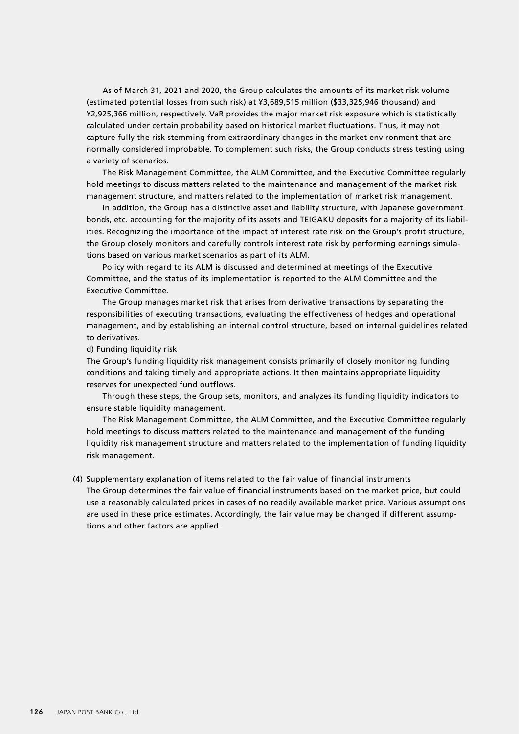As of March 31, 2021 and 2020, the Group calculates the amounts of its market risk volume (estimated potential losses from such risk) at ¥3,689,515 million (\$33,325,946 thousand) and ¥2,925,366 million, respectively. VaR provides the major market risk exposure which is statistically calculated under certain probability based on historical market fluctuations. Thus, it may not capture fully the risk stemming from extraordinary changes in the market environment that are normally considered improbable. To complement such risks, the Group conducts stress testing using a variety of scenarios.

The Risk Management Committee, the ALM Committee, and the Executive Committee regularly hold meetings to discuss matters related to the maintenance and management of the market risk management structure, and matters related to the implementation of market risk management.

In addition, the Group has a distinctive asset and liability structure, with Japanese government bonds, etc. accounting for the majority of its assets and TEIGAKU deposits for a majority of its liabilities. Recognizing the importance of the impact of interest rate risk on the Group's profit structure, the Group closely monitors and carefully controls interest rate risk by performing earnings simulations based on various market scenarios as part of its ALM.

Policy with regard to its ALM is discussed and determined at meetings of the Executive Committee, and the status of its implementation is reported to the ALM Committee and the Executive Committee.

The Group manages market risk that arises from derivative transactions by separating the responsibilities of executing transactions, evaluating the effectiveness of hedges and operational management, and by establishing an internal control structure, based on internal guidelines related to derivatives.

d) Funding liquidity risk

The Group's funding liquidity risk management consists primarily of closely monitoring funding conditions and taking timely and appropriate actions. It then maintains appropriate liquidity reserves for unexpected fund outflows.

Through these steps, the Group sets, monitors, and analyzes its funding liquidity indicators to ensure stable liquidity management.

The Risk Management Committee, the ALM Committee, and the Executive Committee regularly hold meetings to discuss matters related to the maintenance and management of the funding liquidity risk management structure and matters related to the implementation of funding liquidity risk management.

(4) Supplementary explanation of items related to the fair value of financial instruments The Group determines the fair value of financial instruments based on the market price, but could use a reasonably calculated prices in cases of no readily available market price. Various assumptions are used in these price estimates. Accordingly, the fair value may be changed if different assumptions and other factors are applied.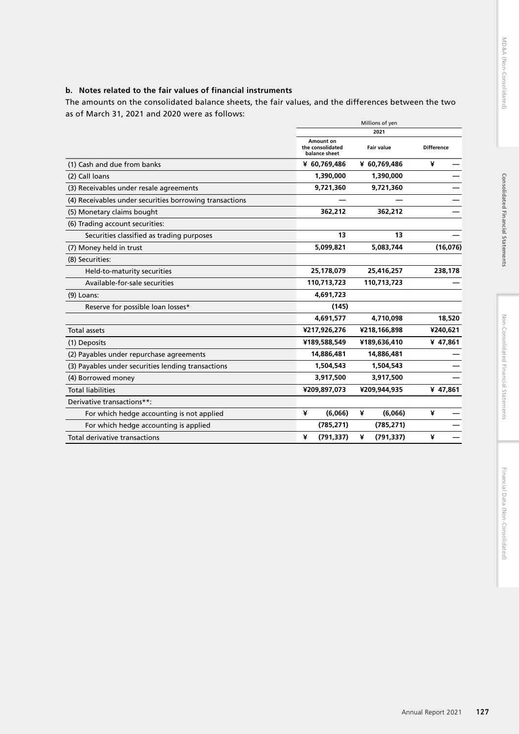#### **b. Notes related to the fair values of financial instruments**

The amounts on the consolidated balance sheets, the fair values, and the differences between the two as of March 31, 2021 and 2020 were as follows:

|                                                         | Millions of yen                                |                   |                   |  |  |  |
|---------------------------------------------------------|------------------------------------------------|-------------------|-------------------|--|--|--|
|                                                         |                                                | 2021              |                   |  |  |  |
|                                                         | Amount on<br>the consolidated<br>balance sheet | <b>Fair value</b> | <b>Difference</b> |  |  |  |
| (1) Cash and due from banks                             | ¥ 60,769,486                                   | ¥ 60,769,486      | ¥                 |  |  |  |
| (2) Call loans                                          | 1,390,000                                      | 1,390,000         |                   |  |  |  |
| (3) Receivables under resale agreements                 | 9,721,360                                      | 9,721,360         |                   |  |  |  |
| (4) Receivables under securities borrowing transactions |                                                |                   |                   |  |  |  |
| (5) Monetary claims bought                              | 362,212                                        | 362,212           |                   |  |  |  |
| (6) Trading account securities:                         |                                                |                   |                   |  |  |  |
| Securities classified as trading purposes               | 13                                             | 13                |                   |  |  |  |
| (7) Money held in trust                                 | 5,099,821                                      | 5,083,744         | (16,076)          |  |  |  |
| (8) Securities:                                         |                                                |                   |                   |  |  |  |
| Held-to-maturity securities                             | 25,178,079                                     | 25,416,257        | 238,178           |  |  |  |
| Available-for-sale securities                           | 110,713,723                                    | 110,713,723       |                   |  |  |  |
| $(9)$ Loans:                                            | 4,691,723                                      |                   |                   |  |  |  |
| Reserve for possible loan losses*                       | (145)                                          |                   |                   |  |  |  |
|                                                         | 4,691,577                                      | 4,710,098         | 18,520            |  |  |  |
| Total assets                                            | ¥217,926,276                                   | ¥218,166,898      | ¥240,621          |  |  |  |
| (1) Deposits                                            | ¥189,588,549                                   | ¥189,636,410      | ¥ 47,861          |  |  |  |
| (2) Payables under repurchase agreements                | 14,886,481                                     | 14,886,481        |                   |  |  |  |
| (3) Payables under securities lending transactions      | 1,504,543                                      | 1,504,543         |                   |  |  |  |
| (4) Borrowed money                                      | 3,917,500                                      | 3,917,500         |                   |  |  |  |
| <b>Total liabilities</b>                                | ¥209,897,073                                   | ¥209,944,935      | ¥ 47,861          |  |  |  |
| Derivative transactions**:                              |                                                |                   |                   |  |  |  |
| For which hedge accounting is not applied               | ¥<br>(6,066)                                   | (6,066)<br>¥      | ¥                 |  |  |  |
| For which hedge accounting is applied                   | (785, 271)                                     | (785, 271)        |                   |  |  |  |
| Total derivative transactions                           | (791, 337)<br>¥                                | (791, 337)<br>¥   | ¥                 |  |  |  |
|                                                         |                                                |                   |                   |  |  |  |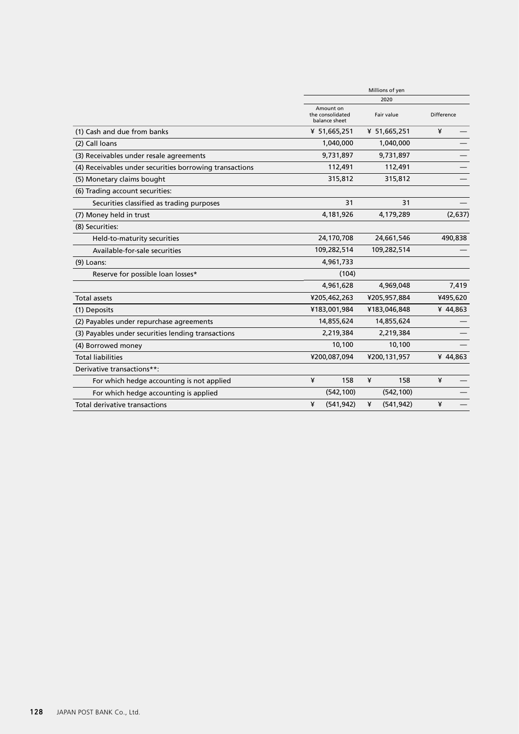|                                                         |                                                | Millions of yen |            |
|---------------------------------------------------------|------------------------------------------------|-----------------|------------|
|                                                         |                                                | 2020            |            |
|                                                         | Amount on<br>the consolidated<br>balance sheet | Fair value      | Difference |
| (1) Cash and due from banks                             | ¥ 51,665,251                                   | ¥ 51,665,251    | ¥          |
| (2) Call loans                                          | 1,040,000                                      | 1,040,000       |            |
| (3) Receivables under resale agreements                 | 9,731,897                                      | 9,731,897       |            |
| (4) Receivables under securities borrowing transactions | 112,491                                        | 112,491         |            |
| (5) Monetary claims bought                              | 315,812                                        | 315,812         |            |
| (6) Trading account securities:                         |                                                |                 |            |
| Securities classified as trading purposes               | 31                                             | 31              |            |
| (7) Money held in trust                                 | 4,181,926                                      | 4,179,289       | (2,637)    |
| (8) Securities:                                         |                                                |                 |            |
| Held-to-maturity securities                             | 24,170,708                                     | 24,661,546      | 490,838    |
| Available-for-sale securities                           | 109,282,514                                    | 109,282,514     |            |
| $(9)$ Loans:                                            | 4,961,733                                      |                 |            |
| Reserve for possible loan losses*                       | (104)                                          |                 |            |
|                                                         | 4,961,628                                      | 4,969,048       | 7,419      |
| <b>Total assets</b>                                     | ¥205,462,263                                   | ¥205,957,884    | ¥495,620   |
| (1) Deposits                                            | ¥183,001,984                                   | ¥183,046,848    | ¥ 44,863   |
| (2) Payables under repurchase agreements                | 14,855,624                                     | 14,855,624      |            |
| (3) Payables under securities lending transactions      | 2,219,384                                      | 2,219,384       |            |
| (4) Borrowed money                                      | 10,100                                         | 10,100          |            |
| <b>Total liabilities</b>                                | ¥200,087,094                                   | ¥200,131,957    | ¥ 44,863   |
| Derivative transactions**:                              |                                                |                 |            |
| For which hedge accounting is not applied               | 158<br>¥                                       | 158<br>¥        | ¥          |
| For which hedge accounting is applied                   | (542, 100)                                     | (542, 100)      |            |
| Total derivative transactions                           | ¥<br>(541, 942)                                | ¥<br>(541, 942) | ¥          |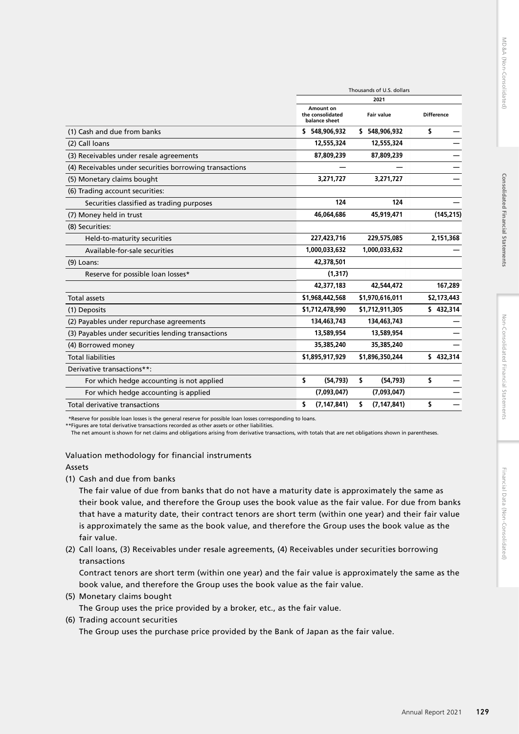|                                                         | Thousands of U.S. dollars                      |                     |                   |  |  |
|---------------------------------------------------------|------------------------------------------------|---------------------|-------------------|--|--|
|                                                         |                                                | 2021                |                   |  |  |
|                                                         | Amount on<br>the consolidated<br>balance sheet | <b>Fair value</b>   | <b>Difference</b> |  |  |
| (1) Cash and due from banks                             | \$548,906,932                                  | \$548,906,932       | \$                |  |  |
| (2) Call loans                                          | 12,555,324                                     | 12,555,324          |                   |  |  |
| (3) Receivables under resale agreements                 | 87,809,239                                     | 87,809,239          |                   |  |  |
| (4) Receivables under securities borrowing transactions |                                                |                     |                   |  |  |
| (5) Monetary claims bought                              | 3,271,727                                      | 3,271,727           |                   |  |  |
| (6) Trading account securities:                         |                                                |                     |                   |  |  |
| Securities classified as trading purposes               | 124                                            | 124                 |                   |  |  |
| (7) Money held in trust                                 | 46.064.686                                     | 45.919.471          | (145, 215)        |  |  |
| (8) Securities:                                         |                                                |                     |                   |  |  |
| Held-to-maturity securities                             | 227,423,716                                    | 229,575,085         | 2,151,368         |  |  |
| Available-for-sale securities                           | 1,000,033,632                                  | 1,000,033,632       |                   |  |  |
| $(9)$ Loans:                                            | 42,378,501                                     |                     |                   |  |  |
| Reserve for possible loan losses*                       | (1, 317)                                       |                     |                   |  |  |
|                                                         | 42,377,183                                     | 42,544,472          | 167,289           |  |  |
| <b>Total assets</b>                                     | \$1,968,442,568                                | \$1,970,616,011     | \$2,173,443       |  |  |
| (1) Deposits                                            | \$1,712,478,990                                | \$1,712,911,305     | \$432,314         |  |  |
| (2) Payables under repurchase agreements                | 134,463,743                                    | 134,463,743         |                   |  |  |
| (3) Payables under securities lending transactions      | 13,589,954                                     | 13,589,954          |                   |  |  |
| (4) Borrowed money                                      | 35,385,240                                     | 35,385,240          |                   |  |  |
| <b>Total liabilities</b>                                | \$1,895,917,929                                | \$1,896,350,244     | \$432,314         |  |  |
| Derivative transactions**:                              |                                                |                     |                   |  |  |
| For which hedge accounting is not applied               | \$<br>(54, 793)                                | \$<br>(54, 793)     | \$                |  |  |
| For which hedge accounting is applied                   | (7,093,047)                                    | (7,093,047)         |                   |  |  |
| <b>Total derivative transactions</b>                    | \$<br>(7, 147, 841)                            | \$<br>(7, 147, 841) | \$                |  |  |

\*Reserve for possible loan losses is the general reserve for possible loan losses corresponding to loans.

\*\*Figures are total derivative transactions recorded as other assets or other liabilities.

The net amount is shown for net claims and obligations arising from derivative transactions, with totals that are net obligations shown in parentheses.

#### Valuation methodology for financial instruments

Assets

(1) Cash and due from banks

The fair value of due from banks that do not have a maturity date is approximately the same as their book value, and therefore the Group uses the book value as the fair value. For due from banks that have a maturity date, their contract tenors are short term (within one year) and their fair value is approximately the same as the book value, and therefore the Group uses the book value as the fair value.

(2) Call loans, (3) Receivables under resale agreements, (4) Receivables under securities borrowing transactions

Contract tenors are short term (within one year) and the fair value is approximately the same as the book value, and therefore the Group uses the book value as the fair value.

(5) Monetary claims bought

The Group uses the price provided by a broker, etc., as the fair value.

(6) Trading account securities

The Group uses the purchase price provided by the Bank of Japan as the fair value.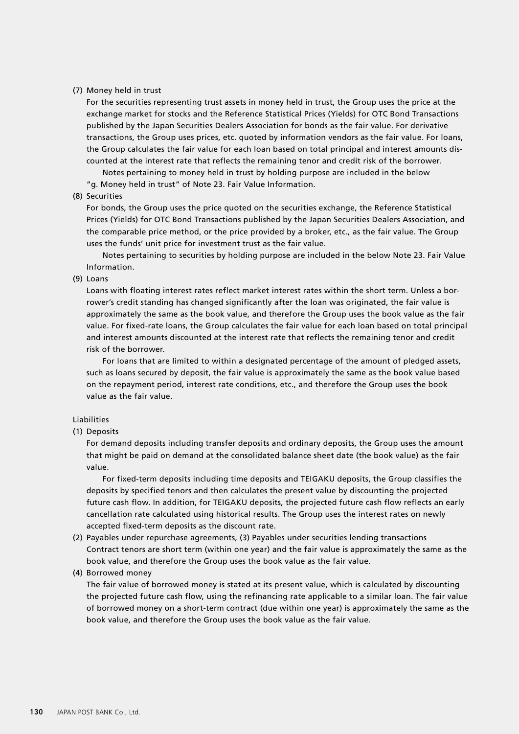#### (7) Money held in trust

For the securities representing trust assets in money held in trust, the Group uses the price at the exchange market for stocks and the Reference Statistical Prices (Yields) for OTC Bond Transactions published by the Japan Securities Dealers Association for bonds as the fair value. For derivative transactions, the Group uses prices, etc. quoted by information vendors as the fair value. For loans, the Group calculates the fair value for each loan based on total principal and interest amounts discounted at the interest rate that reflects the remaining tenor and credit risk of the borrower.

Notes pertaining to money held in trust by holding purpose are included in the below "g. Money held in trust" of Note 23. Fair Value Information.

#### (8) Securities

For bonds, the Group uses the price quoted on the securities exchange, the Reference Statistical Prices (Yields) for OTC Bond Transactions published by the Japan Securities Dealers Association, and the comparable price method, or the price provided by a broker, etc., as the fair value. The Group uses the funds' unit price for investment trust as the fair value.

Notes pertaining to securities by holding purpose are included in the below Note 23. Fair Value Information.

(9) Loans

Loans with floating interest rates reflect market interest rates within the short term. Unless a borrower's credit standing has changed significantly after the loan was originated, the fair value is approximately the same as the book value, and therefore the Group uses the book value as the fair value. For fixed-rate loans, the Group calculates the fair value for each loan based on total principal and interest amounts discounted at the interest rate that reflects the remaining tenor and credit risk of the borrower.

For loans that are limited to within a designated percentage of the amount of pledged assets, such as loans secured by deposit, the fair value is approximately the same as the book value based on the repayment period, interest rate conditions, etc., and therefore the Group uses the book value as the fair value.

#### Liabilities

(1) Deposits

For demand deposits including transfer deposits and ordinary deposits, the Group uses the amount that might be paid on demand at the consolidated balance sheet date (the book value) as the fair value.

For fixed-term deposits including time deposits and TEIGAKU deposits, the Group classifies the deposits by specified tenors and then calculates the present value by discounting the projected future cash flow. In addition, for TEIGAKU deposits, the projected future cash flow reflects an early cancellation rate calculated using historical results. The Group uses the interest rates on newly accepted fixed-term deposits as the discount rate.

- (2) Payables under repurchase agreements, (3) Payables under securities lending transactions Contract tenors are short term (within one year) and the fair value is approximately the same as the book value, and therefore the Group uses the book value as the fair value.
- (4) Borrowed money

The fair value of borrowed money is stated at its present value, which is calculated by discounting the projected future cash flow, using the refinancing rate applicable to a similar loan. The fair value of borrowed money on a short-term contract (due within one year) is approximately the same as the book value, and therefore the Group uses the book value as the fair value.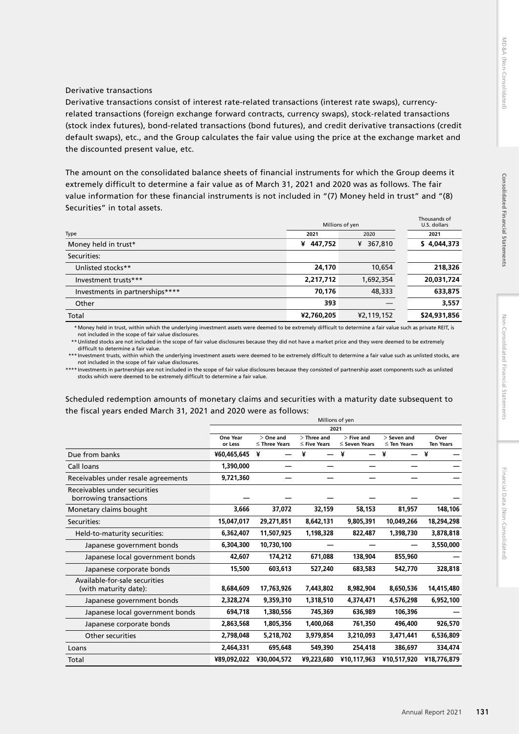#### Derivative transactions

Derivative transactions consist of interest rate-related transactions (interest rate swaps), currencyrelated transactions (foreign exchange forward contracts, currency swaps), stock-related transactions (stock index futures), bond-related transactions (bond futures), and credit derivative transactions (credit default swaps), etc., and the Group calculates the fair value using the price at the exchange market and the discounted present value, etc.

The amount on the consolidated balance sheets of financial instruments for which the Group deems it extremely difficult to determine a fair value as of March 31, 2021 and 2020 was as follows. The fair value information for these financial instruments is not included in "(7) Money held in trust" and "(8) Securities" in total assets.

|              | Thousands of<br>U.S. dollars |                 |
|--------------|------------------------------|-----------------|
| 2021         | 2020                         | 2021            |
| 447,752<br>¥ | 367,810<br>¥                 | \$4,044,373     |
|              |                              |                 |
| 24,170       | 10,654                       | 218,326         |
| 2,217,712    | 1,692,354                    | 20,031,724      |
| 70.176       | 48,333                       | 633,875         |
| 393          |                              | 3,557           |
| ¥2,760,205   | ¥2,119,152                   | \$24,931,856    |
|              |                              | Millions of yen |

 \* Money held in trust, within which the underlying investment assets were deemed to be extremely difficult to determine a fair value such as private REIT, is not included in the scope of fair value disclosures.

 \*\* Unlisted stocks are not included in the scope of fair value disclosures because they did not have a market price and they were deemed to be extremely difficult to determine a fair value.

\*\*\* Investment trusts, within which the underlying investment assets were deemed to be extremely difficult to determine a fair value such as unlisted stocks, are not included in the scope of fair value disclosures.

\*\*\*\* Investments in partnerships are not included in the scope of fair value disclosures because they consisted of partnership asset components such as unlisted stocks which were deemed to be extremely difficult to determine a fair value.

#### Scheduled redemption amounts of monetary claims and securities with a maturity date subsequent to the fiscal years ended March 31, 2021 and 2020 were as follows:

|                                                        | Millions of yen     |                                   |                                    |                                    |                                   |                          |  |  |
|--------------------------------------------------------|---------------------|-----------------------------------|------------------------------------|------------------------------------|-----------------------------------|--------------------------|--|--|
|                                                        |                     |                                   | 2021                               |                                    |                                   |                          |  |  |
|                                                        | One Year<br>or Less | $>$ One and<br>$\leq$ Three Years | $>$ Three and<br>$\leq$ Five Years | $>$ Five and<br>$\leq$ Seven Years | $>$ Seven and<br>$\leq$ Ten Years | Over<br><b>Ten Years</b> |  |  |
| Due from banks                                         | ¥60,465,645         | ¥                                 | ¥                                  | ¥                                  | ¥                                 | ¥                        |  |  |
| Call loans                                             | 1,390,000           |                                   |                                    |                                    |                                   |                          |  |  |
| Receivables under resale agreements                    | 9,721,360           |                                   |                                    |                                    |                                   |                          |  |  |
| Receivables under securities<br>borrowing transactions |                     |                                   |                                    |                                    |                                   |                          |  |  |
| Monetary claims bought                                 | 3,666               | 37,072                            | 32,159                             | 58,153                             | 81,957                            | 148,106                  |  |  |
| Securities:                                            | 15,047,017          | 29,271,851                        | 8,642,131                          | 9,805,391                          | 10,049,266                        | 18,294,298               |  |  |
| Held-to-maturity securities:                           | 6,362,407           | 11,507,925                        | 1,198,328                          | 822,487                            | 1,398,730                         | 3,878,818                |  |  |
| Japanese government bonds                              | 6,304,300           | 10,730,100                        |                                    |                                    |                                   | 3,550,000                |  |  |
| Japanese local government bonds                        | 42,607              | 174,212                           | 671,088                            | 138,904                            | 855,960                           |                          |  |  |
| Japanese corporate bonds                               | 15,500              | 603,613                           | 527,240                            | 683,583                            | 542,770                           | 328,818                  |  |  |
| Available-for-sale securities<br>(with maturity date): | 8,684,609           | 17,763,926                        | 7,443,802                          | 8,982,904                          | 8,650,536                         | 14,415,480               |  |  |
| Japanese government bonds                              | 2,328,274           | 9,359,310                         | 1,318,510                          | 4,374,471                          | 4,576,298                         | 6,952,100                |  |  |
| Japanese local government bonds                        | 694,718             | 1,380,556                         | 745,369                            | 636,989                            | 106,396                           |                          |  |  |
| Japanese corporate bonds                               | 2,863,568           | 1,805,356                         | 1,400,068                          | 761,350                            | 496,400                           | 926,570                  |  |  |
| Other securities                                       | 2,798,048           | 5,218,702                         | 3,979,854                          | 3,210,093                          | 3,471,441                         | 6,536,809                |  |  |
| Loans                                                  | 2,464,331           | 695,648                           | 549,390                            | 254,418                            | 386,697                           | 334,474                  |  |  |
| Total                                                  | ¥89,092,022         | ¥30,004,572                       | ¥9,223,680                         | ¥10,117,963                        | ¥10,517,920                       | ¥18,776,879              |  |  |

Annual Report 2021 131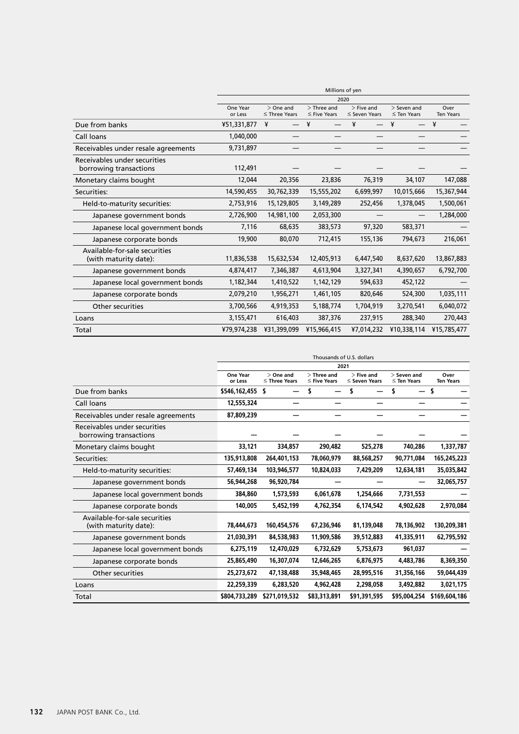|                                                        | Millions of yen     |                                   |                                    |                                    |                                   |                          |  |
|--------------------------------------------------------|---------------------|-----------------------------------|------------------------------------|------------------------------------|-----------------------------------|--------------------------|--|
|                                                        |                     |                                   | 2020                               |                                    |                                   |                          |  |
|                                                        | One Year<br>or Less | $>$ One and<br>$\leq$ Three Years | $>$ Three and<br>$\leq$ Five Years | $>$ Five and<br>$\leq$ Seven Years | $>$ Seven and<br>$\leq$ Ten Years | Over<br><b>Ten Years</b> |  |
| Due from banks                                         | ¥51,331,877         | ¥                                 | ¥                                  | ¥                                  | ¥                                 | ¥                        |  |
| Call loans                                             | 1,040,000           |                                   |                                    |                                    |                                   |                          |  |
| Receivables under resale agreements                    | 9,731,897           |                                   |                                    |                                    |                                   |                          |  |
| Receivables under securities<br>borrowing transactions | 112,491             |                                   |                                    |                                    |                                   |                          |  |
| Monetary claims bought                                 | 12,044              | 20,356                            | 23,836                             | 76,319                             | 34,107                            | 147,088                  |  |
| Securities:                                            | 14,590,455          | 30,762,339                        | 15,555,202                         | 6,699,997                          | 10,015,666                        | 15,367,944               |  |
| Held-to-maturity securities:                           | 2,753,916           | 15,129,805                        | 3,149,289                          | 252,456                            | 1,378,045                         | 1,500,061                |  |
| Japanese government bonds                              | 2,726,900           | 14,981,100                        | 2,053,300                          |                                    |                                   | 1,284,000                |  |
| Japanese local government bonds                        | 7,116               | 68,635                            | 383,573                            | 97,320                             | 583,371                           |                          |  |
| Japanese corporate bonds                               | 19,900              | 80,070                            | 712,415                            | 155,136                            | 794,673                           | 216,061                  |  |
| Available-for-sale securities                          |                     |                                   |                                    |                                    |                                   |                          |  |
| (with maturity date):                                  | 11,836,538          | 15,632,534                        | 12,405,913                         | 6,447,540                          | 8,637,620                         | 13,867,883               |  |
| Japanese government bonds                              | 4,874,417           | 7,346,387                         | 4,613,904                          | 3,327,341                          | 4,390,657                         | 6,792,700                |  |
| Japanese local government bonds                        | 1,182,344           | 1,410,522                         | 1,142,129                          | 594,633                            | 452,122                           |                          |  |
| Japanese corporate bonds                               | 2,079,210           | 1,956,271                         | 1,461,105                          | 820,646                            | 524,300                           | 1,035,111                |  |
| Other securities                                       | 3,700,566           | 4,919,353                         | 5,188,774                          | 1,704,919                          | 3,270,541                         | 6,040,072                |  |
| Loans                                                  | 3,155,471           | 616,403                           | 387,376                            | 237,915                            | 288,340                           | 270,443                  |  |
| Total                                                  | ¥79,974,238         | ¥31,399,099                       | ¥15,966,415                        | ¥7,014,232                         | ¥10,338,114                       | ¥15,785,477              |  |

|                                                        |                     |                                   | Thousands of U.S. dollars          |                                    |                          |               |
|--------------------------------------------------------|---------------------|-----------------------------------|------------------------------------|------------------------------------|--------------------------|---------------|
|                                                        |                     |                                   | 2021                               |                                    |                          |               |
|                                                        | One Year<br>or Less | $>$ One and<br>$\leq$ Three Years | $>$ Three and<br>$\leq$ Five Years | $>$ Five and<br>$\leq$ Seven Years | Over<br><b>Ten Years</b> |               |
| Due from banks                                         | \$546.162.455 \$    |                                   | \$                                 | \$                                 | \$                       | -S            |
| Call loans                                             | 12,555,324          |                                   |                                    |                                    |                          |               |
| Receivables under resale agreements                    | 87,809,239          |                                   |                                    |                                    |                          |               |
| Receivables under securities<br>borrowing transactions |                     |                                   |                                    |                                    |                          |               |
| Monetary claims bought                                 | 33,121              | 334,857                           | 290,482                            | 525,278                            | 740,286                  | 1,337,787     |
| Securities:                                            | 135,913,808         | 264,401,153                       | 78,060,979                         | 88,568,257                         | 90,771,084               | 165,245,223   |
| Held-to-maturity securities:                           | 57,469,134          | 103,946,577                       | 10,824,033                         | 7,429,209                          | 12,634,181               | 35,035,842    |
| Japanese government bonds                              | 56,944,268          | 96,920,784                        |                                    |                                    |                          | 32,065,757    |
| Japanese local government bonds                        | 384,860             | 1,573,593                         | 6.061.678                          | 1,254,666                          | 7,731,553                |               |
| Japanese corporate bonds                               | 140,005             | 5,452,199                         | 4,762,354                          | 6,174,542                          | 4,902,628                | 2.970.084     |
| Available-for-sale securities<br>(with maturity date): | 78,444,673          | 160,454,576                       | 67,236,946                         | 81,139,048                         | 78,136,902               | 130,209,381   |
| Japanese government bonds                              | 21,030,391          | 84,538,983                        | 11,909,586                         | 39,512,883                         | 41,335,911               | 62,795,592    |
| Japanese local government bonds                        | 6,275,119           | 12,470,029                        | 6,732,629                          | 5,753,673                          | 961,037                  |               |
| Japanese corporate bonds                               | 25,865,490          | 16,307,074                        | 12,646,265                         | 6,876,975                          | 4,483,786                | 8,369,350     |
| Other securities                                       | 25,273,672          | 47,138,488                        | 35,948,465                         | 28,995,516                         | 31,356,166               | 59,044,439    |
| Loans                                                  | 22,259,339          | 6,283,520                         | 4,962,428                          | 2,298,058                          | 3,492,882                | 3,021,175     |
| Total                                                  | \$804,733,289       | \$271,019,532                     | \$83,313,891                       | \$91,391,595                       | \$95,004,254             | \$169,604,186 |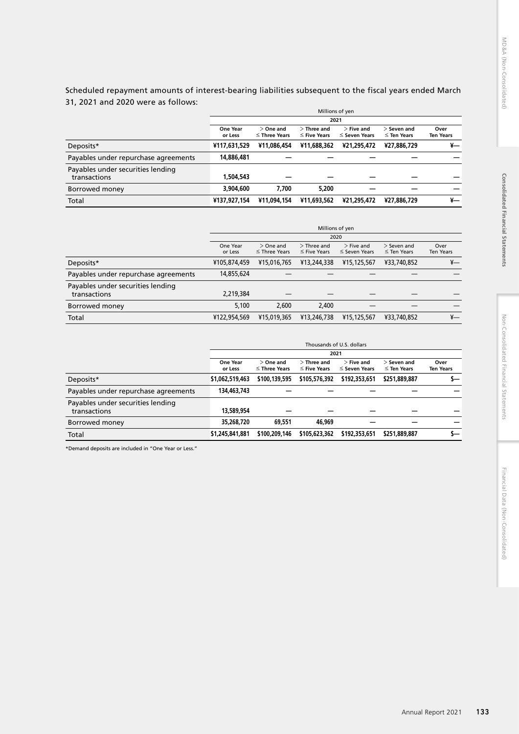Scheduled repayment amounts of interest-bearing liabilities subsequent to the fiscal years ended March 31, 2021 and 2020 were as follows:

|                                                   | Millions of yen     |                                   |                                    |                                    |                                   |                          |  |  |
|---------------------------------------------------|---------------------|-----------------------------------|------------------------------------|------------------------------------|-----------------------------------|--------------------------|--|--|
|                                                   |                     |                                   | 2021                               |                                    |                                   |                          |  |  |
|                                                   | One Year<br>or Less | $>$ One and<br>$\leq$ Three Years | $>$ Three and<br>$\leq$ Five Years | $>$ Five and<br>$\leq$ Seven Years | $>$ Seven and<br>$\leq$ Ten Years | Over<br><b>Ten Years</b> |  |  |
| Deposits*                                         | ¥117,631,529        | ¥11.086.454                       | ¥11,688,362                        | ¥21,295,472                        | ¥27,886,729                       | ¥—                       |  |  |
| Payables under repurchase agreements              | 14,886,481          |                                   |                                    |                                    |                                   |                          |  |  |
| Payables under securities lending<br>transactions | 1,504,543           |                                   |                                    |                                    |                                   |                          |  |  |
| Borrowed money                                    | 3.904.600           | 7.700                             | 5,200                              |                                    |                                   |                          |  |  |
| Total                                             | ¥137,927,154        | ¥11.094.154                       | ¥11,693,562                        | ¥21,295,472                        | ¥27,886,729                       | ¥—                       |  |  |

|                                                   | Millions of yen     |                                   |                                    |                                    |                                   |                   |  |
|---------------------------------------------------|---------------------|-----------------------------------|------------------------------------|------------------------------------|-----------------------------------|-------------------|--|
|                                                   |                     |                                   | 2020                               |                                    |                                   |                   |  |
|                                                   | One Year<br>or Less | $>$ One and<br>$\leq$ Three Years | $>$ Three and<br>$\leq$ Five Years | $>$ Five and<br>$\leq$ Seven Years | $>$ Seven and<br>$\leq$ Ten Years | Over<br>Ten Years |  |
| Deposits*                                         | ¥105,874,459        | ¥15,016,765                       | ¥13,244,338                        | ¥15,125,567                        | ¥33,740,852                       | ¥—                |  |
| Payables under repurchase agreements              | 14,855,624          |                                   |                                    |                                    |                                   |                   |  |
| Payables under securities lending<br>transactions | 2,219,384           |                                   |                                    |                                    |                                   |                   |  |
| Borrowed money                                    | 5,100               | 2,600                             | 2,400                              |                                    |                                   |                   |  |
| Total                                             | ¥122,954,569        | ¥15,019,365                       | ¥13,246,738                        | ¥15,125,567                        | ¥33,740,852                       | ¥—                |  |

|                                                   | Thousands of U.S. dollars  |                                   |                                    |                                    |                                   |                          |  |
|---------------------------------------------------|----------------------------|-----------------------------------|------------------------------------|------------------------------------|-----------------------------------|--------------------------|--|
|                                                   |                            | 2021                              |                                    |                                    |                                   |                          |  |
|                                                   | <b>One Year</b><br>or Less | $>$ One and<br>$\leq$ Three Years | $>$ Three and<br>$\leq$ Five Years | $>$ Five and<br>$\leq$ Seven Years | $>$ Seven and<br>$\leq$ Ten Years | Over<br><b>Ten Years</b> |  |
| Deposits*                                         | \$1,062,519,463            | \$100,139,595                     | \$105,576,392                      | \$192,353,651                      | \$251,889,887                     | s—                       |  |
| Payables under repurchase agreements              | 134,463,743                |                                   |                                    |                                    |                                   |                          |  |
| Payables under securities lending<br>transactions | 13,589,954                 |                                   |                                    |                                    |                                   |                          |  |
| Borrowed money                                    | 35,268,720                 | 69,551                            | 46.969                             |                                    |                                   |                          |  |
| Total                                             | \$1,245,841,881            | \$100.209.146                     | \$105.623.362                      | \$192,353,651                      | \$251,889,887                     |                          |  |

\*Demand deposits are included in "One Year or Less."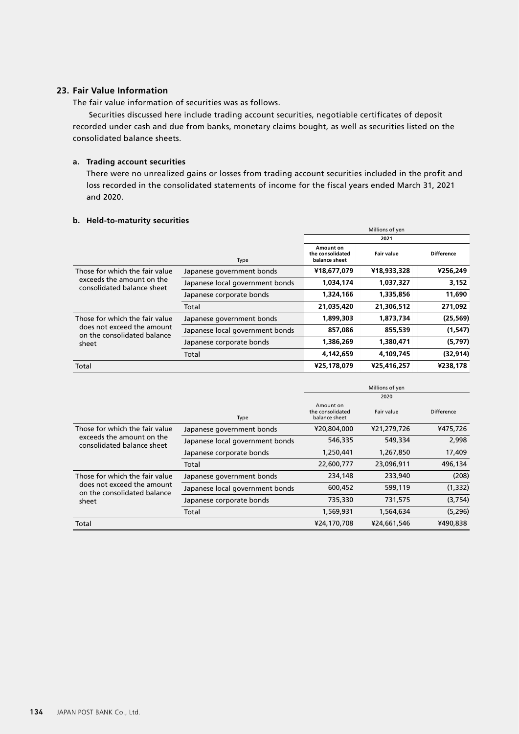#### **23. Fair Value Information**

The fair value information of securities was as follows.

Securities discussed here include trading account securities, negotiable certificates of deposit recorded under cash and due from banks, monetary claims bought, as well as securities listed on the consolidated balance sheets.

#### **a. Trading account securities**

There were no unrealized gains or losses from trading account securities included in the profit and loss recorded in the consolidated statements of income for the fiscal years ended March 31, 2021 and 2020.

#### **b. Held-to-maturity securities**

|                                                                    |                                 |                                                | Millions of yen   |                   |
|--------------------------------------------------------------------|---------------------------------|------------------------------------------------|-------------------|-------------------|
|                                                                    |                                 |                                                | 2021              |                   |
|                                                                    | Type                            | Amount on<br>the consolidated<br>balance sheet | <b>Fair value</b> | <b>Difference</b> |
| Those for which the fair value                                     | Japanese government bonds       | ¥18,677,079                                    | ¥18,933,328       | ¥256,249          |
| exceeds the amount on the<br>consolidated balance sheet            | Japanese local government bonds | 1,034,174                                      | 1,037,327         | 3,152             |
|                                                                    | Japanese corporate bonds        | 1,324,166                                      | 1,335,856         | 11,690            |
|                                                                    | Total                           | 21,035,420                                     | 21.306.512        | 271,092           |
| Those for which the fair value                                     | Japanese government bonds       | 1,899,303                                      | 1,873,734         | (25, 569)         |
| does not exceed the amount<br>on the consolidated balance<br>sheet | Japanese local government bonds | 857.086                                        | 855,539           | (1, 547)          |
|                                                                    | Japanese corporate bonds        | 1,386,269                                      | 1,380,471         | (5,797)           |
|                                                                    | Total                           | 4,142,659                                      | 4,109,745         | (32, 914)         |
| Total                                                              |                                 | ¥25,178,079                                    | ¥25,416,257       | ¥238,178          |

|                                                                    |                                 | Millions of yen                                |             |            |  |
|--------------------------------------------------------------------|---------------------------------|------------------------------------------------|-------------|------------|--|
|                                                                    |                                 | 2020                                           |             |            |  |
|                                                                    | Type                            | Amount on<br>the consolidated<br>balance sheet | Fair value  | Difference |  |
| Those for which the fair value                                     | Japanese government bonds       | ¥20,804,000                                    | ¥21,279,726 | ¥475,726   |  |
| exceeds the amount on the<br>consolidated balance sheet            | Japanese local government bonds | 546,335                                        | 549,334     | 2,998      |  |
|                                                                    | Japanese corporate bonds        | 1,250,441                                      | 1,267,850   | 17,409     |  |
|                                                                    | Total                           | 22,600,777                                     | 23,096,911  | 496,134    |  |
| Those for which the fair value                                     | Japanese government bonds       | 234,148                                        | 233,940     | (208)      |  |
| does not exceed the amount<br>on the consolidated balance<br>sheet | Japanese local government bonds | 600,452                                        | 599,119     | (1, 332)   |  |
|                                                                    | Japanese corporate bonds        | 735,330                                        | 731,575     | (3,754)    |  |
|                                                                    | Total                           | 1,569,931                                      | 1,564,634   | (5, 296)   |  |
| Total                                                              |                                 | ¥24,170,708                                    | ¥24,661,546 | ¥490,838   |  |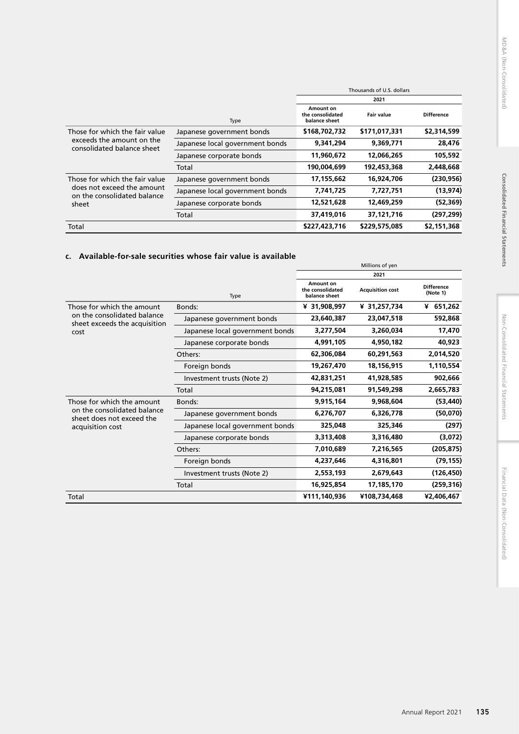|                                                                    |                                 | Thousands of U.S. dollars                      |                   |                   |  |  |
|--------------------------------------------------------------------|---------------------------------|------------------------------------------------|-------------------|-------------------|--|--|
|                                                                    |                                 |                                                | 2021              |                   |  |  |
|                                                                    | Type                            | Amount on<br>the consolidated<br>balance sheet | <b>Fair value</b> | <b>Difference</b> |  |  |
| Those for which the fair value                                     | Japanese government bonds       | \$168,702,732                                  | \$171,017,331     | \$2,314,599       |  |  |
| exceeds the amount on the<br>consolidated balance sheet            | Japanese local government bonds | 9.341.294                                      | 9.369.771         | 28,476            |  |  |
|                                                                    | Japanese corporate bonds        | 11,960,672                                     | 12,066,265        | 105,592           |  |  |
|                                                                    | Total                           | 190,004,699                                    | 192,453,368       | 2,448,668         |  |  |
| Those for which the fair value                                     | Japanese government bonds       | 17,155,662                                     | 16,924,706        | (230, 956)        |  |  |
| does not exceed the amount<br>on the consolidated balance<br>sheet | Japanese local government bonds | 7,741,725                                      | 7,727,751         | (13, 974)         |  |  |
|                                                                    | Japanese corporate bonds        | 12,521,628                                     | 12.469.259        | (52, 369)         |  |  |
|                                                                    | Total                           | 37,419,016                                     | 37.121.716        | (297, 299)        |  |  |
| Total                                                              |                                 | \$227,423,716                                  | \$229,575,085     | \$2,151,368       |  |  |

#### **c. Available-for-sale securities whose fair value is available**

|                                                              |                                 | Millions of yen                                |                         |                               |  |  |
|--------------------------------------------------------------|---------------------------------|------------------------------------------------|-------------------------|-------------------------------|--|--|
|                                                              |                                 | 2021                                           |                         |                               |  |  |
|                                                              | Type                            | Amount on<br>the consolidated<br>balance sheet | <b>Acquisition cost</b> | <b>Difference</b><br>(Note 1) |  |  |
| Those for which the amount                                   | Bonds:                          | ¥ 31,908,997                                   | ¥ 31,257,734            | ¥ 651,262                     |  |  |
| on the consolidated balance<br>sheet exceeds the acquisition | Japanese government bonds       | 23,640,387                                     | 23,047,518              | 592,868                       |  |  |
| cost                                                         | Japanese local government bonds | 3,277,504                                      | 3,260,034               | 17,470                        |  |  |
|                                                              | Japanese corporate bonds        | 4,991,105                                      | 4,950,182               | 40,923                        |  |  |
|                                                              | Others:                         | 62,306,084                                     | 60,291,563              | 2,014,520                     |  |  |
|                                                              | Foreign bonds                   | 19,267,470                                     | 18,156,915              | 1,110,554                     |  |  |
|                                                              | Investment trusts (Note 2)      | 42,831,251                                     | 41,928,585              | 902,666                       |  |  |
|                                                              | Total                           | 94,215,081                                     | 91,549,298              | 2,665,783                     |  |  |
| Those for which the amount                                   | Bonds:                          | 9,915,164                                      | 9,968,604               | (53, 440)                     |  |  |
| on the consolidated balance<br>sheet does not exceed the     | Japanese government bonds       | 6,276,707                                      | 6,326,778               | (50,070)                      |  |  |
| acquisition cost                                             | Japanese local government bonds | 325,048                                        | 325,346                 | (297)                         |  |  |
|                                                              | Japanese corporate bonds        | 3,313,408                                      | 3,316,480               | (3,072)                       |  |  |
|                                                              | Others:                         | 7,010,689                                      | 7,216,565               | (205, 875)                    |  |  |
|                                                              | Foreign bonds                   | 4,237,646                                      | 4,316,801               | (79, 155)                     |  |  |
|                                                              | Investment trusts (Note 2)      | 2,553,193                                      | 2,679,643               | (126, 450)                    |  |  |
|                                                              | Total                           | 16,925,854                                     | 17,185,170              | (259, 316)                    |  |  |
| Total                                                        |                                 | ¥111,140,936                                   | ¥108,734,468            | ¥2,406.467                    |  |  |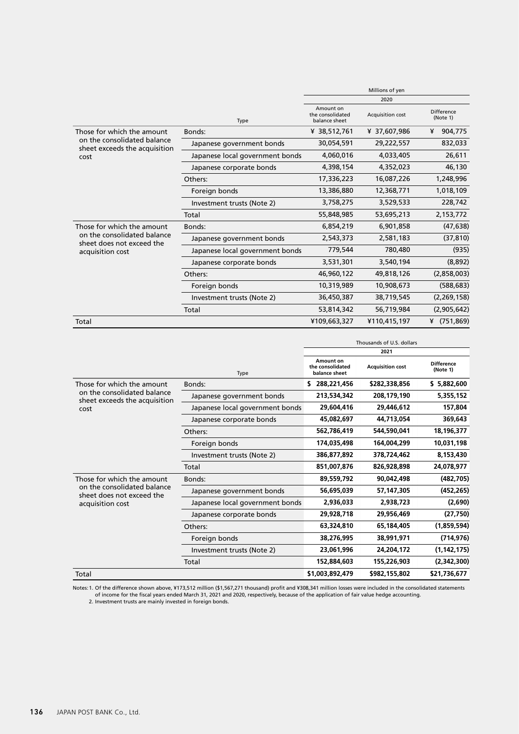|                                                              |                                 |                                                | Millions of yen                   |                        |
|--------------------------------------------------------------|---------------------------------|------------------------------------------------|-----------------------------------|------------------------|
|                                                              |                                 |                                                | 2020                              |                        |
|                                                              | Type                            | Amount on<br>the consolidated<br>balance sheet | Acquisition cost                  | Difference<br>(Note 1) |
| Those for which the amount                                   | Bonds:                          | ¥ 38,512,761                                   | ¥ 37,607,986                      | 904,775<br>¥           |
| on the consolidated balance<br>sheet exceeds the acquisition | Japanese government bonds       | 30,054,591                                     | 29,222,557                        | 832,033                |
| cost                                                         | Japanese local government bonds | 4,060,016                                      | 4,033,405                         | 26,611                 |
|                                                              | Japanese corporate bonds        | 4,398,154                                      | 4,352,023                         | 46,130                 |
|                                                              | Others:                         | 17,336,223                                     | 16,087,226                        | 1,248,996              |
|                                                              | Foreign bonds                   | 13,386,880                                     | 12,368,771                        | 1,018,109              |
|                                                              | Investment trusts (Note 2)      | 3,758,275                                      | 3,529,533                         | 228,742                |
|                                                              | Total                           | 55,848,985                                     | 53,695,213                        | 2,153,772              |
| Those for which the amount                                   | Bonds:                          | 6,854,219                                      | 6,901,858                         | (47, 638)              |
| on the consolidated balance<br>sheet does not exceed the     | Japanese government bonds       | 2,543,373                                      | 2,581,183                         | (37, 810)              |
| acquisition cost                                             | Japanese local government bonds | 779,544                                        | 780,480                           | (935)                  |
|                                                              | Japanese corporate bonds        | 3,531,301                                      | 3,540,194                         | (8, 892)               |
|                                                              | Others:                         | 46,960,122                                     | 49,818,126                        | (2,858,003)            |
|                                                              | Foreign bonds                   | 10,319,989                                     | 10,908,673                        | (588, 683)             |
|                                                              | Investment trusts (Note 2)      | 36,450,387                                     | 38,719,545                        | (2, 269, 158)          |
|                                                              | Total                           | 53,814,342                                     | 56,719,984                        | (2,905,642)            |
| Total                                                        |                                 | ¥109,663,327                                   | ¥110,415,197                      | (751, 869)<br>¥        |
|                                                              |                                 |                                                |                                   |                        |
|                                                              |                                 |                                                | Thousands of U.S. dollars<br>3034 |                        |

|                                                              |                                 |                                                | 2021                    |                               |
|--------------------------------------------------------------|---------------------------------|------------------------------------------------|-------------------------|-------------------------------|
|                                                              | Type                            | Amount on<br>the consolidated<br>balance sheet | <b>Acquisition cost</b> | <b>Difference</b><br>(Note 1) |
| Those for which the amount                                   | Bonds:                          | 288,221,456<br>s                               | \$282,338,856           | \$5,882,600                   |
| on the consolidated balance<br>sheet exceeds the acquisition | Japanese government bonds       | 213,534,342                                    | 208,179,190             | 5,355,152                     |
| cost                                                         | Japanese local government bonds | 29,604,416                                     | 29,446,612              | 157,804                       |
|                                                              | Japanese corporate bonds        | 45,082,697                                     | 44,713,054              | 369,643                       |
|                                                              | Others:                         | 562,786,419                                    | 544,590,041             | 18,196,377                    |
|                                                              | Foreign bonds                   | 174,035,498                                    | 164,004,299             | 10,031,198                    |
|                                                              | Investment trusts (Note 2)      | 386,877,892                                    | 378,724,462             | 8,153,430                     |
|                                                              | Total                           | 851,007,876                                    | 826,928,898             | 24,078,977                    |
| Those for which the amount                                   | Bonds:                          | 89,559,792                                     | 90,042,498              | (482, 705)                    |
| on the consolidated balance<br>sheet does not exceed the     | Japanese government bonds       | 56,695,039                                     | 57,147,305              | (452, 265)                    |
| acquisition cost                                             | Japanese local government bonds | 2,936,033                                      | 2,938,723               | (2,690)                       |
|                                                              | Japanese corporate bonds        | 29,928,718                                     | 29,956,469              | (27, 750)                     |
|                                                              | Others:                         | 63,324,810                                     | 65,184,405              | (1,859,594)                   |
|                                                              | Foreign bonds                   | 38,276,995                                     | 38,991,971              | (714, 976)                    |
|                                                              | Investment trusts (Note 2)      | 23,061,996                                     | 24,204,172              | (1, 142, 175)                 |
|                                                              | Total                           | 152,884,603                                    | 155,226,903             | (2,342,300)                   |
| Total                                                        |                                 | \$1,003,892,479                                | \$982,155,802           | \$21,736,677                  |

Notes: 1. Of the difference shown above, ¥173,512 million (\$1,567,271 thousand) profit and ¥308,341 million losses were included in the consolidated statements<br>of income for the fiscal years ended March 31, 2021 and 2020,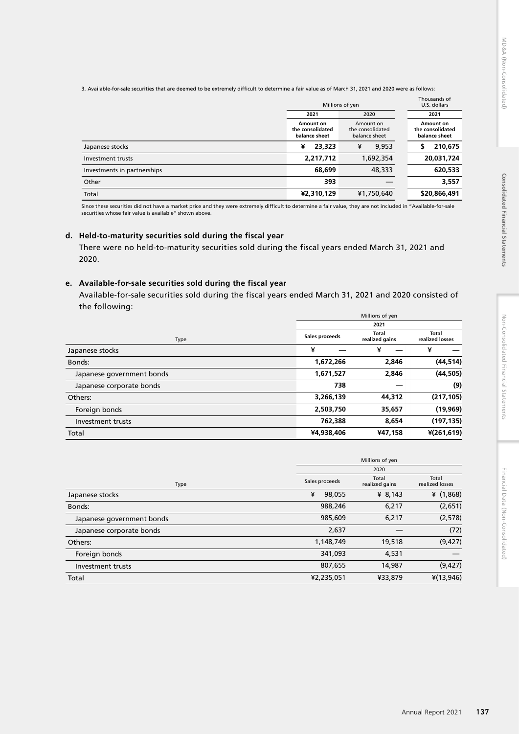Financial Data (Non-Consolidated)

3. Available-for-sale securities that are deemed to be extremely difficult to determine a fair value as of March 31, 2021 and 2020 were as follows:

|                             |                                                | Millions of yen                                | Thousands of<br>U.S. dollars                   |  |
|-----------------------------|------------------------------------------------|------------------------------------------------|------------------------------------------------|--|
|                             | 2021                                           | 2020                                           | 2021                                           |  |
|                             | Amount on<br>the consolidated<br>balance sheet | Amount on<br>the consolidated<br>balance sheet | Amount on<br>the consolidated<br>balance sheet |  |
| Japanese stocks             | ¥<br>23,323                                    | ¥<br>9,953                                     | 210,675<br>S                                   |  |
| Investment trusts           | 2,217,712                                      | 1,692,354                                      | 20,031,724                                     |  |
| Investments in partnerships | 68,699                                         | 48,333                                         | 620,533                                        |  |
| Other                       | 393                                            |                                                | 3,557                                          |  |
| Total                       | ¥2,310,129                                     | ¥1,750,640                                     | \$20,866,491                                   |  |

Since these securities did not have a market price and they were extremely difficult to determine a fair value, they are not included in "Available-for-sale securities whose fair value is available" shown above.

#### **d. Held-to-maturity securities sold during the fiscal year**

 There were no held-to-maturity securities sold during the fiscal years ended March 31, 2021 and 2020.

#### **e. Available-for-sale securities sold during the fiscal year**

Available-for-sale securities sold during the fiscal years ended March 31, 2021 and 2020 consisted of the following:

|                           | Millions of yen |                                |                          |  |  |
|---------------------------|-----------------|--------------------------------|--------------------------|--|--|
|                           | 2021            |                                |                          |  |  |
| Type                      | Sales proceeds  | <b>Total</b><br>realized gains | Total<br>realized losses |  |  |
| Japanese stocks           | ¥               | ¥                              | ¥                        |  |  |
| Bonds:                    | 1,672,266       | 2,846                          | (44, 514)                |  |  |
| Japanese government bonds | 1,671,527       | 2,846                          | (44, 505)                |  |  |
| Japanese corporate bonds  | 738             |                                | (9)                      |  |  |
| Others:                   | 3,266,139       | 44,312                         | (217, 105)               |  |  |
| Foreign bonds             | 2,503,750       | 35,657                         | (19, 969)                |  |  |
| Investment trusts         | 762,388         | 8,654                          | (197, 135)               |  |  |
| Total                     | ¥4,938,406      | ¥47,158                        | $*(261, 619)$            |  |  |

|                           | Millions of yen |                |                         |                          |
|---------------------------|-----------------|----------------|-------------------------|--------------------------|
|                           |                 |                | 2020                    |                          |
| Type                      |                 | Sales proceeds | Total<br>realized gains | Total<br>realized losses |
| Japanese stocks           | ¥               | 98,055         | ¥ 8,143                 | ¥ $(1,868)$              |
| Bonds:                    |                 | 988,246        | 6,217                   | (2,651)                  |
| Japanese government bonds |                 | 985,609        | 6,217                   | (2, 578)                 |
| Japanese corporate bonds  |                 | 2,637          |                         | (72)                     |
| Others:                   |                 | 1,148,749      | 19,518                  | (9, 427)                 |
| Foreign bonds             |                 | 341,093        | 4,531                   |                          |
| Investment trusts         |                 | 807,655        | 14,987                  | (9, 427)                 |
| Total                     |                 | ¥2,235,051     | ¥33,879                 | $*(13,946)$              |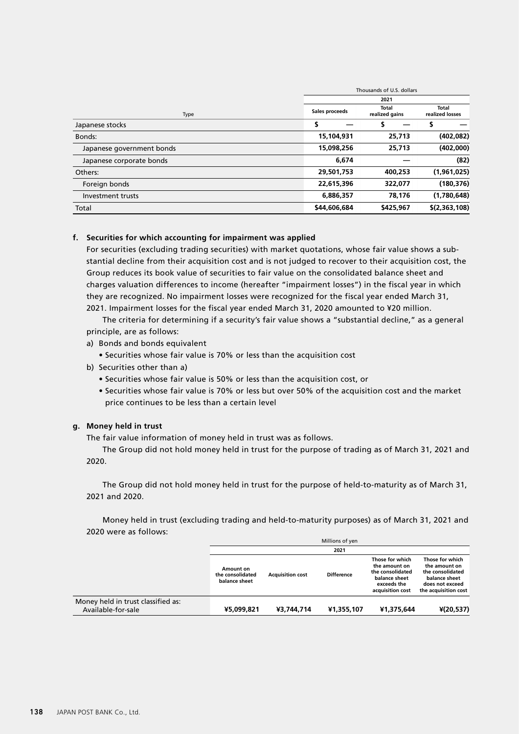|                           | Thousands of U.S. dollars |                         |                                 |  |  |
|---------------------------|---------------------------|-------------------------|---------------------------------|--|--|
|                           |                           | 2021                    |                                 |  |  |
| Type                      | Sales proceeds            | Total<br>realized gains | <b>Total</b><br>realized losses |  |  |
| Japanese stocks           | \$                        | S                       | S                               |  |  |
| Bonds:                    | 15,104,931                | 25,713                  | (402, 082)                      |  |  |
| Japanese government bonds | 15,098,256                | 25,713                  | (402,000)                       |  |  |
| Japanese corporate bonds  | 6.674                     |                         | (82)                            |  |  |
| Others:                   | 29,501,753                | 400,253                 | (1,961,025)                     |  |  |
| Foreign bonds             | 22,615,396                | 322.077                 | (180, 376)                      |  |  |
| Investment trusts         | 6,886,357                 | 78.176                  | (1,780,648)                     |  |  |
| Total                     | \$44,606,684              | \$425,967               | \$(2,363,108)                   |  |  |

#### **f. Securities for which accounting for impairment was applied**

For securities (excluding trading securities) with market quotations, whose fair value shows a substantial decline from their acquisition cost and is not judged to recover to their acquisition cost, the Group reduces its book value of securities to fair value on the consolidated balance sheet and charges valuation differences to income (hereafter "impairment losses") in the fiscal year in which they are recognized. No impairment losses were recognized for the fiscal year ended March 31, 2021. Impairment losses for the fiscal year ended March 31, 2020 amounted to ¥20 million.

The criteria for determining if a security's fair value shows a "substantial decline," as a general principle, are as follows:

- a) Bonds and bonds equivalent
	- Securities whose fair value is 70% or less than the acquisition cost
- b) Securities other than a)
	- Securities whose fair value is 50% or less than the acquisition cost, or
	- Securities whose fair value is 70% or less but over 50% of the acquisition cost and the market price continues to be less than a certain level

#### **g. Money held in trust**

The fair value information of money held in trust was as follows.

The Group did not hold money held in trust for the purpose of trading as of March 31, 2021 and 2020.

The Group did not hold money held in trust for the purpose of held-to-maturity as of March 31, 2021 and 2020.

Money held in trust (excluding trading and held-to-maturity purposes) as of March 31, 2021 and 2020 were as follows:

|                                                          |                                                |                         | Millions of yen   |                                                                                                          |                                                                                                                  |
|----------------------------------------------------------|------------------------------------------------|-------------------------|-------------------|----------------------------------------------------------------------------------------------------------|------------------------------------------------------------------------------------------------------------------|
|                                                          |                                                |                         | 2021              |                                                                                                          |                                                                                                                  |
|                                                          | Amount on<br>the consolidated<br>balance sheet | <b>Acquisition cost</b> | <b>Difference</b> | Those for which<br>the amount on<br>the consolidated<br>balance sheet<br>exceeds the<br>acquisition cost | Those for which<br>the amount on<br>the consolidated<br>balance sheet<br>does not exceed<br>the acquisition cost |
| Money held in trust classified as:<br>Available-for-sale | ¥5,099,821                                     | ¥3,744,714              | ¥1,355,107        | ¥1.375.644                                                                                               | Y(20,537)                                                                                                        |
|                                                          |                                                |                         |                   |                                                                                                          |                                                                                                                  |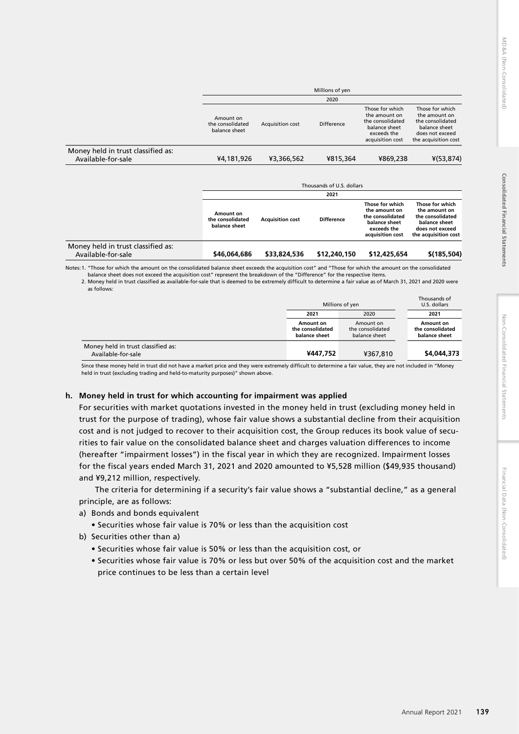|                                                          |                                                |                  | Millions of yen |                                                                                                          |                                                                                                                  |
|----------------------------------------------------------|------------------------------------------------|------------------|-----------------|----------------------------------------------------------------------------------------------------------|------------------------------------------------------------------------------------------------------------------|
|                                                          |                                                |                  | 2020            |                                                                                                          |                                                                                                                  |
|                                                          | Amount on<br>the consolidated<br>balance sheet | Acquisition cost | Difference      | Those for which<br>the amount on<br>the consolidated<br>balance sheet<br>exceeds the<br>acquisition cost | Those for which<br>the amount on<br>the consolidated<br>balance sheet<br>does not exceed<br>the acquisition cost |
| Money held in trust classified as:<br>Available-for-sale | ¥4,181,926                                     | ¥3,366,562       | ¥815,364        | ¥869,238                                                                                                 | $*(53, 874)$                                                                                                     |
|                                                          |                                                |                  |                 |                                                                                                          |                                                                                                                  |

|                                                          |                                                |                         | Thousands of U.S. dollars |                                                                                                          |                                                                                                                  |
|----------------------------------------------------------|------------------------------------------------|-------------------------|---------------------------|----------------------------------------------------------------------------------------------------------|------------------------------------------------------------------------------------------------------------------|
|                                                          |                                                |                         | 2021                      |                                                                                                          |                                                                                                                  |
|                                                          | Amount on<br>the consolidated<br>balance sheet | <b>Acquisition cost</b> | <b>Difference</b>         | Those for which<br>the amount on<br>the consolidated<br>balance sheet<br>exceeds the<br>acquisition cost | Those for which<br>the amount on<br>the consolidated<br>balance sheet<br>does not exceed<br>the acquisition cost |
| Money held in trust classified as:<br>Available-for-sale | \$46.064.686                                   | \$33,824,536            | \$12,240,150              | \$12,425,654                                                                                             | \$(185, 504)                                                                                                     |

Notes:1. "Those for which the amount on the consolidated balance sheet exceeds the acquisition cost" and "Those for which the amount on the consolidated

balance sheet does not exceed the acquisition cost" represent the breakdown of the "Difference" for the respective items.

2. Money held in trust classified as available-for-sale that is deemed to be extremely difficult to determine a fair value as of March 31, 2021 and 2020 were as follows:

|                                    |                                                       | Millions of yen                                |                                                |  |
|------------------------------------|-------------------------------------------------------|------------------------------------------------|------------------------------------------------|--|
|                                    | 2021                                                  | 2020                                           |                                                |  |
|                                    | <b>Amount on</b><br>the consolidated<br>balance sheet | Amount on<br>the consolidated<br>balance sheet | Amount on<br>the consolidated<br>balance sheet |  |
| Money held in trust classified as: |                                                       |                                                |                                                |  |
| Available-for-sale                 | ¥447,752                                              | ¥367,810                                       | \$4,044,373                                    |  |
|                                    |                                                       |                                                |                                                |  |

Since these money held in trust did not have a market price and they were extremely difficult to determine a fair value, they are not included in "Money held in trust (excluding trading and held-to-maturity purposes)" shown above.

#### **h. Money held in trust for which accounting for impairment was applied**

For securities with market quotations invested in the money held in trust (excluding money held in trust for the purpose of trading), whose fair value shows a substantial decline from their acquisition cost and is not judged to recover to their acquisition cost, the Group reduces its book value of securities to fair value on the consolidated balance sheet and charges valuation differences to income (hereafter "impairment losses") in the fiscal year in which they are recognized. Impairment losses for the fiscal years ended March 31, 2021 and 2020 amounted to ¥5,528 million (\$49,935 thousand) and ¥9,212 million, respectively.

The criteria for determining if a security's fair value shows a "substantial decline," as a general principle, are as follows:

- a) Bonds and bonds equivalent
	- Securities whose fair value is 70% or less than the acquisition cost
- b) Securities other than a)
	- Securities whose fair value is 50% or less than the acquisition cost, or
	- Securities whose fair value is 70% or less but over 50% of the acquisition cost and the market price continues to be less than a certain level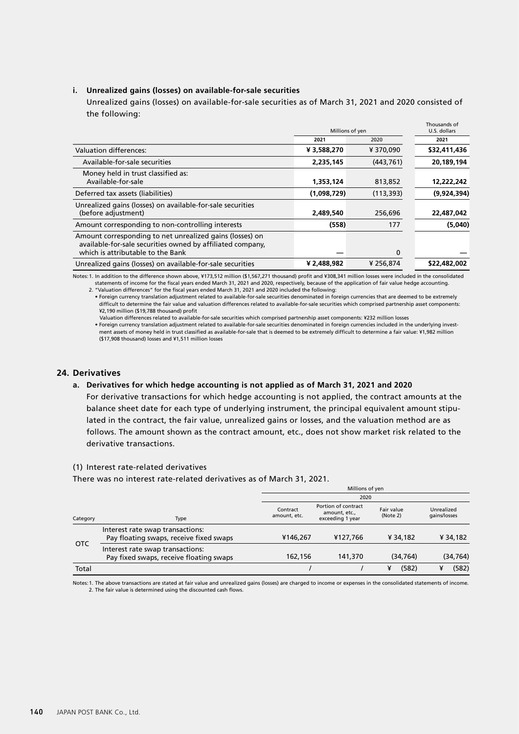#### **i. Unrealized gains (losses) on available-for-sale securities**

 Unrealized gains (losses) on available-for-sale securities as of March 31, 2021 and 2020 consisted of the following:

|                                                                                                                                                             |             | Millions of yen |              |  |
|-------------------------------------------------------------------------------------------------------------------------------------------------------------|-------------|-----------------|--------------|--|
|                                                                                                                                                             | 2021        | 2020            | 2021         |  |
| Valuation differences:                                                                                                                                      | ¥3,588,270  | ¥ 370,090       | \$32,411,436 |  |
| Available-for-sale securities                                                                                                                               | 2,235,145   | (443, 761)      | 20,189,194   |  |
| Money held in trust classified as:<br>Available-for-sale                                                                                                    | 1,353,124   | 813,852         | 12,222,242   |  |
| Deferred tax assets (liabilities)                                                                                                                           | (1,098,729) | (113, 393)      | (9,924,394)  |  |
| Unrealized gains (losses) on available-for-sale securities<br>(before adjustment)                                                                           | 2,489,540   | 256,696         | 22,487,042   |  |
| Amount corresponding to non-controlling interests                                                                                                           | (558)       | 177             | (5,040)      |  |
| Amount corresponding to net unrealized gains (losses) on<br>available-for-sale securities owned by affiliated company,<br>which is attributable to the Bank |             | 0               |              |  |
| Unrealized gains (losses) on available-for-sale securities                                                                                                  | ¥ 2,488,982 | ¥ 256,874       | \$22,482,002 |  |

Notes:1. In addition to the difference shown above, ¥173,512 million (\$1,567,271 thousand) profit and ¥308,341 million losses were included in the consolidated statements of income for the fiscal years ended March 31, 2021 and 2020, respectively, because of the application of fair value hedge accounting.

2. "Valuation differences" for the fiscal years ended March 31, 2021 and 2020 included the following: • Foreign currency translation adjustment related to available-for-sale securities denominated in foreign currencies that are deemed to be extremely difficult to determine the fair value and valuation differences related to available-for-sale securities which comprised partnership asset components: ¥2,190 million (\$19,788 thousand) profit

Valuation differences related to available-for-sale securities which comprised partnership asset components: ¥232 million losses

 • Foreign currency translation adjustment related to available-for-sale securities denominated in foreign currencies included in the underlying investment assets of money held in trust classified as available-for-sale that is deemed to be extremely difficult to determine a fair value: ¥1,982 million (\$17,908 thousand) losses and ¥1,511 million losses

#### **24. Derivatives**

#### **a. Derivatives for which hedge accounting is not applied as of March 31, 2021 and 2020**

For derivative transactions for which hedge accounting is not applied, the contract amounts at the balance sheet date for each type of underlying instrument, the principal equivalent amount stipulated in the contract, the fair value, unrealized gains or losses, and the valuation method are as follows. The amount shown as the contract amount, etc., does not show market risk related to the derivative transactions.

#### (1) Interest rate-related derivatives

There was no interest rate-related derivatives as of March 31, 2021.

|            |                                                                             | Millions of yen          |                                                          |                        |                            |  |
|------------|-----------------------------------------------------------------------------|--------------------------|----------------------------------------------------------|------------------------|----------------------------|--|
|            |                                                                             |                          | 2020                                                     |                        |                            |  |
| Category   | Type                                                                        | Contract<br>amount, etc. | Portion of contract<br>amount, etc.,<br>exceeding 1 year | Fair value<br>(Note 2) | Unrealized<br>gains/losses |  |
| <b>OTC</b> | Interest rate swap transactions:<br>Pay floating swaps, receive fixed swaps | ¥146,267                 | ¥127,766                                                 | ¥ 34.182               | ¥34,182                    |  |
|            | Interest rate swap transactions:<br>Pay fixed swaps, receive floating swaps | 162,156                  | 141,370                                                  | (34.764)               | (34, 764)                  |  |
| Total      |                                                                             |                          |                                                          | (582)<br>¥             | (582)<br>¥                 |  |

Notes:1. The above transactions are stated at fair value and unrealized gains (losses) are charged to income or expenses in the consolidated statements of income. 2. The fair value is determined using the discounted cash flows.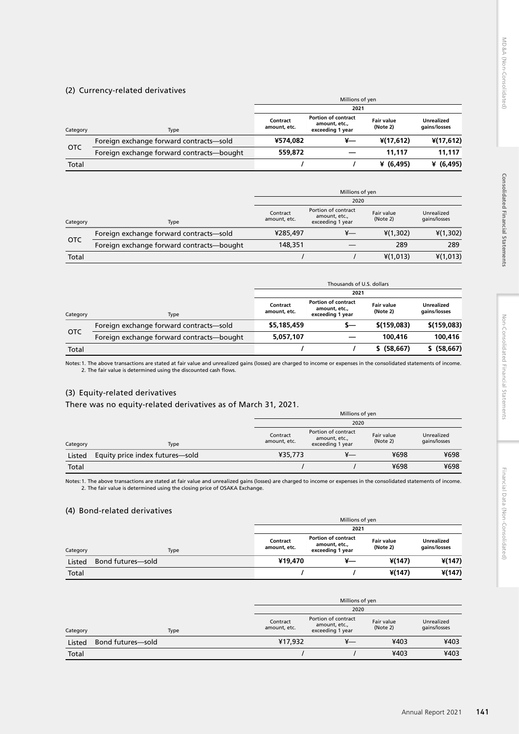#### (2) Currency-related derivatives

|            |                                           | Millions of yen          |                                                                 |                               |                            |
|------------|-------------------------------------------|--------------------------|-----------------------------------------------------------------|-------------------------------|----------------------------|
|            |                                           |                          | 2021                                                            |                               |                            |
| Category   | Type                                      | Contract<br>amount, etc. | <b>Portion of contract</b><br>amount, etc.,<br>exceeding 1 year | <b>Fair value</b><br>(Note 2) | Unrealized<br>gains/losses |
| <b>OTC</b> | Foreign exchange forward contracts-sold   | ¥574,082                 | ¥—                                                              | 4(17,612)                     | $*(17,612)$                |
|            | Foreign exchange forward contracts—bought | 559,872                  |                                                                 | 11.117                        | 11,117                     |
| Total      |                                           |                          |                                                                 | ¥ $(6, 495)$                  | ¥ $(6, 495)$               |

|            |                                           | Millions of yen          |                                                          |                        |                            |
|------------|-------------------------------------------|--------------------------|----------------------------------------------------------|------------------------|----------------------------|
|            | 2020                                      |                          |                                                          |                        |                            |
| Category   | Type                                      | Contract<br>amount, etc. | Portion of contract<br>amount, etc.,<br>exceeding 1 year | Fair value<br>(Note 2) | Unrealized<br>gains/losses |
| <b>OTC</b> | Foreign exchange forward contracts-sold   | ¥285,497                 |                                                          | $*(1,302)$             | $*(1,302)$                 |
|            | Foreign exchange forward contracts-bought | 148,351                  |                                                          | 289                    | 289                        |
| Total      |                                           |                          |                                                          | $*(1,013)$             | $*(1,013)$                 |

|            |                                           | Thousands of U.S. dollars |                                                                 |                               |                                   |
|------------|-------------------------------------------|---------------------------|-----------------------------------------------------------------|-------------------------------|-----------------------------------|
|            |                                           |                           | 2021                                                            |                               |                                   |
| Category   | Type                                      | Contract<br>amount, etc.  | <b>Portion of contract</b><br>amount, etc.,<br>exceeding 1 year | <b>Fair value</b><br>(Note 2) | <b>Unrealized</b><br>gains/losses |
| <b>OTC</b> | Foreign exchange forward contracts-sold   | \$5,185,459               |                                                                 | \$(159,083)                   | \$(159,083)                       |
|            | Foreign exchange forward contracts-bought | 5,057,107                 |                                                                 | 100,416                       | 100,416                           |
| Total      |                                           |                           |                                                                 | \$ (58,667)                   | \$ (58,667)                       |

Notes: 1. The above transactions are stated at fair value and unrealized gains (losses) are charged to income or expenses in the consolidated statements of income.<br>2. The fair value is determined using the discounted cash

#### (3) Equity-related derivatives

#### There was no equity-related derivatives as of March 31, 2021.

|          |                                 | Millions of yen          |                                                          |                        |                            |  |
|----------|---------------------------------|--------------------------|----------------------------------------------------------|------------------------|----------------------------|--|
|          |                                 | 2020                     |                                                          |                        |                            |  |
| Category | Type                            | Contract<br>amount, etc. | Portion of contract<br>amount, etc.,<br>exceeding 1 year | Fair value<br>(Note 2) | Unrealized<br>gains/losses |  |
| Listed   | Equity price index futures-sold | ¥35,773                  |                                                          | ¥698                   | ¥698                       |  |
| Total    |                                 |                          |                                                          | ¥698                   | ¥698                       |  |

Notes:1. The above transactions are stated at fair value and unrealized gains (losses) are charged to income or expenses in the consolidated statements of income. 2. The fair value is determined using the closing price of OSAKA Exchange.

#### (4) Bond-related derivatives

|          |                   | Millions of yen          |                                                                 |                               |                                   |
|----------|-------------------|--------------------------|-----------------------------------------------------------------|-------------------------------|-----------------------------------|
|          |                   | 2021                     |                                                                 |                               |                                   |
| Category | Type              | Contract<br>amount, etc. | <b>Portion of contract</b><br>amount, etc.,<br>exceeding 1 year | <b>Fair value</b><br>(Note 2) | <b>Unrealized</b><br>gains/losses |
| Listed   | Bond futures-sold | ¥19,470                  | $\frac{1}{2}$                                                   | Y(147)                        | Y(147)                            |
| Total    |                   |                          |                                                                 | $*(147)$                      | Y(147)                            |

|          |                   | Millions of yen          |                                                          |                        |                            |
|----------|-------------------|--------------------------|----------------------------------------------------------|------------------------|----------------------------|
|          |                   | 2020                     |                                                          |                        |                            |
| Category | Type              | Contract<br>amount, etc. | Portion of contract<br>amount, etc.,<br>exceeding 1 year | Fair value<br>(Note 2) | Unrealized<br>gains/losses |
| Listed   | Bond futures-sold | ¥17,932                  |                                                          | ¥403                   | ¥403                       |
| Total    |                   |                          |                                                          | ¥403                   | ¥403                       |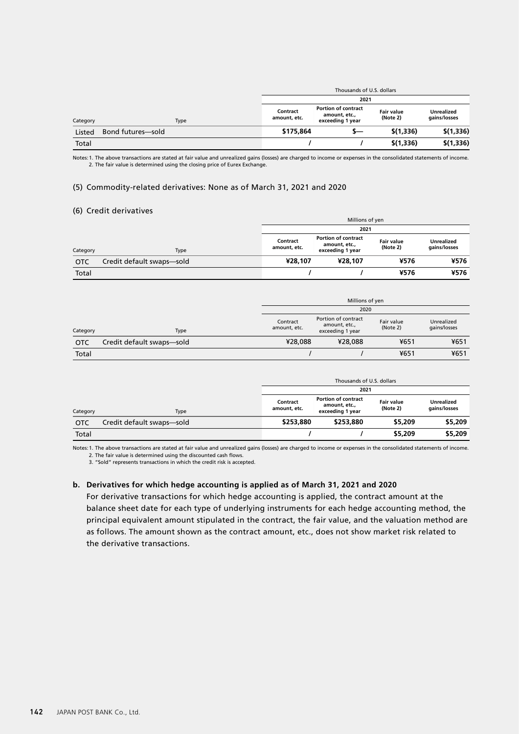|          |                   | Thousands of U.S. dollars |                                                                 |                               |                                   |  |
|----------|-------------------|---------------------------|-----------------------------------------------------------------|-------------------------------|-----------------------------------|--|
|          |                   |                           | 2021                                                            |                               |                                   |  |
| Category | Type              | Contract<br>amount, etc.  | <b>Portion of contract</b><br>amount, etc.,<br>exceeding 1 year | <b>Fair value</b><br>(Note 2) | <b>Unrealized</b><br>gains/losses |  |
| Listed   | Bond futures-sold | \$175,864                 |                                                                 | \$(1,336)                     | \$(1,336)                         |  |
| Total    |                   |                           |                                                                 | \$(1,336)                     | \$(1,336)                         |  |

Notes:1. The above transactions are stated at fair value and unrealized gains (losses) are charged to income or expenses in the consolidated statements of income. 2. The fair value is determined using the closing price of Eurex Exchange.

#### (5) Commodity-related derivatives: None as of March 31, 2021 and 2020

#### (6) Credit derivatives

|            |                           | Millions of yen          |                                                                 |                               |                                   |  |
|------------|---------------------------|--------------------------|-----------------------------------------------------------------|-------------------------------|-----------------------------------|--|
|            |                           | 2021                     |                                                                 |                               |                                   |  |
| Category   | Type                      | Contract<br>amount, etc. | <b>Portion of contract</b><br>amount, etc.,<br>exceeding 1 year | <b>Fair value</b><br>(Note 2) | <b>Unrealized</b><br>gains/losses |  |
| <b>OTC</b> | Credit default swaps-sold | ¥28.107                  | ¥28,107                                                         | ¥576                          | ¥576                              |  |
| Total      |                           |                          |                                                                 | ¥576                          | ¥576                              |  |

|            |                           | Millions of yen          |                                                          |                        |                            |
|------------|---------------------------|--------------------------|----------------------------------------------------------|------------------------|----------------------------|
|            |                           | 2020                     |                                                          |                        |                            |
| Category   | Type                      | Contract<br>amount, etc. | Portion of contract<br>amount, etc.,<br>exceeding 1 year | Fair value<br>(Note 2) | Unrealized<br>gains/losses |
| <b>OTC</b> | Credit default swaps-sold | ¥28,088                  | ¥28,088                                                  | ¥651                   | ¥651                       |
| Total      |                           |                          |                                                          | ¥651                   | ¥651                       |

|            |                           | Thousands of U.S. dollars |                                                                 |                               |                                   |
|------------|---------------------------|---------------------------|-----------------------------------------------------------------|-------------------------------|-----------------------------------|
|            |                           |                           | 2021                                                            |                               |                                   |
| Category   | Type                      | Contract<br>amount, etc.  | <b>Portion of contract</b><br>amount, etc.,<br>exceeding 1 year | <b>Fair value</b><br>(Note 2) | <b>Unrealized</b><br>gains/losses |
| <b>OTC</b> | Credit default swaps-sold | \$253,880                 | \$253,880                                                       | \$5,209                       | \$5,209                           |
| Total      |                           |                           |                                                                 | \$5,209                       | \$5,209                           |

Notes:1. The above transactions are stated at fair value and unrealized gains (losses) are charged to income or expenses in the consolidated statements of income. 2. The fair value is determined using the discounted cash flows.

3. "Sold" represents transactions in which the credit risk is accepted.

#### **b. Derivatives for which hedge accounting is applied as of March 31, 2021 and 2020**

For derivative transactions for which hedge accounting is applied, the contract amount at the balance sheet date for each type of underlying instruments for each hedge accounting method, the principal equivalent amount stipulated in the contract, the fair value, and the valuation method are as follows. The amount shown as the contract amount, etc., does not show market risk related to the derivative transactions.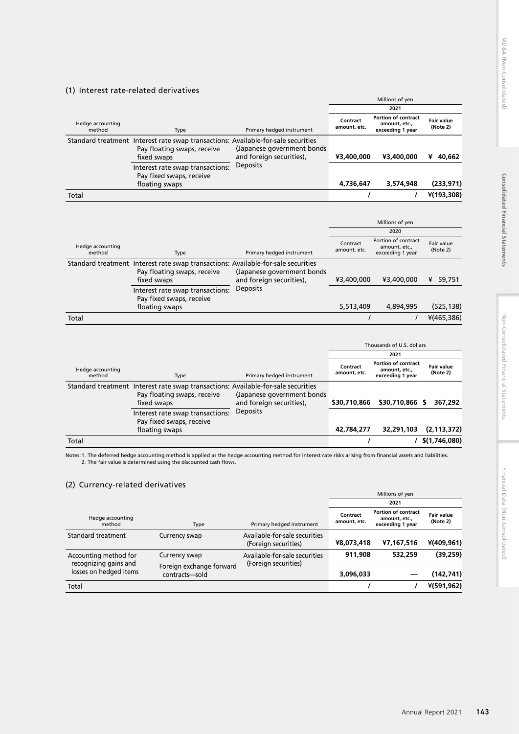#### (1) Interest rate-related derivatives

|                            |                                                                                                                                                                     |                                                                           |                          | Millions of yen                                                                     |                               |
|----------------------------|---------------------------------------------------------------------------------------------------------------------------------------------------------------------|---------------------------------------------------------------------------|--------------------------|-------------------------------------------------------------------------------------|-------------------------------|
|                            |                                                                                                                                                                     |                                                                           |                          | 2021                                                                                |                               |
| Hedge accounting<br>method | Type                                                                                                                                                                | Primary hedged instrument                                                 | Contract<br>amount, etc. | <b>Portion of contract</b><br>amount, etc.,<br>exceeding 1 year                     | <b>Fair value</b><br>(Note 2) |
|                            | Standard treatment Interest rate swap transactions: Available-for-sale securities<br>Pay floating swaps, receive<br>fixed swaps                                     | (Japanese government bonds<br>and foreign securities),                    | ¥3,400,000               | ¥3,400,000                                                                          | ¥ 40.662                      |
|                            | Interest rate swap transactions:<br>Pay fixed swaps, receive<br>floating swaps                                                                                      | <b>Deposits</b>                                                           | 4,736,647                | 3,574,948                                                                           | (233, 971)                    |
| Total                      |                                                                                                                                                                     |                                                                           | $\prime$                 | I                                                                                   | $*(193,308)$                  |
| Hedge accounting<br>method | Type                                                                                                                                                                | Primary hedged instrument                                                 | Contract<br>amount, etc. | Millions of yen<br>2020<br>Portion of contract<br>amount, etc.,<br>exceeding 1 year | Fair value<br>(Note 2)        |
|                            | Standard treatment Interest rate swap transactions: Available-for-sale securities<br>Pay floating swaps, receive<br>fixed swaps                                     | (Japanese government bonds<br>and foreign securities),                    | ¥3,400,000               | ¥3,400,000                                                                          | ¥ 59,751                      |
|                            | Interest rate swap transactions:<br>Pay fixed swaps, receive<br>floating swaps                                                                                      | <b>Deposits</b>                                                           | 5,513,409                | 4,894,995                                                                           | (525, 138)                    |
| Total                      |                                                                                                                                                                     |                                                                           | $\prime$                 | $\prime$                                                                            | $*(465,386)$                  |
|                            |                                                                                                                                                                     |                                                                           | Contract                 | Thousands of U.S. dollars<br>2021<br><b>Portion of contract</b>                     | <b>Fair value</b>             |
| Hedge accounting<br>method | Type                                                                                                                                                                | Primary hedged instrument                                                 | amount, etc.             | amount, etc.,<br>exceeding 1 year                                                   | (Note 2)                      |
|                            | Standard treatment Interest rate swap transactions: Available-for-sale securities<br>Pay floating swaps, receive<br>fixed swaps<br>Interest rate swap transactions: | (Japanese government bonds<br>and foreign securities),<br><b>Deposits</b> | \$30,710,866             | \$30,710,866 \$                                                                     | 367,292                       |
|                            | Pay fixed swaps, receive<br>floating swaps                                                                                                                          |                                                                           | 42,784,277               | 32,291,103                                                                          | (2, 113, 372)                 |
| Total                      |                                                                                                                                                                     |                                                                           | $\prime$                 |                                                                                     | \$(1,746,080)                 |

Notes:1. The deferred hedge accounting method is applied as the hedge accounting method for interest rate risks arising from financial assets and liabilities. 2. The fair value is determined using the discounted cash flows.

#### (2) Currency-related derivatives

|                                                 |                                            |                                                       | Millions of yen          |                                                                 |                               |
|-------------------------------------------------|--------------------------------------------|-------------------------------------------------------|--------------------------|-----------------------------------------------------------------|-------------------------------|
|                                                 |                                            |                                                       |                          | 2021                                                            |                               |
| Hedge accounting<br>method                      | Type                                       | Primary hedged instrument                             | Contract<br>amount, etc. | <b>Portion of contract</b><br>amount, etc.,<br>exceeding 1 year | <b>Fair value</b><br>(Note 2) |
| Standard treatment                              | Currency swap                              | Available-for-sale securities<br>(Foreign securities) | ¥8,073,418               | ¥7,167,516                                                      | $*(409,961)$                  |
| Accounting method for                           | Currency swap                              | Available-for-sale securities                         | 911.908                  | 532,259                                                         | (39,259)                      |
| recognizing gains and<br>losses on hedged items | Foreign exchange forward<br>contracts-sold | (Foreign securities)                                  | 3,096,033                |                                                                 | (142, 741)                    |
| Total                                           |                                            |                                                       |                          |                                                                 | $*(591, 962)$                 |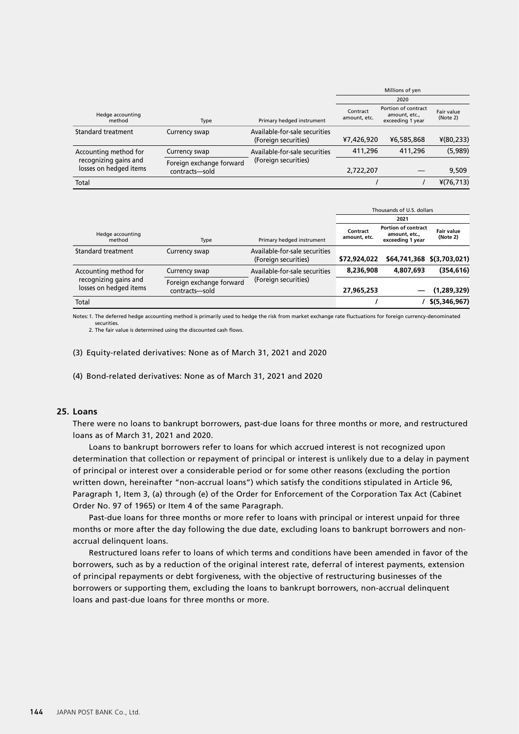|                                                 |                                            |                                                       |                          | Millions of yen                                          |                        |
|-------------------------------------------------|--------------------------------------------|-------------------------------------------------------|--------------------------|----------------------------------------------------------|------------------------|
|                                                 |                                            |                                                       |                          | 2020                                                     |                        |
| Hedge accounting<br>method                      | Type                                       | Primary hedged instrument                             | Contract<br>amount, etc. | Portion of contract<br>amount, etc.,<br>exceeding 1 year | Fair value<br>(Note 2) |
| Standard treatment                              | Currency swap                              | Available-for-sale securities<br>(Foreign securities) | ¥7,426,920               | ¥6,585,868                                               | $*(80, 233)$           |
| Accounting method for                           | Currency swap                              | Available-for-sale securities                         | 411,296                  | 411,296                                                  | (5,989)                |
| recognizing gains and<br>losses on hedged items | Foreign exchange forward<br>contracts-sold | (Foreign securities)                                  | 2,722,207                |                                                          | 9,509                  |
| Total                                           |                                            |                                                       |                          |                                                          | $*(76, 713)$           |

|                                                 |                                            |                                                       | Thousands of U.S. dollars |                                                                 |                               |
|-------------------------------------------------|--------------------------------------------|-------------------------------------------------------|---------------------------|-----------------------------------------------------------------|-------------------------------|
|                                                 |                                            |                                                       |                           | 2021                                                            |                               |
| Hedge accounting<br>method                      | Type                                       | Primary hedged instrument                             | Contract<br>amount, etc.  | <b>Portion of contract</b><br>amount, etc.,<br>exceeding 1 year | <b>Fair value</b><br>(Note 2) |
| Standard treatment                              | Currency swap                              | Available-for-sale securities<br>(Foreign securities) | \$72,924,022              |                                                                 | \$64,741,368 \$(3,703,021)    |
| Accounting method for                           | Currency swap                              | Available-for-sale securities<br>(Foreign securities) | 8,236,908                 | 4,807,693                                                       | (354, 616)                    |
| recognizing gains and<br>losses on hedged items | Foreign exchange forward<br>contracts-sold |                                                       | 27,965,253                |                                                                 | (1,289,329)                   |
| Total                                           |                                            |                                                       |                           |                                                                 | $/$ \$(5,346,967)             |

Notes:1. The deferred hedge accounting method is primarily used to hedge the risk from market exchange rate fluctuations for foreign currency-denominated securities.

2. The fair value is determined using the discounted cash flows.

(3) Equity-related derivatives: None as of March 31, 2021 and 2020

(4) Bond-related derivatives: None as of March 31, 2021 and 2020

#### **25. Loans**

There were no loans to bankrupt borrowers, past-due loans for three months or more, and restructured loans as of March 31, 2021 and 2020.

Loans to bankrupt borrowers refer to loans for which accrued interest is not recognized upon determination that collection or repayment of principal or interest is unlikely due to a delay in payment of principal or interest over a considerable period or for some other reasons (excluding the portion written down, hereinafter "non-accrual loans") which satisfy the conditions stipulated in Article 96, Paragraph 1, Item 3, (a) through (e) of the Order for Enforcement of the Corporation Tax Act (Cabinet Order No. 97 of 1965) or Item 4 of the same Paragraph.

Past-due loans for three months or more refer to loans with principal or interest unpaid for three months or more after the day following the due date, excluding loans to bankrupt borrowers and nonaccrual delinquent loans.

Restructured loans refer to loans of which terms and conditions have been amended in favor of the borrowers, such as by a reduction of the original interest rate, deferral of interest payments, extension of principal repayments or debt forgiveness, with the objective of restructuring businesses of the borrowers or supporting them, excluding the loans to bankrupt borrowers, non-accrual delinquent loans and past-due loans for three months or more.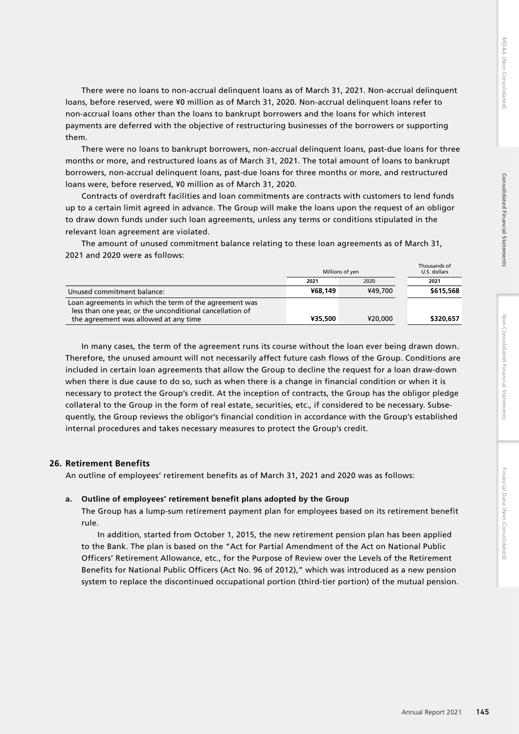There were no loans to non-accrual delinquent loans as of March 31, 2021. Non-accrual delinquent loans, before reserved, were ¥0 million as of March 31, 2020. Non-accrual delinquent loans refer to non-accrual loans other than the loans to bankrupt borrowers and the loans for which interest payments are deferred with the objective of restructuring businesses of the borrowers or supporting them.

There were no loans to bankrupt borrowers, non-accrual delinquent loans, past-due loans for three months or more, and restructured loans as of March 31, 2021. The total amount of loans to bankrupt borrowers, non-accrual delinquent loans, past-due loans for three months or more, and restructured loans were, before reserved, ¥0 million as of March 31, 2020.

Contracts of overdraft facilities and loan commitments are contracts with customers to lend funds up to a certain limit agreed in advance. The Group will make the loans upon the request of an obligor to draw down funds under such loan agreements, unless any terms or conditions stipulated in the relevant loan agreement are violated.

The amount of unused commitment balance relating to these loan agreements as of March 31, 2021 and 2020 were as follows:

|         | Thousands of<br>U.S. dollars |                            |
|---------|------------------------------|----------------------------|
| 2021    | 2020                         | 2021                       |
| ¥68.149 | ¥49,700                      | \$615,568                  |
|         |                              | \$320.657                  |
|         | ¥35,500                      | Millions of yen<br>¥20,000 |

In many cases, the term of the agreement runs its course without the loan ever being drawn down. Therefore, the unused amount will not necessarily affect future cash flows of the Group. Conditions are included in certain loan agreements that allow the Group to decline the request for a loan draw-down when there is due cause to do so, such as when there is a change in financial condition or when it is necessary to protect the Group's credit. At the inception of contracts, the Group has the obligor pledge collateral to the Group in the form of real estate, securities, etc., if considered to be necessary. Subsequently, the Group reviews the obligor's financial condition in accordance with the Group's established internal procedures and takes necessary measures to protect the Group's credit.

#### **26. Retirement Benefits**

An outline of employees' retirement benefits as of March 31, 2021 and 2020 was as follows:

#### **a. Outline of employees' retirement benefit plans adopted by the Group**

The Group has a lump-sum retirement payment plan for employees based on its retirement benefit rule.

In addition, started from October 1, 2015, the new retirement pension plan has been applied to the Bank. The plan is based on the "Act for Partial Amendment of the Act on National Public Officers' Retirement Allowance, etc., for the Purpose of Review over the Levels of the Retirement Benefits for National Public Officers (Act No. 96 of 2012)," which was introduced as a new pension system to replace the discontinued occupational portion (third-tier portion) of the mutual pension.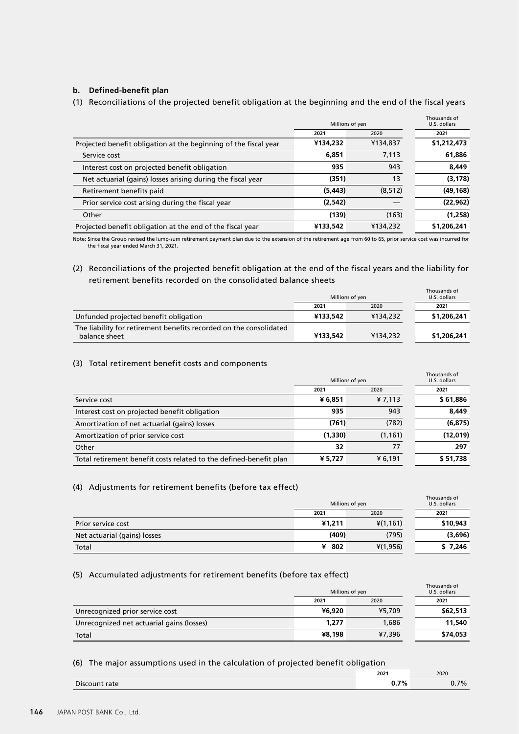#### **b. Defined-benefit plan**

(1) Reconciliations of the projected benefit obligation at the beginning and the end of the fiscal years

|                                                                  | Millions of yen | Thousands of<br>U.S. dollars |             |
|------------------------------------------------------------------|-----------------|------------------------------|-------------|
|                                                                  | 2021            | 2020                         | 2021        |
| Projected benefit obligation at the beginning of the fiscal year | ¥134,232        | ¥134,837                     | \$1,212,473 |
| Service cost                                                     | 6,851           | 7,113                        | 61,886      |
| Interest cost on projected benefit obligation                    | 935             | 943                          | 8,449       |
| Net actuarial (gains) losses arising during the fiscal year      | (351)           | 13                           | (3, 178)    |
| Retirement benefits paid                                         | (5, 443)        | (8, 512)                     | (49, 168)   |
| Prior service cost arising during the fiscal year                | (2, 542)        |                              | (22, 962)   |
| Other                                                            | (139)           | (163)                        | (1, 258)    |
| Projected benefit obligation at the end of the fiscal year       | ¥133,542        | ¥134,232                     | \$1,206,241 |

Note: Since the Group revised the lump-sum retirement payment plan due to the extension of the retirement age from 60 to 65, prior service cost was incurred for the fiscal year ended March 31, 2021.

#### (2) Reconciliations of the projected benefit obligation at the end of the fiscal years and the liability for retirement benefits recorded on the consolidated balance sheets

|                                                                                     | Millions of yen |          | Thousands of<br>U.S. dollars |
|-------------------------------------------------------------------------------------|-----------------|----------|------------------------------|
|                                                                                     | 2021            | 2020     | 2021                         |
| Unfunded projected benefit obligation                                               | ¥133,542        | ¥134,232 | \$1,206,241                  |
| The liability for retirement benefits recorded on the consolidated<br>balance sheet | ¥133,542        | ¥134,232 | \$1,206,241                  |

#### (3) Total retirement benefit costs and components

|                                                                    | Millions of yen |           | Thousands of<br>U.S. dollars |  |
|--------------------------------------------------------------------|-----------------|-----------|------------------------------|--|
|                                                                    | 2021            | 2020      | 2021                         |  |
| Service cost                                                       | ¥ 6,851         | ¥ $7.113$ | \$61,886                     |  |
| Interest cost on projected benefit obligation                      | 935             | 943       | 8,449                        |  |
| Amortization of net actuarial (gains) losses                       | (761)           | (782)     | (6, 875)                     |  |
| Amortization of prior service cost                                 | (1,330)         | (1, 161)  | (12,019)                     |  |
| Other                                                              | 32              | 77        | 297                          |  |
| Total retirement benefit costs related to the defined-benefit plan | ¥ 5,727         | ¥ $6.191$ | \$51,738                     |  |

#### (4) Adjustments for retirement benefits (before tax effect)

|                              | Millions of yen |            | Thousands of<br>U.S. dollars |
|------------------------------|-----------------|------------|------------------------------|
|                              | 2021            | 2020       | 2021                         |
| Prior service cost           | ¥1,211          | ¥(1,161)   | \$10,943                     |
| Net actuarial (gains) losses | (409)           | (795)      | (3,696)                      |
| Total                        | ¥ 802           | $*(1,956)$ | \$7,246                      |

#### (5) Accumulated adjustments for retirement benefits (before tax effect)

|                                           | Millions of yen |        | Thousands of<br>U.S. dollars |
|-------------------------------------------|-----------------|--------|------------------------------|
|                                           | 2021            | 2020   | 2021                         |
| Unrecognized prior service cost           | ¥6.920          | ¥5,709 | \$62,513                     |
| Unrecognized net actuarial gains (losses) | 1.277           | 1,686  | 11,540                       |
| Total                                     | ¥8,198          | ¥7,396 | \$74,053                     |

#### (6) The major assumptions used in the calculation of projected benefit obligation

|                  | 2021                                                  | 2020 |
|------------------|-------------------------------------------------------|------|
| Discount<br>rate | 70/<br>"∕o<br>$\mathbf{u} \cdot \mathbf{v}$<br>$\sim$ | 0.7% |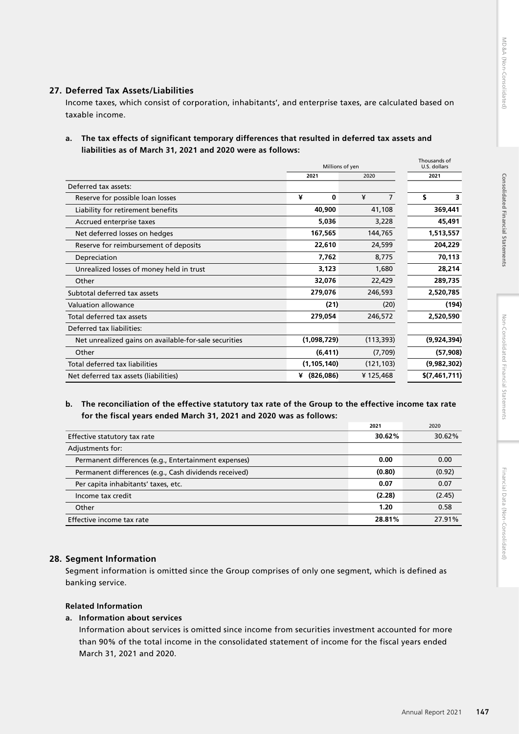#### **27. Deferred Tax Assets/Liabilities**

Income taxes, which consist of corporation, inhabitants', and enterprise taxes, are calculated based on taxable income.

#### **a. The tax effects of significant temporary differences that resulted in deferred tax assets and liabilities as of March 31, 2021 and 2020 were as follows:**

|                                                       | Millions of yen   |                     | Thousands of<br>U.S. dollars |  |
|-------------------------------------------------------|-------------------|---------------------|------------------------------|--|
|                                                       | 2021              | 2020                | 2021                         |  |
| Deferred tax assets:                                  |                   |                     |                              |  |
| Reserve for possible loan losses                      | ¥<br>$\mathbf{0}$ | $\overline{7}$<br>¥ | \$<br>3                      |  |
| Liability for retirement benefits                     | 40,900            | 41,108              | 369,441                      |  |
| Accrued enterprise taxes                              | 5,036             | 3,228               | 45,491                       |  |
| Net deferred losses on hedges                         | 167,565           | 144,765             | 1,513,557                    |  |
| Reserve for reimbursement of deposits                 | 22,610            | 24,599              | 204,229                      |  |
| Depreciation                                          | 7,762             | 8,775               | 70,113                       |  |
| Unrealized losses of money held in trust              | 3,123             | 1,680               | 28,214                       |  |
| Other                                                 | 32,076            | 22,429              | 289,735                      |  |
| Subtotal deferred tax assets                          | 279,076           | 246,593             | 2,520,785                    |  |
| Valuation allowance                                   | (21)              | (20)                | (194)                        |  |
| Total deferred tax assets                             | 279,054           | 246,572             | 2,520,590                    |  |
| Deferred tax liabilities:                             |                   |                     |                              |  |
| Net unrealized gains on available-for-sale securities | (1,098,729)       | (113, 393)          | (9,924,394)                  |  |
| Other                                                 | (6, 411)          | (7,709)             | (57, 908)                    |  |
| Total deferred tax liabilities                        | (1, 105, 140)     | (121, 103)          | (9,982,302)                  |  |
| Net deferred tax assets (liabilities)                 | (826,086)<br>¥    | ¥125,468            | \$(7,461,711)                |  |

#### **b. The reconciliation of the effective statutory tax rate of the Group to the effective income tax rate for the fiscal years ended March 31, 2021 and 2020 was as follows:**

|                                                       | 2021   | 2020   |
|-------------------------------------------------------|--------|--------|
| Effective statutory tax rate                          | 30.62% | 30.62% |
| Adjustments for:                                      |        |        |
| Permanent differences (e.g., Entertainment expenses)  | 0.00   | 0.00   |
| Permanent differences (e.g., Cash dividends received) | (0.80) | (0.92) |
| Per capita inhabitants' taxes, etc.                   | 0.07   | 0.07   |
| Income tax credit                                     | (2.28) | (2.45) |
| Other                                                 | 1.20   | 0.58   |
| Effective income tax rate                             | 28.81% | 27.91% |

#### **28. Segment Information**

Segment information is omitted since the Group comprises of only one segment, which is defined as banking service.

#### **Related Information**

#### **a. Information about services**

Information about services is omitted since income from securities investment accounted for more than 90% of the total income in the consolidated statement of income for the fiscal years ended March 31, 2021 and 2020.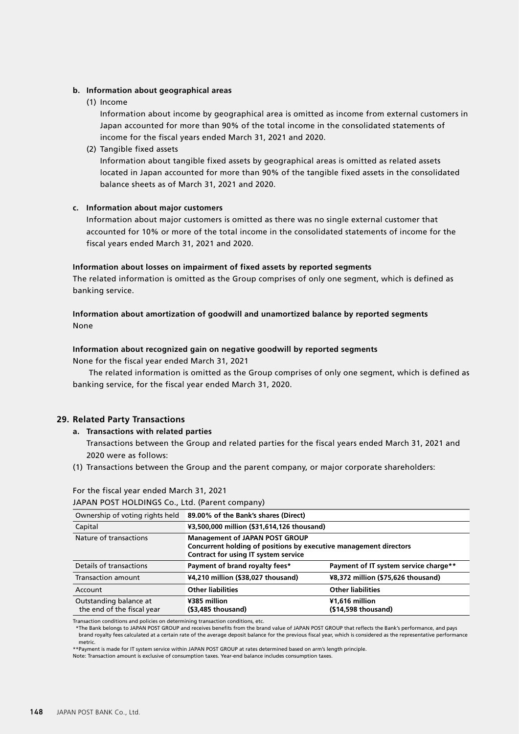#### **b. Information about geographical areas**

#### (1) Income

Information about income by geographical area is omitted as income from external customers in Japan accounted for more than 90% of the total income in the consolidated statements of income for the fiscal years ended March 31, 2021 and 2020.

#### (2) Tangible fixed assets

Information about tangible fixed assets by geographical areas is omitted as related assets located in Japan accounted for more than 90% of the tangible fixed assets in the consolidated balance sheets as of March 31, 2021 and 2020.

#### **c. Information about major customers**

Information about major customers is omitted as there was no single external customer that accounted for 10% or more of the total income in the consolidated statements of income for the fiscal years ended March 31, 2021 and 2020.

#### **Information about losses on impairment of fixed assets by reported segments**

The related information is omitted as the Group comprises of only one segment, which is defined as banking service.

#### **Information about amortization of goodwill and unamortized balance by reported segments** None

#### **Information about recognized gain on negative goodwill by reported segments**

None for the fiscal year ended March 31, 2021

The related information is omitted as the Group comprises of only one segment, which is defined as banking service, for the fiscal year ended March 31, 2020.

#### **29. Related Party Transactions**

#### **a. Transactions with related parties**

Transactions between the Group and related parties for the fiscal years ended March 31, 2021 and 2020 were as follows:

(1) Transactions between the Group and the parent company, or major corporate shareholders:

| Ownership of voting rights held                      | 89.00% of the Bank's shares (Direct)                                                                                                               |                                       |  |
|------------------------------------------------------|----------------------------------------------------------------------------------------------------------------------------------------------------|---------------------------------------|--|
| Capital                                              | ¥3,500,000 million (\$31,614,126 thousand)                                                                                                         |                                       |  |
| Nature of transactions                               | <b>Management of JAPAN POST GROUP</b><br>Concurrent holding of positions by executive management directors<br>Contract for using IT system service |                                       |  |
| Details of transactions                              | Payment of brand royalty fees*                                                                                                                     | Payment of IT system service charge** |  |
| <b>Transaction amount</b>                            | ¥4,210 million (\$38,027 thousand)                                                                                                                 | ¥8,372 million (\$75,626 thousand)    |  |
| Account                                              | <b>Other liabilities</b>                                                                                                                           | <b>Other liabilities</b>              |  |
| Outstanding balance at<br>the end of the fiscal year | ¥385 million<br>$($ \$3,485 thousand $)$                                                                                                           | ¥1,616 million<br>(\$14,598 thousand) |  |

#### For the fiscal year ended March 31, 2021 JAPAN POST HOLDINGS Co., Ltd. (Parent company)

Transaction conditions and policies on determining transaction conditions, etc.

\*The Bank belongs to JAPAN POST GROUP and receives benefits from the brand value of JAPAN POST GROUP that reflects the Bank's performance, and pays brand royalty fees calculated at a certain rate of the average deposit balance for the previous fiscal year, which is considered as the representative performance metric.

\*\*Payment is made for IT system service within JAPAN POST GROUP at rates determined based on arm's length principle.

Note: Transaction amount is exclusive of consumption taxes. Year-end balance includes consumption taxes.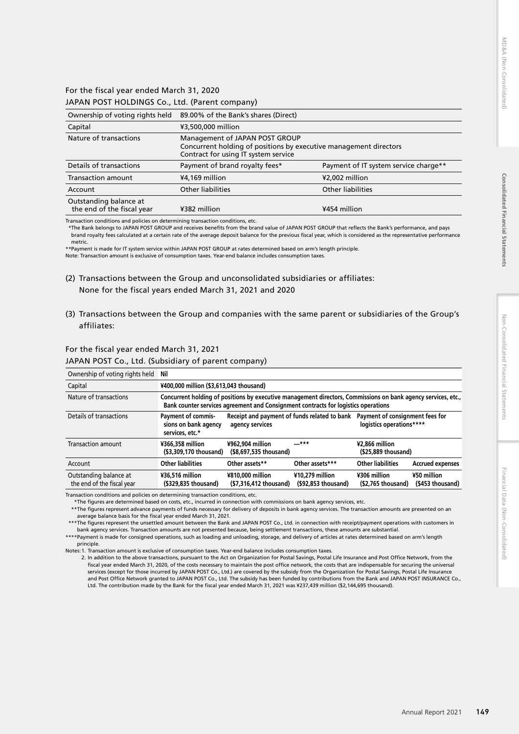# Financial Data (Non-Consolidated)

#### For the fiscal year ended March 31, 2020

#### JAPAN POST HOLDINGS Co., Ltd. (Parent company)

| Ownership of voting rights held                      | 89.00% of the Bank's shares (Direct)                                                                                                        |                                       |  |
|------------------------------------------------------|---------------------------------------------------------------------------------------------------------------------------------------------|---------------------------------------|--|
| Capital                                              | ¥3,500,000 million                                                                                                                          |                                       |  |
| Nature of transactions                               | Management of JAPAN POST GROUP<br>Concurrent holding of positions by executive management directors<br>Contract for using IT system service |                                       |  |
| Details of transactions                              | Payment of brand royalty fees*                                                                                                              | Payment of IT system service charge** |  |
| <b>Transaction amount</b>                            | ¥4,169 million                                                                                                                              | ¥2,002 million                        |  |
| Account                                              | <b>Other liabilities</b>                                                                                                                    | <b>Other liabilities</b>              |  |
| Outstanding balance at<br>the end of the fiscal year | ¥382 million                                                                                                                                | ¥454 million                          |  |

Transaction conditions and policies on determining transaction conditions, etc.

\*The Bank belongs to JAPAN POST GROUP and receives benefits from the brand value of JAPAN POST GROUP that reflects the Bank's performance, and pays brand royalty fees calculated at a certain rate of the average deposit balance for the previous fiscal year, which is considered as the representative performance metric.

\*\*Payment is made for IT system service within JAPAN POST GROUP at rates determined based on arm's length principle.

Note: Transaction amount is exclusive of consumption taxes. Year-end balance includes consumption taxes.

#### (2) Transactions between the Group and unconsolidated subsidiaries or affiliates: None for the fiscal years ended March 31, 2021 and 2020

(3) Transactions between the Group and companies with the same parent or subsidiaries of the Group's affiliates:

#### For the fiscal year ended March 31, 2021

JAPAN POST Co., Ltd. (Subsidiary of parent company)

| Ownership of voting rights held                      | . Nil                                                                                                                                                                                               |                                                                 |                                        |                                                             |                                 |
|------------------------------------------------------|-----------------------------------------------------------------------------------------------------------------------------------------------------------------------------------------------------|-----------------------------------------------------------------|----------------------------------------|-------------------------------------------------------------|---------------------------------|
| Capital                                              | ¥400,000 million (\$3,613,043 thousand)                                                                                                                                                             |                                                                 |                                        |                                                             |                                 |
| Nature of transactions                               | Concurrent holding of positions by executive management directors, Commissions on bank agency services, etc.,<br>Bank counter services agreement and Consignment contracts for logistics operations |                                                                 |                                        |                                                             |                                 |
| Details of transactions                              | <b>Payment of commis-</b><br>sions on bank agency<br>services, etc.*                                                                                                                                | Receipt and payment of funds related to bank<br>agency services |                                        | Payment of consignment fees for<br>logistics operations**** |                                 |
| Transaction amount                                   | ¥366,358 million<br>(\$3,309,170 thousand)                                                                                                                                                          | ¥962.904 million<br>(\$8,697,535 thousand)                      | $-***$                                 | ¥2.866 million<br>$(525,889$ thousand)                      |                                 |
| Account                                              | <b>Other liabilities</b>                                                                                                                                                                            | Other assets**                                                  | Other assets***                        | <b>Other liabilities</b>                                    | <b>Accrued expenses</b>         |
| Outstanding balance at<br>the end of the fiscal year | ¥36.516 million<br>(\$329,835 thousand)                                                                                                                                                             | ¥810,000 million<br>(\$7,316,412 thousand)                      | ¥10.279 million<br>(\$92,853 thousand) | ¥306 million<br>$(52,765$ thousand)                         | ¥50 million<br>(\$453 thousand) |

Transaction conditions and policies on determining transaction conditions, etc.

\*The figures are determined based on costs, etc., incurred in connection with commissions on bank agency services, etc.

\*\*The figures represent advance payments of funds necessary for delivery of deposits in bank agency services. The transaction amounts are presented on an average balance basis for the fiscal year ended March 31, 2021.

\*\*\*The figures represent the unsettled amount between the Bank and JAPAN POST Co., Ltd. in connection with receipt/payment operations with customers in bank agency services. Transaction amounts are not presented because, being settlement transactions, these amounts are substantial.

\*\*\*\*Payment is made for consigned operations, such as loading and unloading, storage, and delivery of articles at rates determined based on arm's length principle.

Notes:1. Transaction amount is exclusive of consumption taxes. Year-end balance includes consumption taxes.

2. In addition to the above transactions, pursuant to the Act on Organization for Postal Savings, Postal Life Insurance and Post Office Network, from the fiscal year ended March 31, 2020, of the costs necessary to maintain the post office network, the costs that are indispensable for securing the universal services (except for those incurred by JAPAN POST Co., Ltd.) are covered by the subsidy from the Organization for Postal Savings, Postal Life Insurance and Post Office Network granted to JAPAN POST Co., Ltd. The subsidy has been funded by contributions from the Bank and JAPAN POST INSURANCE Co., Ltd. The contribution made by the Bank for the fiscal year ended March 31, 2021 was ¥237,439 million (\$2,144,695 thousand).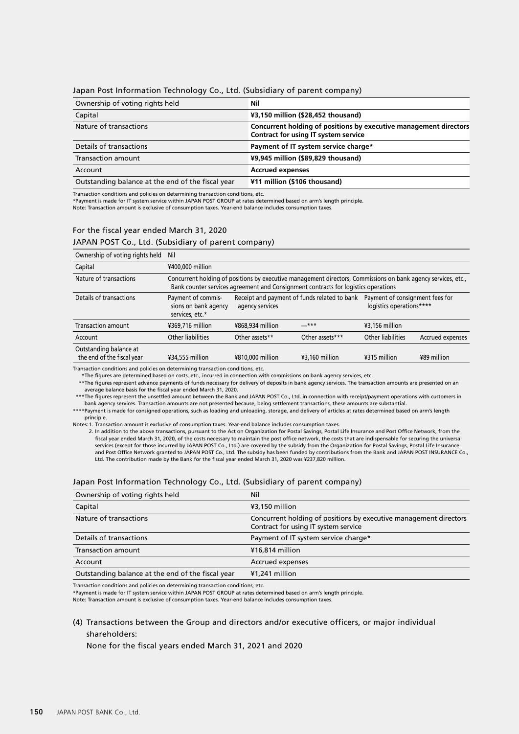| Japan Post Information Technology Co., Ltd. (Subsidiary of parent company) |
|----------------------------------------------------------------------------|
|----------------------------------------------------------------------------|

| Ownership of voting rights held                   | Nil                                                                                                              |
|---------------------------------------------------|------------------------------------------------------------------------------------------------------------------|
| Capital                                           | ¥3,150 million (\$28,452 thousand)                                                                               |
| Nature of transactions                            | Concurrent holding of positions by executive management directors<br><b>Contract for using IT system service</b> |
| Details of transactions                           | Payment of IT system service charge*                                                                             |
| <b>Transaction amount</b>                         | ¥9,945 million (\$89,829 thousand)                                                                               |
| Account                                           | <b>Accrued expenses</b>                                                                                          |
| Outstanding balance at the end of the fiscal year | ¥11 million (\$106 thousand)                                                                                     |

Transaction conditions and policies on determining transaction conditions, etc.

\*Payment is made for IT system service within JAPAN POST GROUP at rates determined based on arm's length principle.

Note: Transaction amount is exclusive of consumption taxes. Year-end balance includes consumption taxes.

#### For the fiscal year ended March 31, 2020

#### JAPAN POST Co., Ltd. (Subsidiary of parent company)

| Ownership of voting rights held                      | Nil                                                                                                                                                                                                 |                                                                 |                 |                                                             |                  |
|------------------------------------------------------|-----------------------------------------------------------------------------------------------------------------------------------------------------------------------------------------------------|-----------------------------------------------------------------|-----------------|-------------------------------------------------------------|------------------|
| Capital                                              | ¥400,000 million                                                                                                                                                                                    |                                                                 |                 |                                                             |                  |
| Nature of transactions                               | Concurrent holding of positions by executive management directors, Commissions on bank agency services, etc.,<br>Bank counter services agreement and Consignment contracts for logistics operations |                                                                 |                 |                                                             |                  |
| Details of transactions                              | Payment of commis-<br>sions on bank agency<br>services, etc.*                                                                                                                                       | Receipt and payment of funds related to bank<br>agency services |                 | Payment of consignment fees for<br>logistics operations**** |                  |
| Transaction amount                                   | ¥369,716 million                                                                                                                                                                                    | ¥868,934 million                                                | $***$           | ¥3,156 million                                              |                  |
| Account                                              | Other liabilities                                                                                                                                                                                   | Other assets**                                                  | Other assets*** | Other liabilities                                           | Accrued expenses |
| Outstanding balance at<br>the end of the fiscal year | ¥34,555 million                                                                                                                                                                                     | ¥810,000 million                                                | ¥3,160 million  | ¥315 million                                                | ¥89 million      |

Transaction conditions and policies on determining transaction conditions, etc.

\*The figures are determined based on costs, etc., incurred in connection with commissions on bank agency services, etc.

\*\*The figures represent advance payments of funds necessary for delivery of deposits in bank agency services. The transaction amounts are presented on an average balance basis for the fiscal year ended March 31, 2020.

\*\*\*The figures represent the unsettled amount between the Bank and JAPAN POST Co., Ltd. in connection with receipt/payment operations with customers in bank agency services. Transaction amounts are not presented because, being settlement transactions, these amounts are substantial.

\*\*\*\*Payment is made for consigned operations, such as loading and unloading, storage, and delivery of articles at rates determined based on arm's length principle.

Notes:1. Transaction amount is exclusive of consumption taxes. Year-end balance includes consumption taxes.

2. In addition to the above transactions, pursuant to the Act on Organization for Postal Savings, Postal Life Insurance and Post Office Network, from the fiscal year ended March 31, 2020, of the costs necessary to maintain the post office network, the costs that are indispensable for securing the universal services (except for those incurred by JAPAN POST Co., Ltd.) are covered by the subsidy from the Organization for Postal Savings, Postal Life Insurance and Post Office Network granted to JAPAN POST Co., Ltd. The subsidy has been funded by contributions from the Bank and JAPAN POST INSURANCE Co., Ltd. The contribution made by the Bank for the fiscal year ended March 31, 2020 was ¥237,820 million.

#### Japan Post Information Technology Co., Ltd. (Subsidiary of parent company)

| Ownership of voting rights held                   | Nil                                                                                                       |
|---------------------------------------------------|-----------------------------------------------------------------------------------------------------------|
| Capital                                           | ¥3,150 million                                                                                            |
| Nature of transactions                            | Concurrent holding of positions by executive management directors<br>Contract for using IT system service |
| Details of transactions                           | Payment of IT system service charge*                                                                      |
| <b>Transaction amount</b>                         | ¥16,814 million                                                                                           |
| Account                                           | <b>Accrued expenses</b>                                                                                   |
| Outstanding balance at the end of the fiscal year | ¥1,241 million                                                                                            |

Transaction conditions and policies on determining transaction conditions, etc.

\*Payment is made for IT system service within JAPAN POST GROUP at rates determined based on arm's length principle.

Note: Transaction amount is exclusive of consumption taxes. Year-end balance includes consumption taxes.

#### (4) Transactions between the Group and directors and/or executive officers, or major individual shareholders:

None for the fiscal years ended March 31, 2021 and 2020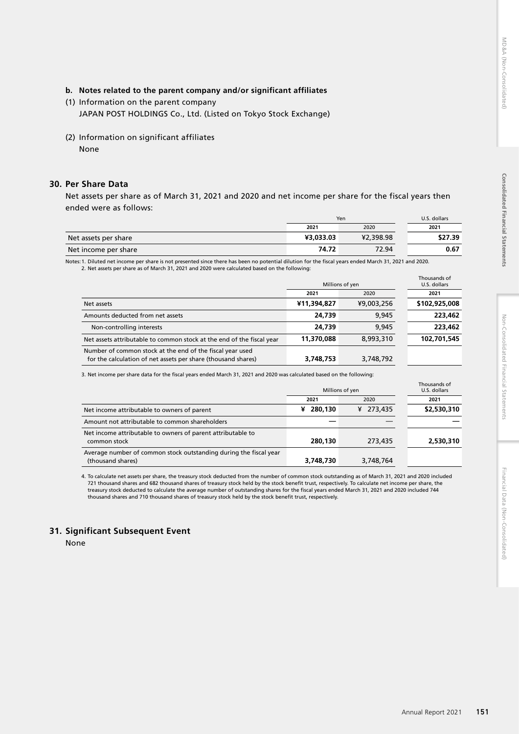#### **b. Notes related to the parent company and/or significant affiliates**

(1) Information on the parent company JAPAN POST HOLDINGS Co., Ltd. (Listed on Tokyo Stock Exchange)

(2) Information on significant affiliates None

#### **30. Per Share Data**

Net assets per share as of March 31, 2021 and 2020 and net income per share for the fiscal years then ended were as follows:

|                      | Yen       |           | U.S. dollars |
|----------------------|-----------|-----------|--------------|
|                      | 2021      | 2020      | 2021         |
| Net assets per share | ¥3.033.03 | ¥2,398.98 | \$27.39      |
| Net income per share | 74.72     | 72.94     | 0.67         |

Notes:1. Diluted net income per share is not presented since there has been no potential dilution for the fiscal years ended March 31, 2021 and 2020. 2. Net assets per share as of March 31, 2021 and 2020 were calculated based on the following:

|                                                                                                                            | Millions of yen |            | Thousands of<br>U.S. dollars |
|----------------------------------------------------------------------------------------------------------------------------|-----------------|------------|------------------------------|
|                                                                                                                            | 2021            | 2020       | 2021                         |
| Net assets                                                                                                                 | ¥11,394,827     | ¥9,003,256 | \$102,925,008                |
| Amounts deducted from net assets                                                                                           | 24.739          | 9.945      | 223,462                      |
| Non-controlling interests                                                                                                  | 24.739          | 9.945      | 223,462                      |
| Net assets attributable to common stock at the end of the fiscal year                                                      | 11,370,088      | 8,993,310  | 102,701,545                  |
| Number of common stock at the end of the fiscal year used<br>for the calculation of net assets per share (thousand shares) | 3,748,753       | 3,748,792  |                              |

3. Net income per share data for the fiscal years ended March 31, 2021 and 2020 was calculated based on the following:

|                                                                                        | Millions of yen |           | Thousands of<br>U.S. dollars |
|----------------------------------------------------------------------------------------|-----------------|-----------|------------------------------|
|                                                                                        | 2021            | 2020      | 2021                         |
| Net income attributable to owners of parent                                            | 280.130<br>¥    | ¥ 273,435 | \$2,530,310                  |
| Amount not attributable to common shareholders                                         |                 |           |                              |
| Net income attributable to owners of parent attributable to<br>common stock            | 280.130         | 273,435   | 2,530,310                    |
| Average number of common stock outstanding during the fiscal year<br>(thousand shares) | 3,748,730       | 3,748,764 |                              |

4. To calculate net assets per share, the treasury stock deducted from the number of common stock outstanding as of March 31, 2021 and 2020 included 721 thousand shares and 682 thousand shares of treasury stock held by the stock benefit trust, respectively. To calculate net income per share, the treasury stock deducted to calculate the average number of outstanding shares for the fiscal years ended March 31, 2021 and 2020 included 744<br>thousand shares and 710 thousand shares of treasury stock held by the stock bene

#### **31. Significant Subsequent Event**

None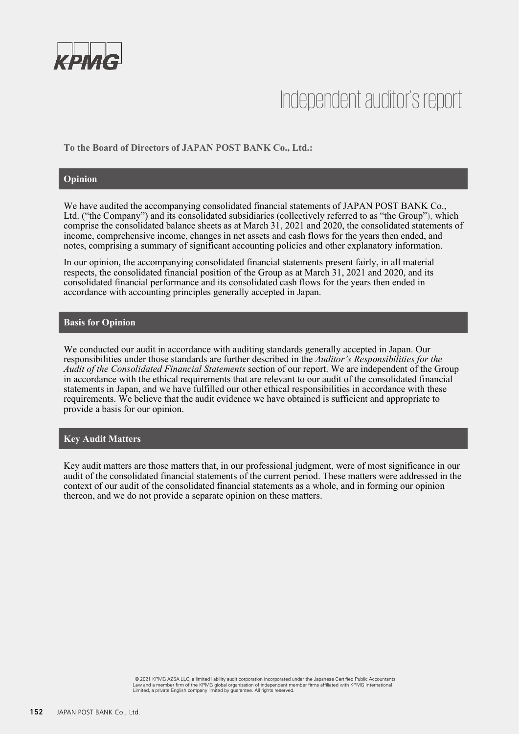

# Independent auditor's report

**To the Board of Directors of JAPAN POST BANK Co., Ltd.:** 

#### **Opinion**

We have audited the accompanying consolidated financial statements of JAPAN POST BANK Co., Ltd. ("the Company") and its consolidated subsidiaries (collectively referred to as "the Group"), which comprise the consolidated balance sheets as at March 31, 2021 and 2020, the consolidated statements of income, comprehensive income, changes in net assets and cash flows for the years then ended, and notes, comprising a summary of significant accounting policies and other explanatory information.

In our opinion, the accompanying consolidated financial statements present fairly, in all material respects, the consolidated financial position of the Group as at March 31, 2021 and 2020, and its consolidated financial performance and its consolidated cash flows for the years then ended in accordance with accounting principles generally accepted in Japan.

#### **Basis for Opinion**

We conducted our audit in accordance with auditing standards generally accepted in Japan. Our responsibilities under those standards are further described in the *Auditor's Responsibilities for the Audit of the Consolidated Financial Statements* section of our report. We are independent of the Group in accordance with the ethical requirements that are relevant to our audit of the consolidated financial statements in Japan, and we have fulfilled our other ethical responsibilities in accordance with these requirements. We believe that the audit evidence we have obtained is sufficient and appropriate to provide a basis for our opinion.

#### **Key Audit Matters**

Key audit matters are those matters that, in our professional judgment, were of most significance in our audit of the consolidated financial statements of the current period. These matters were addressed in the context of our audit of the consolidated financial statements as a whole, and in forming our opinion thereon, and we do not provide a separate opinion on these matters.

© 2021 KPMG AZSA LLC, a limited liability audit corporation incorporated under the Japanese Certified Public Accountants<br>Law and a member firm of the KPMG global organization of independent member firms affiliated with KPM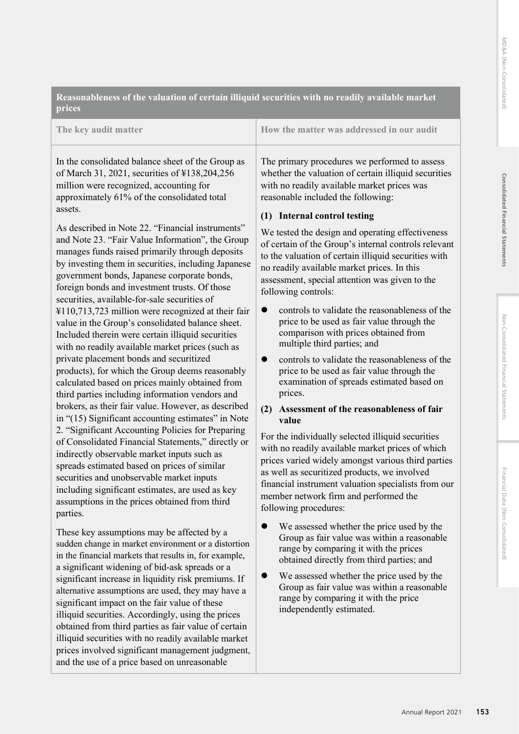**Reasonableness of the valuation of certain illiquid securities with no readily available market prices**

# **The key audit matter How the matter was addressed in our audit How the matter was addressed in our audit**

In the consolidated balance sheet of the Group as of March 31, 2021, securities of ¥138,204,256 million were recognized, accounting for approximately 61% of the consolidated total assets.

As described in Note 22. "Financial instruments" and Note 23. "Fair Value Information", the Group manages funds raised primarily through deposits by investing them in securities, including Japanese government bonds, Japanese corporate bonds, foreign bonds and investment trusts. Of those securities, available-for-sale securities of ¥110,713,723 million were recognized at their fair value in the Group's consolidated balance sheet. Included therein were certain illiquid securities with no readily available market prices (such as private placement bonds and securitized products), for which the Group deems reasonably calculated based on prices mainly obtained from third parties including information vendors and brokers, as their fair value. However, as described in "(15) Significant accounting estimates" in Note 2. "Significant Accounting Policies for Preparing of Consolidated Financial Statements," directly or indirectly observable market inputs such as spreads estimated based on prices of similar securities and unobservable market inputs including significant estimates, are used as key assumptions in the prices obtained from third parties.

These key assumptions may be affected by a sudden change in market environment or a distortion in the financial markets that results in, for example, a significant widening of bid-ask spreads or a significant increase in liquidity risk premiums. If alternative assumptions are used, they may have a significant impact on the fair value of these illiquid securities. Accordingly, using the prices obtained from third parties as fair value of certain illiquid securities with no readily available market prices involved significant management judgment, and the use of a price based on unreasonable

The primary procedures we performed to assess whether the valuation of certain illiquid securities with no readily available market prices was reasonable included the following:

#### **(1) Internal control testing**

We tested the design and operating effectiveness of certain of the Group's internal controls relevant to the valuation of certain illiquid securities with no readily available market prices. In this assessment, special attention was given to the following controls:

- controls to validate the reasonableness of the price to be used as fair value through the comparison with prices obtained from multiple third parties; and
- controls to validate the reasonableness of the price to be used as fair value through the examination of spreads estimated based on prices.

#### **(2) Assessment of the reasonableness of fair value**

For the individually selected illiquid securities with no readily available market prices of which prices varied widely amongst various third parties as well as securitized products, we involved financial instrument valuation specialists from our member network firm and performed the following procedures:

- We assessed whether the price used by the Group as fair value was within a reasonable range by comparing it with the prices obtained directly from third parties; and
- We assessed whether the price used by the Group as fair value was within a reasonable range by comparing it with the price independently estimated.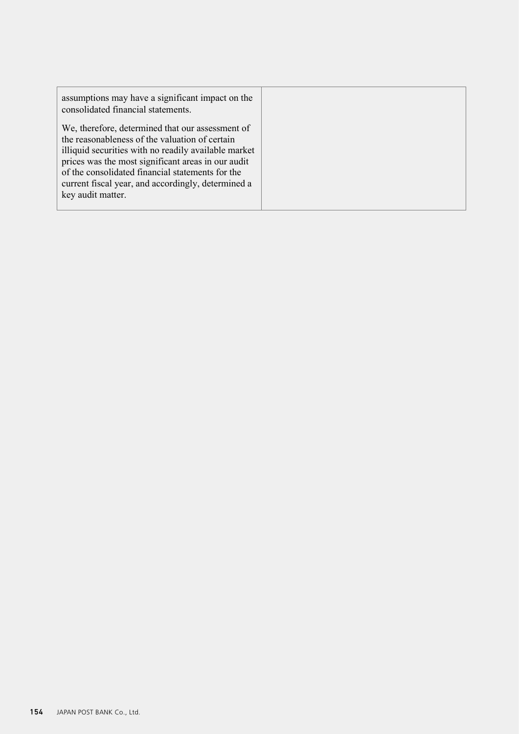| assumptions may have a significant impact on the<br>consolidated financial statements. |  |
|----------------------------------------------------------------------------------------|--|
| We, therefore, determined that our assessment of                                       |  |
| the reasonableness of the valuation of certain                                         |  |
| illiquid securities with no readily available market                                   |  |
| prices was the most significant areas in our audit                                     |  |
| of the consolidated financial statements for the                                       |  |
| current fiscal year, and accordingly, determined a                                     |  |
| key audit matter.                                                                      |  |
|                                                                                        |  |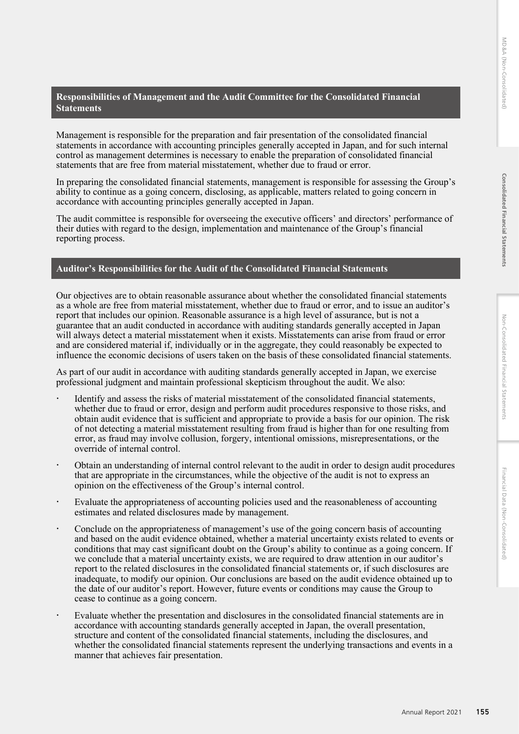#### **Responsibilities of Management and the Audit Committee for the Consolidated Financial Statements**

Management is responsible for the preparation and fair presentation of the consolidated financial statements in accordance with accounting principles generally accepted in Japan, and for such internal control as management determines is necessary to enable the preparation of consolidated financial statements that are free from material misstatement, whether due to fraud or error.

In preparing the consolidated financial statements, management is responsible for assessing the Group's ability to continue as a going concern, disclosing, as applicable, matters related to going concern in accordance with accounting principles generally accepted in Japan.

The audit committee is responsible for overseeing the executive officers' and directors' performance of their duties with regard to the design, implementation and maintenance of the Group's financial reporting process.

#### **Auditor's Responsibilities for the Audit of the Consolidated Financial Statements**

Our objectives are to obtain reasonable assurance about whether the consolidated financial statements as a whole are free from material misstatement, whether due to fraud or error, and to issue an auditor's report that includes our opinion. Reasonable assurance is a high level of assurance, but is not a guarantee that an audit conducted in accordance with auditing standards generally accepted in Japan will always detect a material misstatement when it exists. Misstatements can arise from fraud or error and are considered material if, individually or in the aggregate, they could reasonably be expected to influence the economic decisions of users taken on the basis of these consolidated financial statements.

As part of our audit in accordance with auditing standards generally accepted in Japan, we exercise professional judgment and maintain professional skepticism throughout the audit. We also:

- Identify and assess the risks of material misstatement of the consolidated financial statements, whether due to fraud or error, design and perform audit procedures responsive to those risks, and obtain audit evidence that is sufficient and appropriate to provide a basis for our opinion. The risk of not detecting a material misstatement resulting from fraud is higher than for one resulting from error, as fraud may involve collusion, forgery, intentional omissions, misrepresentations, or the override of internal control.
- Obtain an understanding of internal control relevant to the audit in order to design audit procedures that are appropriate in the circumstances, while the objective of the audit is not to express an opinion on the effectiveness of the Group's internal control.
- Evaluate the appropriateness of accounting policies used and the reasonableness of accounting estimates and related disclosures made by management.
- Conclude on the appropriateness of management's use of the going concern basis of accounting and based on the audit evidence obtained, whether a material uncertainty exists related to events or conditions that may cast significant doubt on the Group's ability to continue as a going concern. If we conclude that a material uncertainty exists, we are required to draw attention in our auditor's report to the related disclosures in the consolidated financial statements or, if such disclosures are inadequate, to modify our opinion. Our conclusions are based on the audit evidence obtained up to the date of our auditor's report. However, future events or conditions may cause the Group to cease to continue as a going concern.
- Evaluate whether the presentation and disclosures in the consolidated financial statements are in accordance with accounting standards generally accepted in Japan, the overall presentation, structure and content of the consolidated financial statements, including the disclosures, and whether the consolidated financial statements represent the underlying transactions and events in a manner that achieves fair presentation.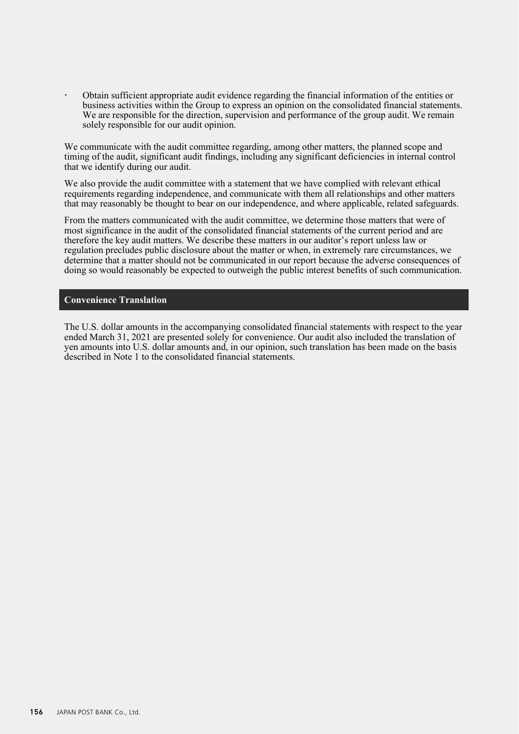Obtain sufficient appropriate audit evidence regarding the financial information of the entities or business activities within the Group to express an opinion on the consolidated financial statements. We are responsible for the direction, supervision and performance of the group audit. We remain solely responsible for our audit opinion.

We communicate with the audit committee regarding, among other matters, the planned scope and timing of the audit, significant audit findings, including any significant deficiencies in internal control that we identify during our audit.

We also provide the audit committee with a statement that we have complied with relevant ethical requirements regarding independence, and communicate with them all relationships and other matters that may reasonably be thought to bear on our independence, and where applicable, related safeguards.

From the matters communicated with the audit committee, we determine those matters that were of most significance in the audit of the consolidated financial statements of the current period and are therefore the key audit matters. We describe these matters in our auditor's report unless law or regulation precludes public disclosure about the matter or when, in extremely rare circumstances, we determine that a matter should not be communicated in our report because the adverse consequences of doing so would reasonably be expected to outweigh the public interest benefits of such communication.

#### **Convenience Translation**

The U.S. dollar amounts in the accompanying consolidated financial statements with respect to the year ended March 31, 2021 are presented solely for convenience. Our audit also included the translation of yen amounts into U.S. dollar amounts and, in our opinion, such translation has been made on the basis described in Note 1 to the consolidated financial statements.